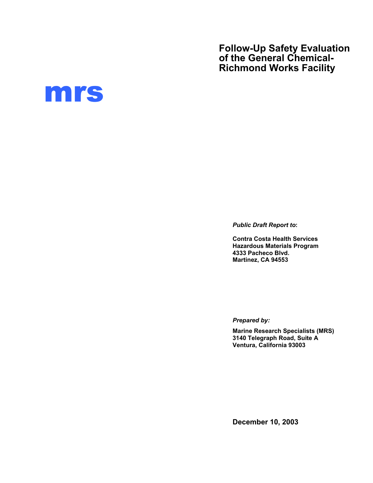**Follow-Up Safety Evaluation of the General Chemical-Richmond Works Facility** 



*Public Draft Report to***:** 

**Contra Costa Health Services Hazardous Materials Program 4333 Pacheco Blvd. Martinez, CA 94553** 

*Prepared by:* 

**Marine Research Specialists (MRS) 3140 Telegraph Road, Suite A Ventura, California 93003** 

**December 10, 2003**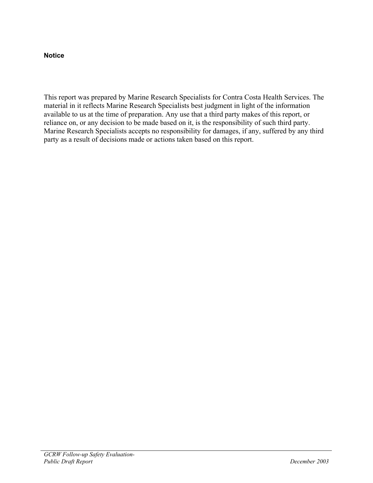#### **Notice**

This report was prepared by Marine Research Specialists for Contra Costa Health Services. The material in it reflects Marine Research Specialists best judgment in light of the information available to us at the time of preparation. Any use that a third party makes of this report, or reliance on, or any decision to be made based on it, is the responsibility of such third party. Marine Research Specialists accepts no responsibility for damages, if any, suffered by any third party as a result of decisions made or actions taken based on this report.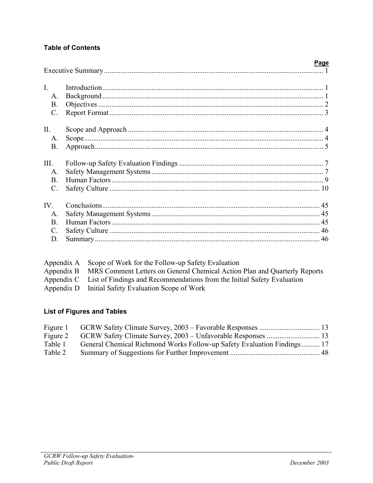#### **Table of Contents**

|                    | Page |
|--------------------|------|
| $\mathbf{I}$<br>A. |      |
| <b>B.</b>          |      |
| C.                 |      |
| II.                |      |
| $A_{\cdot}$        |      |
| <b>B.</b>          |      |
| III.               |      |
| $A_{\cdot}$        |      |
| B.                 |      |
| C.                 |      |
| IV.                |      |
| A.                 |      |
| B.                 |      |
| C                  |      |
| $\mathbf{D}$       | 46   |

| Appendix A Scope of Work for the Follow-up Safety Evaluation                         |
|--------------------------------------------------------------------------------------|
| Appendix B MRS Comment Letters on General Chemical Action Plan and Quarterly Reports |
| Appendix C List of Findings and Recommendations from the Initial Safety Evaluation   |
| Appendix D Initial Safety Evaluation Scope of Work                                   |
|                                                                                      |

### **List of Figures and Tables**

| Figure 1 |                                                                         |  |
|----------|-------------------------------------------------------------------------|--|
| Figure 2 |                                                                         |  |
| Table 1  | General Chemical Richmond Works Follow-up Safety Evaluation Findings 17 |  |
| Table 2  |                                                                         |  |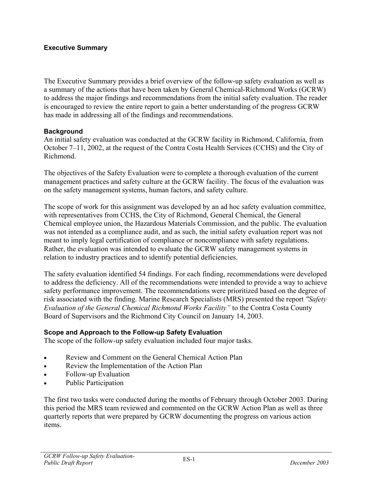#### <span id="page-3-0"></span>**Executive Summary**

The Executive Summary provides a brief overview of the follow-up safety evaluation as well as a summary of the actions that have been taken by General Chemical-Richmond Works (GCRW) to address the major findings and recommendations from the initial safety evaluation. The reader is encouraged to review the entire report to gain a better understanding of the progress GCRW has made in addressing all of the findings and recommendations.

#### **Background**

An initial safety evaluation was conducted at the GCRW facility in Richmond, California, from October 7–11, 2002, at the request of the Contra Costa Health Services (CCHS) and the City of Richmond.

The objectives of the Safety Evaluation were to complete a thorough evaluation of the current management practices and safety culture at the GCRW facility. The focus of the evaluation was on the safety management systems, human factors, and safety culture.

The scope of work for this assignment was developed by an ad hoc safety evaluation committee, with representatives from CCHS, the City of Richmond, General Chemical, the General Chemical employee union, the Hazardous Materials Commission, and the public. The evaluation was not intended as a compliance audit, and as such, the initial safety evaluation report was not meant to imply legal certification of compliance or noncompliance with safety regulations. Rather, the evaluation was intended to evaluate the GCRW safety management systems in relation to industry practices and to identify potential deficiencies.

The safety evaluation identified 54 findings. For each finding, recommendations were developed to address the deficiency. All of the recommendations were intended to provide a way to achieve safety performance improvement. The recommendations were prioritized based on the degree of risk associated with the finding. Marine Research Specialists (MRS) presented the report *"Safety Evaluation of the General Chemical Richmond Works Facility"* to the Contra Costa County Board of Supervisors and the Richmond City Council on January 14, 2003.

#### **Scope and Approach to the Follow-up Safety Evaluation**

The scope of the follow-up safety evaluation included four major tasks.

- Review and Comment on the General Chemical Action Plan
- Review the Implementation of the Action Plan
- Follow-up Evaluation
- Public Participation

The first two tasks were conducted during the months of February through October 2003. During this period the MRS team reviewed and commented on the GCRW Action Plan as well as three quarterly reports that were prepared by GCRW documenting the progress on various action items.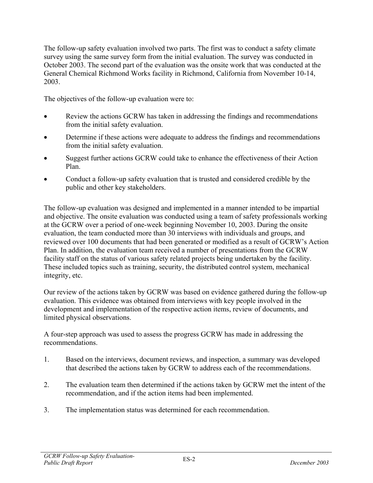The follow-up safety evaluation involved two parts. The first was to conduct a safety climate survey using the same survey form from the initial evaluation. The survey was conducted in October 2003. The second part of the evaluation was the onsite work that was conducted at the General Chemical Richmond Works facility in Richmond, California from November 10-14, 2003.

The objectives of the follow-up evaluation were to:

- Review the actions GCRW has taken in addressing the findings and recommendations from the initial safety evaluation.
- Determine if these actions were adequate to address the findings and recommendations from the initial safety evaluation.
- Suggest further actions GCRW could take to enhance the effectiveness of their Action Plan.
- Conduct a follow-up safety evaluation that is trusted and considered credible by the public and other key stakeholders.

The follow-up evaluation was designed and implemented in a manner intended to be impartial and objective. The onsite evaluation was conducted using a team of safety professionals working at the GCRW over a period of one-week beginning November 10, 2003. During the onsite evaluation, the team conducted more than 30 interviews with individuals and groups, and reviewed over 100 documents that had been generated or modified as a result of GCRW's Action Plan. In addition, the evaluation team received a number of presentations from the GCRW facility staff on the status of various safety related projects being undertaken by the facility. These included topics such as training, security, the distributed control system, mechanical integrity, etc.

Our review of the actions taken by GCRW was based on evidence gathered during the follow-up evaluation. This evidence was obtained from interviews with key people involved in the development and implementation of the respective action items, review of documents, and limited physical observations.

A four-step approach was used to assess the progress GCRW has made in addressing the recommendations.

- 1. Based on the interviews, document reviews, and inspection, a summary was developed that described the actions taken by GCRW to address each of the recommendations.
- 2. The evaluation team then determined if the actions taken by GCRW met the intent of the recommendation, and if the action items had been implemented.
- 3. The implementation status was determined for each recommendation.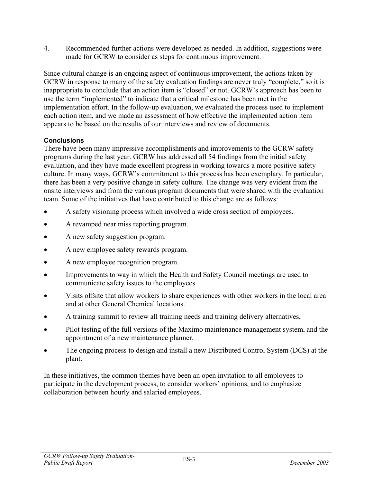4. Recommended further actions were developed as needed. In addition, suggestions were made for GCRW to consider as steps for continuous improvement.

Since cultural change is an ongoing aspect of continuous improvement, the actions taken by GCRW in response to many of the safety evaluation findings are never truly "complete," so it is inappropriate to conclude that an action item is "closed" or not. GCRW's approach has been to use the term "implemented" to indicate that a critical milestone has been met in the implementation effort. In the follow-up evaluation, we evaluated the process used to implement each action item, and we made an assessment of how effective the implemented action item appears to be based on the results of our interviews and review of documents.

## **Conclusions**

There have been many impressive accomplishments and improvements to the GCRW safety programs during the last year. GCRW has addressed all 54 findings from the initial safety evaluation, and they have made excellent progress in working towards a more positive safety culture. In many ways, GCRW's commitment to this process has been exemplary. In particular, there has been a very positive change in safety culture. The change was very evident from the onsite interviews and from the various program documents that were shared with the evaluation team. Some of the initiatives that have contributed to this change are as follows:

- A safety visioning process which involved a wide cross section of employees.
- A revamped near miss reporting program.
- A new safety suggestion program.
- A new employee safety rewards program.
- A new employee recognition program.
- Improvements to way in which the Health and Safety Council meetings are used to communicate safety issues to the employees.
- Visits offsite that allow workers to share experiences with other workers in the local area and at other General Chemical locations.
- A training summit to review all training needs and training delivery alternatives,
- Pilot testing of the full versions of the Maximo maintenance management system, and the appointment of a new maintenance planner.
- The ongoing process to design and install a new Distributed Control System (DCS) at the plant.

In these initiatives, the common themes have been an open invitation to all employees to participate in the development process, to consider workers' opinions, and to emphasize collaboration between hourly and salaried employees.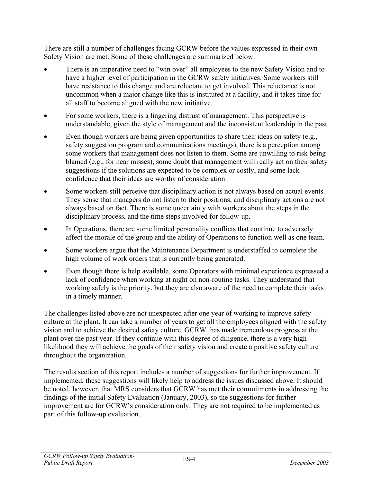There are still a number of challenges facing GCRW before the values expressed in their own Safety Vision are met. Some of these challenges are summarized below:

- There is an imperative need to "win over" all employees to the new Safety Vision and to have a higher level of participation in the GCRW safety initiatives. Some workers still have resistance to this change and are reluctant to get involved. This reluctance is not uncommon when a major change like this is instituted at a facility, and it takes time for all staff to become aligned with the new initiative.
- For some workers, there is a lingering distrust of management. This perspective is understandable, given the style of management and the inconsistent leadership in the past.
- Even though workers are being given opportunities to share their ideas on safety (e.g., safety suggestion program and communications meetings), there is a perception among some workers that management does not listen to them. Some are unwilling to risk being blamed (e.g., for near misses), some doubt that management will really act on their safety suggestions if the solutions are expected to be complex or costly, and some lack confidence that their ideas are worthy of consideration.
- Some workers still perceive that disciplinary action is not always based on actual events. They sense that managers do not listen to their positions, and disciplinary actions are not always based on fact. There is some uncertainty with workers about the steps in the disciplinary process, and the time steps involved for follow-up.
- In Operations, there are some limited personality conflicts that continue to adversely affect the morale of the group and the ability of Operations to function well as one team.
- Some workers argue that the Maintenance Department is understaffed to complete the high volume of work orders that is currently being generated.
- Even though there is help available, some Operators with minimal experience expressed a lack of confidence when working at night on non-routine tasks. They understand that working safely is the priority, but they are also aware of the need to complete their tasks in a timely manner.

The challenges listed above are not unexpected after one year of working to improve safety culture at the plant. It can take a number of years to get all the employees aligned with the safety vision and to achieve the desired safety culture. GCRW has made tremendous progress at the plant over the past year. If they continue with this degree of diligence, there is a very high likelihood they will achieve the goals of their safety vision and create a positive safety culture throughout the organization.

The results section of this report includes a number of suggestions for further improvement. If implemented, these suggestions will likely help to address the issues discussed above. It should be noted, however, that MRS considers that GCRW has met their commitments in addressing the findings of the initial Safety Evaluation (January, 2003), so the suggestions for further improvement are for GCRW's consideration only. They are not required to be implemented as part of this follow-up evaluation.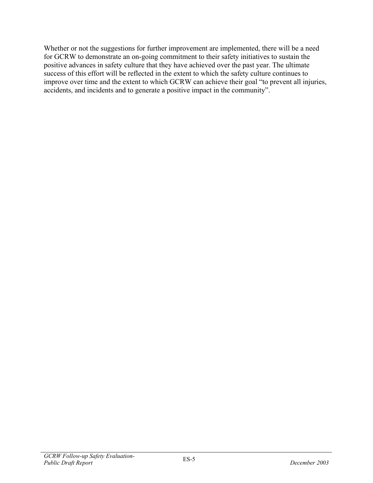Whether or not the suggestions for further improvement are implemented, there will be a need for GCRW to demonstrate an on-going commitment to their safety initiatives to sustain the positive advances in safety culture that they have achieved over the past year. The ultimate success of this effort will be reflected in the extent to which the safety culture continues to improve over time and the extent to which GCRW can achieve their goal "to prevent all injuries, accidents, and incidents and to generate a positive impact in the community".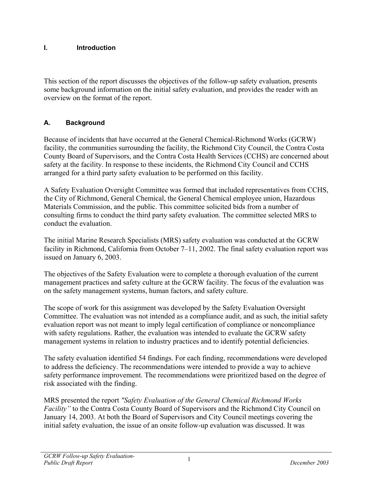#### <span id="page-8-0"></span>**I. Introduction**

This section of the report discusses the objectives of the follow-up safety evaluation, presents some background information on the initial safety evaluation, and provides the reader with an overview on the format of the report.

#### <span id="page-8-1"></span>**A. Background**

Because of incidents that have occurred at the General Chemical-Richmond Works (GCRW) facility, the communities surrounding the facility, the Richmond City Council, the Contra Costa County Board of Supervisors, and the Contra Costa Health Services (CCHS) are concerned about safety at the facility. In response to these incidents, the Richmond City Council and CCHS arranged for a third party safety evaluation to be performed on this facility.

A Safety Evaluation Oversight Committee was formed that included representatives from CCHS, the City of Richmond, General Chemical, the General Chemical employee union, Hazardous Materials Commission, and the public. This committee solicited bids from a number of consulting firms to conduct the third party safety evaluation. The committee selected MRS to conduct the evaluation.

The initial Marine Research Specialists (MRS) safety evaluation was conducted at the GCRW facility in Richmond, California from October 7–11, 2002. The final safety evaluation report was issued on January 6, 2003.

The objectives of the Safety Evaluation were to complete a thorough evaluation of the current management practices and safety culture at the GCRW facility. The focus of the evaluation was on the safety management systems, human factors, and safety culture.

The scope of work for this assignment was developed by the Safety Evaluation Oversight Committee. The evaluation was not intended as a compliance audit, and as such, the initial safety evaluation report was not meant to imply legal certification of compliance or noncompliance with safety regulations. Rather, the evaluation was intended to evaluate the GCRW safety management systems in relation to industry practices and to identify potential deficiencies.

The safety evaluation identified 54 findings. For each finding, recommendations were developed to address the deficiency. The recommendations were intended to provide a way to achieve safety performance improvement. The recommendations were prioritized based on the degree of risk associated with the finding.

MRS presented the report *"Safety Evaluation of the General Chemical Richmond Works Facility"* to the Contra Costa County Board of Supervisors and the Richmond City Council on January 14, 2003. At both the Board of Supervisors and City Council meetings covering the initial safety evaluation, the issue of an onsite follow-up evaluation was discussed. It was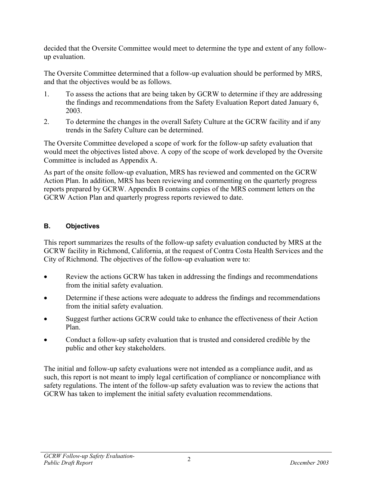decided that the Oversite Committee would meet to determine the type and extent of any followup evaluation.

The Oversite Committee determined that a follow-up evaluation should be performed by MRS, and that the objectives would be as follows.

- 1. To assess the actions that are being taken by GCRW to determine if they are addressing the findings and recommendations from the Safety Evaluation Report dated January 6, 2003.
- 2. To determine the changes in the overall Safety Culture at the GCRW facility and if any trends in the Safety Culture can be determined.

The Oversite Committee developed a scope of work for the follow-up safety evaluation that would meet the objectives listed above. A copy of the scope of work developed by the Oversite Committee is included as Appendix A.

As part of the onsite follow-up evaluation, MRS has reviewed and commented on the GCRW Action Plan. In addition, MRS has been reviewing and commenting on the quarterly progress reports prepared by GCRW. Appendix B contains copies of the MRS comment letters on the GCRW Action Plan and quarterly progress reports reviewed to date.

### <span id="page-9-0"></span>**B. Objectives**

This report summarizes the results of the follow-up safety evaluation conducted by MRS at the GCRW facility in Richmond, California, at the request of Contra Costa Health Services and the City of Richmond. The objectives of the follow-up evaluation were to:

- Review the actions GCRW has taken in addressing the findings and recommendations from the initial safety evaluation.
- Determine if these actions were adequate to address the findings and recommendations from the initial safety evaluation.
- Suggest further actions GCRW could take to enhance the effectiveness of their Action Plan.
- Conduct a follow-up safety evaluation that is trusted and considered credible by the public and other key stakeholders.

The initial and follow-up safety evaluations were not intended as a compliance audit, and as such, this report is not meant to imply legal certification of compliance or noncompliance with safety regulations. The intent of the follow-up safety evaluation was to review the actions that GCRW has taken to implement the initial safety evaluation recommendations.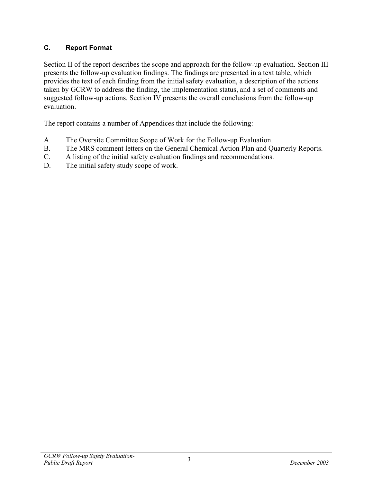#### <span id="page-10-0"></span>**C. Report Format**

Section II of the report describes the scope and approach for the follow-up evaluation. Section III presents the follow-up evaluation findings. The findings are presented in a text table, which provides the text of each finding from the initial safety evaluation, a description of the actions taken by GCRW to address the finding, the implementation status, and a set of comments and suggested follow-up actions. Section IV presents the overall conclusions from the follow-up evaluation.

The report contains a number of Appendices that include the following:

- A. The Oversite Committee Scope of Work for the Follow-up Evaluation.
- B. The MRS comment letters on the General Chemical Action Plan and Quarterly Reports.
- C. A listing of the initial safety evaluation findings and recommendations.
- D. The initial safety study scope of work.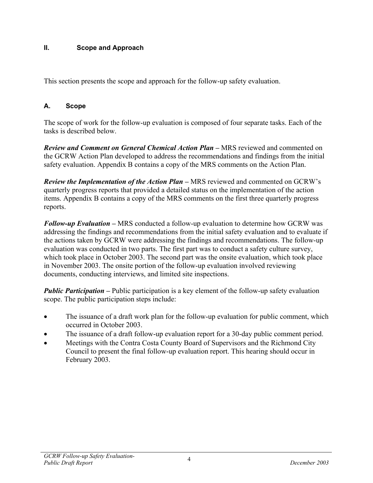#### <span id="page-11-0"></span>**II. Scope and Approach**

This section presents the scope and approach for the follow-up safety evaluation.

#### <span id="page-11-1"></span>**A. Scope**

The scope of work for the follow-up evaluation is composed of four separate tasks. Each of the tasks is described below.

*Review and Comment on General Chemical Action Plan –* MRS reviewed and commented on the GCRW Action Plan developed to address the recommendations and findings from the initial safety evaluation. Appendix B contains a copy of the MRS comments on the Action Plan.

*Review the Implementation of the Action Plan –* MRS reviewed and commented on GCRW's quarterly progress reports that provided a detailed status on the implementation of the action items. Appendix B contains a copy of the MRS comments on the first three quarterly progress reports.

*Follow-up Evaluation –* MRS conducted a follow-up evaluation to determine how GCRW was addressing the findings and recommendations from the initial safety evaluation and to evaluate if the actions taken by GCRW were addressing the findings and recommendations. The follow-up evaluation was conducted in two parts. The first part was to conduct a safety culture survey, which took place in October 2003. The second part was the onsite evaluation, which took place in November 2003. The onsite portion of the follow-up evaluation involved reviewing documents, conducting interviews, and limited site inspections.

*Public Participation* – Public participation is a key element of the follow-up safety evaluation scope. The public participation steps include:

- The issuance of a draft work plan for the follow-up evaluation for public comment, which occurred in October 2003.
- The issuance of a draft follow-up evaluation report for a 30-day public comment period.
- Meetings with the Contra Costa County Board of Supervisors and the Richmond City Council to present the final follow-up evaluation report. This hearing should occur in February 2003.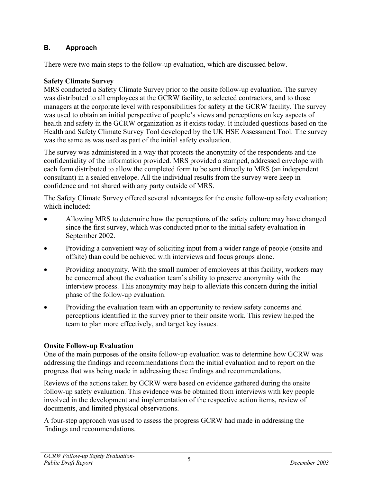#### <span id="page-12-0"></span>**B. Approach**

There were two main steps to the follow-up evaluation, which are discussed below.

#### **Safety Climate Survey**

MRS conducted a Safety Climate Survey prior to the onsite follow-up evaluation. The survey was distributed to all employees at the GCRW facility, to selected contractors, and to those managers at the corporate level with responsibilities for safety at the GCRW facility. The survey was used to obtain an initial perspective of people's views and perceptions on key aspects of health and safety in the GCRW organization as it exists today. It included questions based on the Health and Safety Climate Survey Tool developed by the UK HSE Assessment Tool. The survey was the same as was used as part of the initial safety evaluation.

The survey was administered in a way that protects the anonymity of the respondents and the confidentiality of the information provided. MRS provided a stamped, addressed envelope with each form distributed to allow the completed form to be sent directly to MRS (an independent consultant) in a sealed envelope. All the individual results from the survey were keep in confidence and not shared with any party outside of MRS.

The Safety Climate Survey offered several advantages for the onsite follow-up safety evaluation; which included:

- Allowing MRS to determine how the perceptions of the safety culture may have changed since the first survey, which was conducted prior to the initial safety evaluation in September 2002.
- Providing a convenient way of soliciting input from a wider range of people (onsite and offsite) than could be achieved with interviews and focus groups alone.
- Providing anonymity. With the small number of employees at this facility, workers may be concerned about the evaluation team's ability to preserve anonymity with the interview process. This anonymity may help to alleviate this concern during the initial phase of the follow-up evaluation.
- Providing the evaluation team with an opportunity to review safety concerns and perceptions identified in the survey prior to their onsite work. This review helped the team to plan more effectively, and target key issues.

#### **Onsite Follow-up Evaluation**

One of the main purposes of the onsite follow-up evaluation was to determine how GCRW was addressing the findings and recommendations from the initial evaluation and to report on the progress that was being made in addressing these findings and recommendations.

Reviews of the actions taken by GCRW were based on evidence gathered during the onsite follow-up safety evaluation. This evidence was be obtained from interviews with key people involved in the development and implementation of the respective action items, review of documents, and limited physical observations.

A four-step approach was used to assess the progress GCRW had made in addressing the findings and recommendations.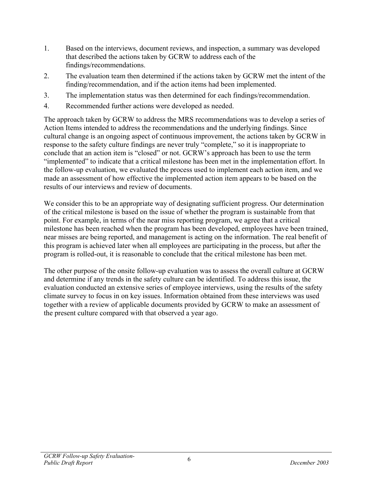- 1. Based on the interviews, document reviews, and inspection, a summary was developed that described the actions taken by GCRW to address each of the findings/recommendations.
- 2. The evaluation team then determined if the actions taken by GCRW met the intent of the finding/recommendation, and if the action items had been implemented.
- 3. The implementation status was then determined for each findings/recommendation.
- 4. Recommended further actions were developed as needed.

The approach taken by GCRW to address the MRS recommendations was to develop a series of Action Items intended to address the recommendations and the underlying findings. Since cultural change is an ongoing aspect of continuous improvement, the actions taken by GCRW in response to the safety culture findings are never truly "complete," so it is inappropriate to conclude that an action item is "closed" or not. GCRW's approach has been to use the term "implemented" to indicate that a critical milestone has been met in the implementation effort. In the follow-up evaluation, we evaluated the process used to implement each action item, and we made an assessment of how effective the implemented action item appears to be based on the results of our interviews and review of documents.

We consider this to be an appropriate way of designating sufficient progress. Our determination of the critical milestone is based on the issue of whether the program is sustainable from that point. For example, in terms of the near miss reporting program, we agree that a critical milestone has been reached when the program has been developed, employees have been trained, near misses are being reported, and management is acting on the information. The real benefit of this program is achieved later when all employees are participating in the process, but after the program is rolled-out, it is reasonable to conclude that the critical milestone has been met.

The other purpose of the onsite follow-up evaluation was to assess the overall culture at GCRW and determine if any trends in the safety culture can be identified. To address this issue, the evaluation conducted an extensive series of employee interviews, using the results of the safety climate survey to focus in on key issues. Information obtained from these interviews was used together with a review of applicable documents provided by GCRW to make an assessment of the present culture compared with that observed a year ago.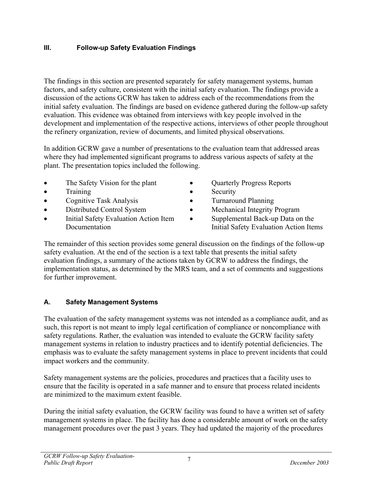## <span id="page-14-0"></span>**III. Follow-up Safety Evaluation Findings**

The findings in this section are presented separately for safety management systems, human factors, and safety culture, consistent with the initial safety evaluation. The findings provide a discussion of the actions GCRW has taken to address each of the recommendations from the initial safety evaluation. The findings are based on evidence gathered during the follow-up safety evaluation. This evidence was obtained from interviews with key people involved in the development and implementation of the respective actions, interviews of other people throughout the refinery organization, review of documents, and limited physical observations.

In addition GCRW gave a number of presentations to the evaluation team that addressed areas where they had implemented significant programs to address various aspects of safety at the plant. The presentation topics included the following.

- The Safety Vision for the plant Quarterly Progress Reports
- Training Security
- Cognitive Task Analysis Turnaround Planning
- 
- Initial Safety Evaluation Action Item Documentation
- 
- 
- 
- Distributed Control System Mechanical Integrity Program
	- Supplemental Back-up Data on the Initial Safety Evaluation Action Items

The remainder of this section provides some general discussion on the findings of the follow-up safety evaluation. At the end of the section is a text table that presents the initial safety evaluation findings, a summary of the actions taken by GCRW to address the findings, the implementation status, as determined by the MRS team, and a set of comments and suggestions for further improvement.

# <span id="page-14-1"></span>**A. Safety Management Systems**

The evaluation of the safety management systems was not intended as a compliance audit, and as such, this report is not meant to imply legal certification of compliance or noncompliance with safety regulations. Rather, the evaluation was intended to evaluate the GCRW facility safety management systems in relation to industry practices and to identify potential deficiencies. The emphasis was to evaluate the safety management systems in place to prevent incidents that could impact workers and the community.

Safety management systems are the policies, procedures and practices that a facility uses to ensure that the facility is operated in a safe manner and to ensure that process related incidents are minimized to the maximum extent feasible.

During the initial safety evaluation, the GCRW facility was found to have a written set of safety management systems in place. The facility has done a considerable amount of work on the safety management procedures over the past 3 years. They had updated the majority of the procedures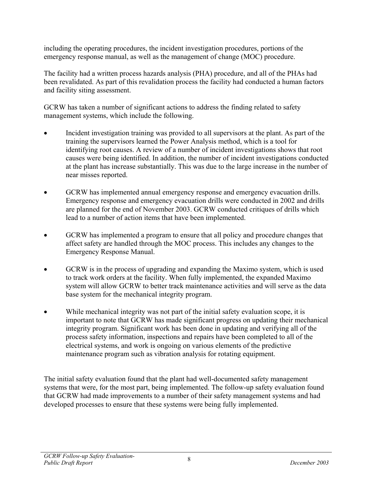including the operating procedures, the incident investigation procedures, portions of the emergency response manual, as well as the management of change (MOC) procedure.

The facility had a written process hazards analysis (PHA) procedure, and all of the PHAs had been revalidated. As part of this revalidation process the facility had conducted a human factors and facility siting assessment.

GCRW has taken a number of significant actions to address the finding related to safety management systems, which include the following.

- Incident investigation training was provided to all supervisors at the plant. As part of the training the supervisors learned the Power Analysis method, which is a tool for identifying root causes. A review of a number of incident investigations shows that root causes were being identified. In addition, the number of incident investigations conducted at the plant has increase substantially. This was due to the large increase in the number of near misses reported.
- GCRW has implemented annual emergency response and emergency evacuation drills. Emergency response and emergency evacuation drills were conducted in 2002 and drills are planned for the end of November 2003. GCRW conducted critiques of drills which lead to a number of action items that have been implemented.
- GCRW has implemented a program to ensure that all policy and procedure changes that affect safety are handled through the MOC process. This includes any changes to the Emergency Response Manual.
- GCRW is in the process of upgrading and expanding the Maximo system, which is used to track work orders at the facility. When fully implemented, the expanded Maximo system will allow GCRW to better track maintenance activities and will serve as the data base system for the mechanical integrity program.
- While mechanical integrity was not part of the initial safety evaluation scope, it is important to note that GCRW has made significant progress on updating their mechanical integrity program. Significant work has been done in updating and verifying all of the process safety information, inspections and repairs have been completed to all of the electrical systems, and work is ongoing on various elements of the predictive maintenance program such as vibration analysis for rotating equipment.

The initial safety evaluation found that the plant had well-documented safety management systems that were, for the most part, being implemented. The follow-up safety evaluation found that GCRW had made improvements to a number of their safety management systems and had developed processes to ensure that these systems were being fully implemented.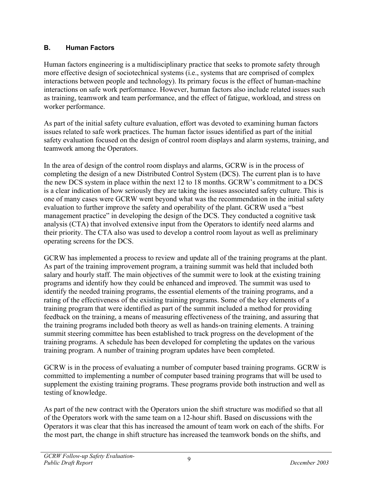#### <span id="page-16-0"></span>**B. Human Factors**

Human factors engineering is a multidisciplinary practice that seeks to promote safety through more effective design of sociotechnical systems (i.e., systems that are comprised of complex interactions between people and technology). Its primary focus is the effect of human-machine interactions on safe work performance. However, human factors also include related issues such as training, teamwork and team performance, and the effect of fatigue, workload, and stress on worker performance.

As part of the initial safety culture evaluation, effort was devoted to examining human factors issues related to safe work practices. The human factor issues identified as part of the initial safety evaluation focused on the design of control room displays and alarm systems, training, and teamwork among the Operators.

In the area of design of the control room displays and alarms, GCRW is in the process of completing the design of a new Distributed Control System (DCS). The current plan is to have the new DCS system in place within the next 12 to 18 months. GCRW's commitment to a DCS is a clear indication of how seriously they are taking the issues associated safety culture. This is one of many cases were GCRW went beyond what was the recommendation in the initial safety evaluation to further improve the safety and operability of the plant. GCRW used a "best management practice" in developing the design of the DCS. They conducted a cognitive task analysis (CTA) that involved extensive input from the Operators to identify need alarms and their priority. The CTA also was used to develop a control room layout as well as preliminary operating screens for the DCS.

GCRW has implemented a process to review and update all of the training programs at the plant. As part of the training improvement program, a training summit was held that included both salary and hourly staff. The main objectives of the summit were to look at the existing training programs and identify how they could be enhanced and improved. The summit was used to identify the needed training programs, the essential elements of the training programs, and a rating of the effectiveness of the existing training programs. Some of the key elements of a training program that were identified as part of the summit included a method for providing feedback on the training, a means of measuring effectiveness of the training, and assuring that the training programs included both theory as well as hands-on training elements. A training summit steering committee has been established to track progress on the development of the training programs. A schedule has been developed for completing the updates on the various training program. A number of training program updates have been completed.

GCRW is in the process of evaluating a number of computer based training programs. GCRW is committed to implementing a number of computer based training programs that will be used to supplement the existing training programs. These programs provide both instruction and well as testing of knowledge.

As part of the new contract with the Operators union the shift structure was modified so that all of the Operators work with the same team on a 12-hour shift. Based on discussions with the Operators it was clear that this has increased the amount of team work on each of the shifts. For the most part, the change in shift structure has increased the teamwork bonds on the shifts, and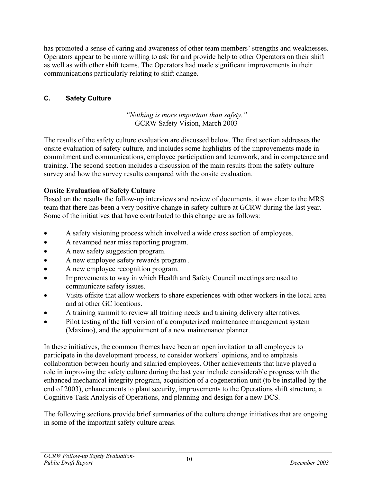has promoted a sense of caring and awareness of other team members' strengths and weaknesses. Operators appear to be more willing to ask for and provide help to other Operators on their shift as well as with other shift teams. The Operators had made significant improvements in their communications particularly relating to shift change.

## <span id="page-17-0"></span>**C. Safety Culture**

*"Nothing is more important than safety."*  GCRW Safety Vision, March 2003

The results of the safety culture evaluation are discussed below. The first section addresses the onsite evaluation of safety culture, and includes some highlights of the improvements made in commitment and communications, employee participation and teamwork, and in competence and training. The second section includes a discussion of the main results from the safety culture survey and how the survey results compared with the onsite evaluation.

### **Onsite Evaluation of Safety Culture**

Based on the results the follow-up interviews and review of documents, it was clear to the MRS team that there has been a very positive change in safety culture at GCRW during the last year. Some of the initiatives that have contributed to this change are as follows:

- A safety visioning process which involved a wide cross section of employees.
- A revamped near miss reporting program.
- A new safety suggestion program.
- A new employee safety rewards program .
- A new employee recognition program.
- Improvements to way in which Health and Safety Council meetings are used to communicate safety issues.
- Visits offsite that allow workers to share experiences with other workers in the local area and at other GC locations.
- A training summit to review all training needs and training delivery alternatives.
- Pilot testing of the full version of a computerized maintenance management system (Maximo), and the appointment of a new maintenance planner.

In these initiatives, the common themes have been an open invitation to all employees to participate in the development process, to consider workers' opinions, and to emphasis collaboration between hourly and salaried employees. Other achievements that have played a role in improving the safety culture during the last year include considerable progress with the enhanced mechanical integrity program, acquisition of a cogeneration unit (to be installed by the end of 2003), enhancements to plant security, improvements to the Operations shift structure, a Cognitive Task Analysis of Operations, and planning and design for a new DCS.

The following sections provide brief summaries of the culture change initiatives that are ongoing in some of the important safety culture areas.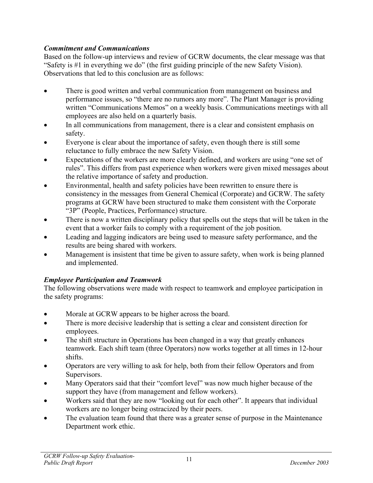### *Commitment and Communications*

Based on the follow-up interviews and review of GCRW documents, the clear message was that "Safety is #1 in everything we do" (the first guiding principle of the new Safety Vision). Observations that led to this conclusion are as follows:

- There is good written and verbal communication from management on business and performance issues, so "there are no rumors any more". The Plant Manager is providing written "Communications Memos" on a weekly basis. Communications meetings with all employees are also held on a quarterly basis.
- In all communications from management, there is a clear and consistent emphasis on safety.
- Everyone is clear about the importance of safety, even though there is still some reluctance to fully embrace the new Safety Vision.
- Expectations of the workers are more clearly defined, and workers are using "one set of rules". This differs from past experience when workers were given mixed messages about the relative importance of safety and production.
- Environmental, health and safety policies have been rewritten to ensure there is consistency in the messages from General Chemical (Corporate) and GCRW. The safety programs at GCRW have been structured to make them consistent with the Corporate "3P" (People, Practices, Performance) structure.
- There is now a written disciplinary policy that spells out the steps that will be taken in the event that a worker fails to comply with a requirement of the job position.
- Leading and lagging indicators are being used to measure safety performance, and the results are being shared with workers.
- Management is insistent that time be given to assure safety, when work is being planned and implemented.

### *Employee Participation and Teamwork*

The following observations were made with respect to teamwork and employee participation in the safety programs:

- Morale at GCRW appears to be higher across the board.
- There is more decisive leadership that is setting a clear and consistent direction for employees.
- The shift structure in Operations has been changed in a way that greatly enhances teamwork. Each shift team (three Operators) now works together at all times in 12-hour shifts.
- Operators are very willing to ask for help, both from their fellow Operators and from Supervisors.
- Many Operators said that their "comfort level" was now much higher because of the support they have (from management and fellow workers).
- Workers said that they are now "looking out for each other". It appears that individual workers are no longer being ostracized by their peers.
- The evaluation team found that there was a greater sense of purpose in the Maintenance Department work ethic.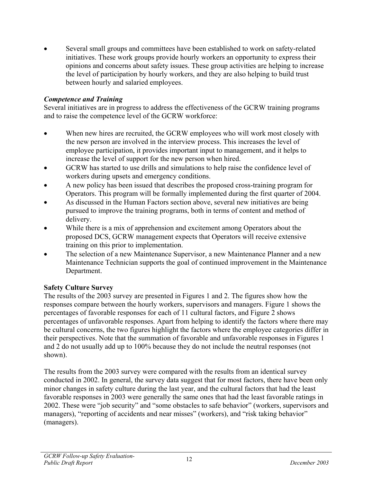• Several small groups and committees have been established to work on safety-related initiatives. These work groups provide hourly workers an opportunity to express their opinions and concerns about safety issues. These group activities are helping to increase the level of participation by hourly workers, and they are also helping to build trust between hourly and salaried employees.

#### *Competence and Training*

Several initiatives are in progress to address the effectiveness of the GCRW training programs and to raise the competence level of the GCRW workforce:

- When new hires are recruited, the GCRW employees who will work most closely with the new person are involved in the interview process. This increases the level of employee participation, it provides important input to management, and it helps to increase the level of support for the new person when hired.
- GCRW has started to use drills and simulations to help raise the confidence level of workers during upsets and emergency conditions.
- A new policy has been issued that describes the proposed cross-training program for Operators. This program will be formally implemented during the first quarter of 2004.
- As discussed in the Human Factors section above, several new initiatives are being pursued to improve the training programs, both in terms of content and method of delivery.
- While there is a mix of apprehension and excitement among Operators about the proposed DCS, GCRW management expects that Operators will receive extensive training on this prior to implementation.
- The selection of a new Maintenance Supervisor, a new Maintenance Planner and a new Maintenance Technician supports the goal of continued improvement in the Maintenance Department.

#### **Safety Culture Survey**

The results of the 2003 survey are presented in Figures 1 and 2. The figures show how the responses compare between the hourly workers, supervisors and managers. Figure 1 shows the percentages of favorable responses for each of 11 cultural factors, and Figure 2 shows percentages of unfavorable responses. Apart from helping to identify the factors where there may be cultural concerns, the two figures highlight the factors where the employee categories differ in their perspectives. Note that the summation of favorable and unfavorable responses in Figures 1 and 2 do not usually add up to 100% because they do not include the neutral responses (not shown).

The results from the 2003 survey were compared with the results from an identical survey conducted in 2002. In general, the survey data suggest that for most factors, there have been only minor changes in safety culture during the last year, and the cultural factors that had the least favorable responses in 2003 were generally the same ones that had the least favorable ratings in 2002. These were "job security" and "some obstacles to safe behavior" (workers, supervisors and managers), "reporting of accidents and near misses" (workers), and "risk taking behavior" (managers).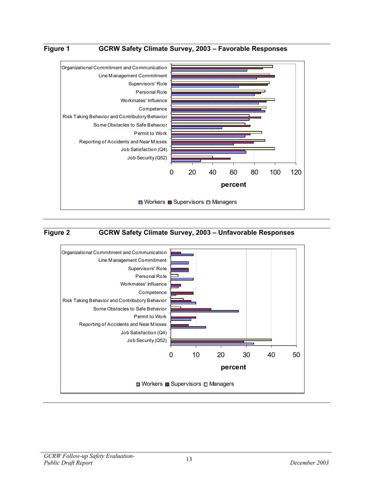#### <span id="page-20-0"></span>**Figure 1 GCRW Safety Climate Survey, 2003 – Favorable Responses**



<span id="page-20-1"></span>

#### **Figure 2 GCRW Safety Climate Survey, 2003 – Unfavorable Responses**

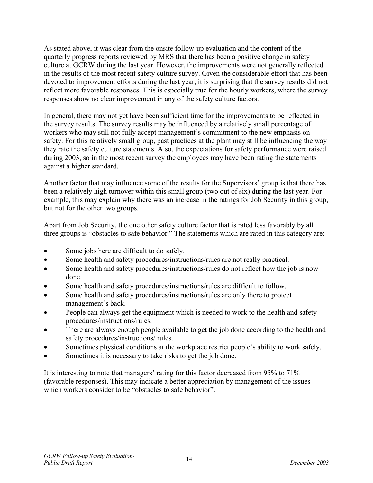As stated above, it was clear from the onsite follow-up evaluation and the content of the quarterly progress reports reviewed by MRS that there has been a positive change in safety culture at GCRW during the last year. However, the improvements were not generally reflected in the results of the most recent safety culture survey. Given the considerable effort that has been devoted to improvement efforts during the last year, it is surprising that the survey results did not reflect more favorable responses. This is especially true for the hourly workers, where the survey responses show no clear improvement in any of the safety culture factors.

In general, there may not yet have been sufficient time for the improvements to be reflected in the survey results. The survey results may be influenced by a relatively small percentage of workers who may still not fully accept management's commitment to the new emphasis on safety. For this relatively small group, past practices at the plant may still be influencing the way they rate the safety culture statements. Also, the expectations for safety performance were raised during 2003, so in the most recent survey the employees may have been rating the statements against a higher standard.

Another factor that may influence some of the results for the Supervisors' group is that there has been a relatively high turnover within this small group (two out of six) during the last year. For example, this may explain why there was an increase in the ratings for Job Security in this group, but not for the other two groups.

Apart from Job Security, the one other safety culture factor that is rated less favorably by all three groups is "obstacles to safe behavior." The statements which are rated in this category are:

- Some jobs here are difficult to do safely.
- Some health and safety procedures/instructions/rules are not really practical.
- Some health and safety procedures/instructions/rules do not reflect how the job is now done.
- Some health and safety procedures/instructions/rules are difficult to follow.
- Some health and safety procedures/instructions/rules are only there to protect management's back.
- People can always get the equipment which is needed to work to the health and safety procedures/instructions/rules.
- There are always enough people available to get the job done according to the health and safety procedures/instructions/ rules.
- Sometimes physical conditions at the workplace restrict people's ability to work safely.
- Sometimes it is necessary to take risks to get the job done.

It is interesting to note that managers' rating for this factor decreased from 95% to 71% (favorable responses). This may indicate a better appreciation by management of the issues which workers consider to be "obstacles to safe behavior".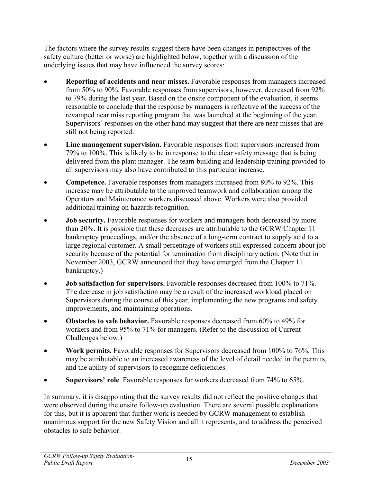The factors where the survey results suggest there have been changes in perspectives of the safety culture (better or worse) are highlighted below, together with a discussion of the underlying issues that may have influenced the survey scores:

- **Reporting of accidents and near misses.** Favorable responses from managers increased from 50% to 90%. Favorable responses from supervisors, however, decreased from 92% to 79% during the last year. Based on the onsite component of the evaluation, it seems reasonable to conclude that the response by managers is reflective of the success of the revamped near miss reporting program that was launched at the beginning of the year. Supervisors' responses on the other hand may suggest that there are near misses that are still not being reported.
- **Line management supervision.** Favorable responses from supervisors increased from 79% to 100%. This is likely to be in response to the clear safety message that is being delivered from the plant manager. The team-building and leadership training provided to all supervisors may also have contributed to this particular increase.
- **Competence.** Favorable responses from managers increased from 80% to 92%. This increase may be attributable to the improved teamwork and collaboration among the Operators and Maintenance workers discussed above. Workers were also provided additional training on hazards recognition.
- **Job security.** Favorable responses for workers and managers both decreased by more than 20%. It is possible that these decreases are attributable to the GCRW Chapter 11 bankruptcy proceedings, and/or the absence of a long-term contract to supply acid to a large regional customer. A small percentage of workers still expressed concern about job security because of the potential for termination from disciplinary action. (Note that in November 2003, GCRW announced that they have emerged from the Chapter 11 bankruptcy.)
- **Job satisfaction for supervisors.** Favorable responses decreased from 100% to 71%. The decrease in job satisfaction may be a result of the increased workload placed on Supervisors during the course of this year, implementing the new programs and safety improvements, and maintaining operations.
- **Obstacles to safe behavior.** Favorable responses decreased from 60% to 49% for workers and from 95% to 71% for managers. (Refer to the discussion of Current Challenges below.)
- **Work permits.** Favorable responses for Supervisors decreased from 100% to 76%. This may be attributable to an increased awareness of the level of detail needed in the permits, and the ability of supervisors to recognize deficiencies.
- **Supervisors' role**. Favorable responses for workers decreased from 74% to 65%.

In summary, it is disappointing that the survey results did not reflect the positive changes that were observed during the onsite follow-up evaluation. There are several possible explanations for this, but it is apparent that further work is needed by GCRW management to establish unanimous support for the new Safety Vision and all it represents, and to address the perceived obstacles to safe behavior.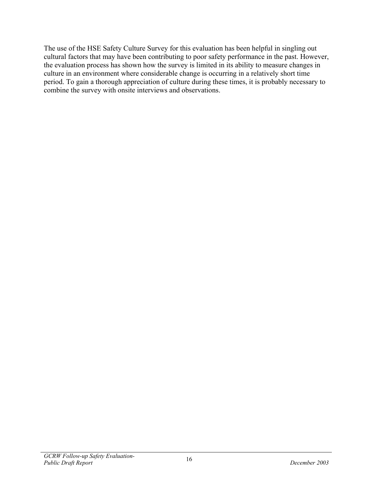The use of the HSE Safety Culture Survey for this evaluation has been helpful in singling out cultural factors that may have been contributing to poor safety performance in the past. However, the evaluation process has shown how the survey is limited in its ability to measure changes in culture in an environment where considerable change is occurring in a relatively short time period. To gain a thorough appreciation of culture during these times, it is probably necessary to combine the survey with onsite interviews and observations.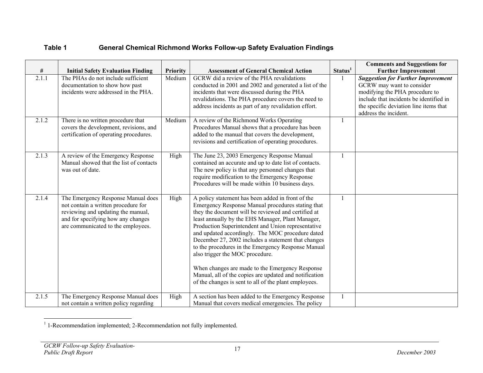<span id="page-24-1"></span>

| $\#$  | <b>Initial Safety Evaluation Finding</b>                                                                                                                                                    | <b>Priority</b> | <b>Assessment of General Chemical Action</b>                                                                                                                                                                                                                                                                                                                                                                                                                                                                                                                                                                                                       | Status <sup>1</sup> | <b>Comments and Suggestions for</b><br><b>Further Improvement</b>                                                                                                                                                      |
|-------|---------------------------------------------------------------------------------------------------------------------------------------------------------------------------------------------|-----------------|----------------------------------------------------------------------------------------------------------------------------------------------------------------------------------------------------------------------------------------------------------------------------------------------------------------------------------------------------------------------------------------------------------------------------------------------------------------------------------------------------------------------------------------------------------------------------------------------------------------------------------------------------|---------------------|------------------------------------------------------------------------------------------------------------------------------------------------------------------------------------------------------------------------|
| 2.1.1 | The PHAs do not include sufficient<br>documentation to show how past<br>incidents were addressed in the PHA.                                                                                | Medium          | GCRW did a review of the PHA revalidations<br>conducted in 2001 and 2002 and generated a list of the<br>incidents that were discussed during the PHA<br>revalidations. The PHA procedure covers the need to<br>address incidents as part of any revalidation effort.                                                                                                                                                                                                                                                                                                                                                                               |                     | <b>Suggestion for Further Improvement</b><br>GCRW may want to consider<br>modifying the PHA procedure to<br>include that incidents be identified in<br>the specific deviation line items that<br>address the incident. |
| 2.1.2 | There is no written procedure that<br>covers the development, revisions, and<br>certification of operating procedures.                                                                      | Medium          | A review of the Richmond Works Operating<br>Procedures Manual shows that a procedure has been<br>added to the manual that covers the development,<br>revisions and certification of operating procedures.                                                                                                                                                                                                                                                                                                                                                                                                                                          | $\mathbf{1}$        |                                                                                                                                                                                                                        |
| 2.1.3 | A review of the Emergency Response<br>Manual showed that the list of contacts<br>was out of date.                                                                                           | High            | The June 23, 2003 Emergency Response Manual<br>contained an accurate and up to date list of contacts.<br>The new policy is that any personnel changes that<br>require modification to the Emergency Response<br>Procedures will be made within 10 business days.                                                                                                                                                                                                                                                                                                                                                                                   |                     |                                                                                                                                                                                                                        |
| 2.1.4 | The Emergency Response Manual does<br>not contain a written procedure for<br>reviewing and updating the manual,<br>and for specifying how any changes<br>are communicated to the employees. | High            | A policy statement has been added in front of the<br>Emergency Response Manual procedures stating that<br>they the document will be reviewed and certified at<br>least annually by the EHS Manager, Plant Manager,<br>Production Superintendent and Union representative<br>and updated accordingly. The MOC procedure dated<br>December 27, 2002 includes a statement that changes<br>to the procedures in the Emergency Response Manual<br>also trigger the MOC procedure.<br>When changes are made to the Emergency Response<br>Manual, all of the copies are updated and notification<br>of the changes is sent to all of the plant employees. | $\mathbf{1}$        |                                                                                                                                                                                                                        |
| 2.1.5 | The Emergency Response Manual does<br>not contain a written policy regarding                                                                                                                | High            | A section has been added to the Emergency Response<br>Manual that covers medical emergencies. The policy                                                                                                                                                                                                                                                                                                                                                                                                                                                                                                                                           | $\mathbf{1}$        |                                                                                                                                                                                                                        |

<span id="page-24-0"></span><sup>&</sup>lt;sup>1</sup> 1-Recommendation implemented; 2-Recommendation not fully implemented.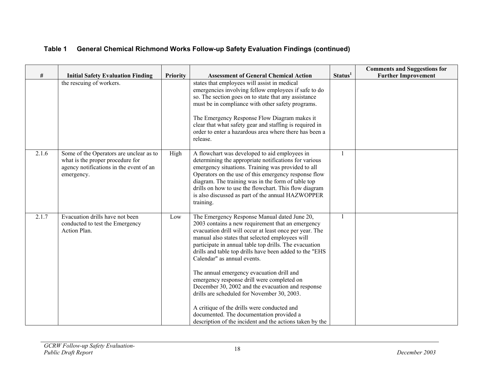| $\#$  | <b>Initial Safety Evaluation Finding</b>                                                                                             | <b>Priority</b> | <b>Assessment of General Chemical Action</b>                                                                                                                                                                                                                                                                                                                                                                                                                                                                                                                                                                                                                                                                              | Status <sup>1</sup> | <b>Comments and Suggestions for</b><br><b>Further Improvement</b> |
|-------|--------------------------------------------------------------------------------------------------------------------------------------|-----------------|---------------------------------------------------------------------------------------------------------------------------------------------------------------------------------------------------------------------------------------------------------------------------------------------------------------------------------------------------------------------------------------------------------------------------------------------------------------------------------------------------------------------------------------------------------------------------------------------------------------------------------------------------------------------------------------------------------------------------|---------------------|-------------------------------------------------------------------|
|       | the rescuing of workers.                                                                                                             |                 | states that employees will assist in medical<br>emergencies involving fellow employees if safe to do<br>so. The section goes on to state that any assistance<br>must be in compliance with other safety programs.<br>The Emergency Response Flow Diagram makes it<br>clear that what safety gear and staffing is required in<br>order to enter a hazardous area where there has been a<br>release.                                                                                                                                                                                                                                                                                                                        |                     |                                                                   |
| 2.1.6 | Some of the Operators are unclear as to<br>what is the proper procedure for<br>agency notifications in the event of an<br>emergency. | High            | A flowchart was developed to aid employees in<br>determining the appropriate notifications for various<br>emergency situations. Training was provided to all<br>Operators on the use of this emergency response flow<br>diagram. The training was in the form of table top<br>drills on how to use the flowchart. This flow diagram<br>is also discussed as part of the annual HAZWOPPER<br>training.                                                                                                                                                                                                                                                                                                                     | $\mathbf{1}$        |                                                                   |
| 2.1.7 | Evacuation drills have not been<br>conducted to test the Emergency<br>Action Plan.                                                   | Low             | The Emergency Response Manual dated June 20,<br>2003 contains a new requirement that an emergency<br>evacuation drill will occur at least once per year. The<br>manual also states that selected employees will<br>participate in annual table top drills. The evacuation<br>drills and table top drills have been added to the "EHS<br>Calendar" as annual events.<br>The annual emergency evacuation drill and<br>emergency response drill were completed on<br>December 30, 2002 and the evacuation and response<br>drills are scheduled for November 30, 2003.<br>A critique of the drills were conducted and<br>documented. The documentation provided a<br>description of the incident and the actions taken by the | $\mathbf{1}$        |                                                                   |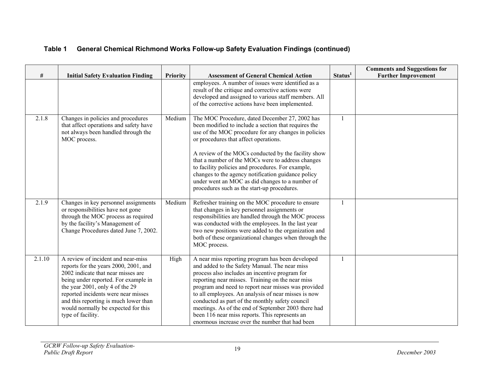|        |                                                                                                                                                                                                                                                                                                                                          |                 |                                                                                                                                                                                                                                                                                                                                                                                                                                                                                                                                      |                     | <b>Comments and Suggestions for</b> |
|--------|------------------------------------------------------------------------------------------------------------------------------------------------------------------------------------------------------------------------------------------------------------------------------------------------------------------------------------------|-----------------|--------------------------------------------------------------------------------------------------------------------------------------------------------------------------------------------------------------------------------------------------------------------------------------------------------------------------------------------------------------------------------------------------------------------------------------------------------------------------------------------------------------------------------------|---------------------|-------------------------------------|
| $\#$   | <b>Initial Safety Evaluation Finding</b>                                                                                                                                                                                                                                                                                                 | <b>Priority</b> | <b>Assessment of General Chemical Action</b>                                                                                                                                                                                                                                                                                                                                                                                                                                                                                         | Status <sup>1</sup> | <b>Further Improvement</b>          |
|        |                                                                                                                                                                                                                                                                                                                                          |                 | employees. A number of issues were identified as a<br>result of the critique and corrective actions were<br>developed and assigned to various staff members. All<br>of the corrective actions have been implemented.                                                                                                                                                                                                                                                                                                                 |                     |                                     |
| 2.1.8  | Changes in policies and procedures<br>that affect operations and safety have<br>not always been handled through the<br>MOC process.                                                                                                                                                                                                      | Medium          | The MOC Procedure, dated December 27, 2002 has<br>been modified to include a section that requires the<br>use of the MOC procedure for any changes in policies<br>or procedures that affect operations.<br>A review of the MOCs conducted by the facility show<br>that a number of the MOCs were to address changes<br>to facility policies and procedures. For example,<br>changes to the agency notification guidance policy<br>under went an MOC as did changes to a number of<br>procedures such as the start-up procedures.     | $\mathbf{1}$        |                                     |
| 2.1.9  | Changes in key personnel assignments<br>or responsibilities have not gone<br>through the MOC process as required<br>by the facility's Management of<br>Change Procedures dated June 7, 2002.                                                                                                                                             | Medium          | Refresher training on the MOC procedure to ensure<br>that changes in key personnel assignments or<br>responsibilities are handled through the MOC process<br>was conducted with the employees. In the last year<br>two new positions were added to the organization and<br>both of these organizational changes when through the<br>MOC process.                                                                                                                                                                                     | $\mathbf{1}$        |                                     |
| 2.1.10 | A review of incident and near-miss<br>reports for the years 2000, 2001, and<br>2002 indicate that near misses are<br>being under reported. For example in<br>the year 2001, only 4 of the 29<br>reported incidents were near misses<br>and this reporting is much lower than<br>would normally be expected for this<br>type of facility. | High            | A near miss reporting program has been developed<br>and added to the Safety Manual. The near miss<br>process also includes an incentive program for<br>reporting near misses. Training on the near miss<br>program and need to report near misses was provided<br>to all employees. An analysis of near misses is now<br>conducted as part of the monthly safety council<br>meetings. As of the end of September 2003 there had<br>been 116 near miss reports. This represents an<br>enormous increase over the number that had been |                     |                                     |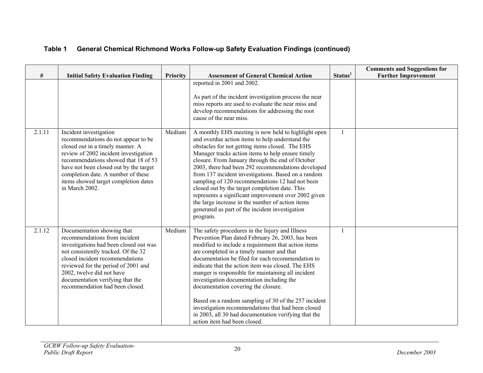|  | Table 1 General Chemical Richmond Works Follow-up Safety Evaluation Findings (continued) |
|--|------------------------------------------------------------------------------------------|
|--|------------------------------------------------------------------------------------------|

|        |                                                                                                                                                                                                                                                                                                                              |          |                                                                                                                                                                                                                                                                                                                                                                                                                                                                                                                                                                                                                                                                    |                     | <b>Comments and Suggestions for</b> |
|--------|------------------------------------------------------------------------------------------------------------------------------------------------------------------------------------------------------------------------------------------------------------------------------------------------------------------------------|----------|--------------------------------------------------------------------------------------------------------------------------------------------------------------------------------------------------------------------------------------------------------------------------------------------------------------------------------------------------------------------------------------------------------------------------------------------------------------------------------------------------------------------------------------------------------------------------------------------------------------------------------------------------------------------|---------------------|-------------------------------------|
| $\#$   | <b>Initial Safety Evaluation Finding</b>                                                                                                                                                                                                                                                                                     | Priority | <b>Assessment of General Chemical Action</b><br>reported in 2001 and 2002.                                                                                                                                                                                                                                                                                                                                                                                                                                                                                                                                                                                         | Status <sup>1</sup> | <b>Further Improvement</b>          |
|        |                                                                                                                                                                                                                                                                                                                              |          | As part of the incident investigation process the near<br>miss reports are used to evaluate the near miss and<br>develop recommendations for addressing the root<br>cause of the near miss.                                                                                                                                                                                                                                                                                                                                                                                                                                                                        |                     |                                     |
| 2.1.11 | Incident investigation<br>recommendations do not appear to be<br>closed out in a timely manner. A<br>review of 2002 incident investigation<br>recommendations showed that 18 of 53<br>have not been closed out by the target<br>completion date. A number of these<br>items showed target completion dates<br>in March 2002. | Medium   | A monthly EHS meeting is now held to highlight open<br>and overdue action items to help understand the<br>obstacles for not getting items closed. The EHS<br>Manager tracks action items to help ensure timely<br>closure. From January through the end of October<br>2003, there had been 292 recommendations developed<br>from 137 incident investigations. Based on a random<br>sampling of 120 recommendations 12 had not been<br>closed out by the target completion date. This<br>represents a significant improvement over 2002 given<br>the large increase in the number of action items<br>generated as part of the incident investigation<br>program.    | $\mathbf{1}$        |                                     |
| 2.1.12 | Documentation showing that<br>recommendations from incident<br>investigations had been closed out was<br>not consistently tracked. Of the 32<br>closed incident recommendations<br>reviewed for the period of 2001 and<br>2002, twelve did not have<br>documentation verifying that the<br>recommendation had been closed.   | Medium   | The safety procedures in the Injury and Illness<br>Prevention Plan dated February 26, 2003, has been<br>modified to include a requirement that action items<br>are completed in a timely manner and that<br>documentation be filed for each recommendation to<br>indicate that the action item was closed. The EHS<br>manger is responsible for maintaining all incident<br>investigation documentation including the<br>documentation covering the closure.<br>Based on a random sampling of 30 of the 257 incident<br>investigation recommendations that had been closed<br>in 2003, all 30 had documentation verifying that the<br>action item had been closed. | $\overline{1}$      |                                     |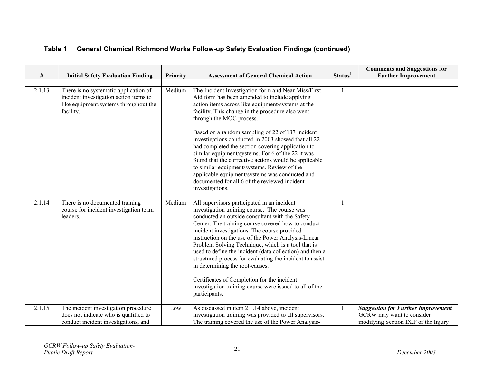| #      | <b>Initial Safety Evaluation Finding</b>                                                                                              | <b>Priority</b> | <b>Assessment of General Chemical Action</b>                                                                                                                                                                                                                                                                                                                                                                                                                                                                                                                                                                                                                                                 | Status <sup>1</sup> | <b>Comments and Suggestions for</b><br><b>Further Improvement</b>                                              |
|--------|---------------------------------------------------------------------------------------------------------------------------------------|-----------------|----------------------------------------------------------------------------------------------------------------------------------------------------------------------------------------------------------------------------------------------------------------------------------------------------------------------------------------------------------------------------------------------------------------------------------------------------------------------------------------------------------------------------------------------------------------------------------------------------------------------------------------------------------------------------------------------|---------------------|----------------------------------------------------------------------------------------------------------------|
|        |                                                                                                                                       |                 |                                                                                                                                                                                                                                                                                                                                                                                                                                                                                                                                                                                                                                                                                              |                     |                                                                                                                |
| 2.1.13 | There is no systematic application of<br>incident investigation action items to<br>like equipment/systems throughout the<br>facility. | Medium          | The Incident Investigation form and Near Miss/First<br>Aid form has been amended to include applying<br>action items across like equipment/systems at the<br>facility. This change in the procedure also went<br>through the MOC process.<br>Based on a random sampling of 22 of 137 incident<br>investigations conducted in 2003 showed that all 22<br>had completed the section covering application to<br>similar equipment/systems. For 6 of the 22 it was<br>found that the corrective actions would be applicable<br>to similar equipment/systems. Review of the<br>applicable equipment/systems was conducted and<br>documented for all 6 of the reviewed incident<br>investigations. |                     |                                                                                                                |
| 2.1.14 | There is no documented training<br>course for incident investigation team<br>leaders.                                                 | Medium          | All supervisors participated in an incident<br>investigation training course. The course was<br>conducted an outside consultant with the Safety<br>Center. The training course covered how to conduct<br>incident investigations. The course provided<br>instruction on the use of the Power Analysis-Linear<br>Problem Solving Technique, which is a tool that is<br>used to define the incident (data collection) and then a<br>structured process for evaluating the incident to assist<br>in determining the root-causes.<br>Certificates of Completion for the incident<br>investigation training course were issued to all of the<br>participants.                                     |                     |                                                                                                                |
| 2.1.15 | The incident investigation procedure<br>does not indicate who is qualified to<br>conduct incident investigations, and                 | Low             | As discussed in item 2.1.14 above, incident<br>investigation training was provided to all supervisors.<br>The training covered the use of the Power Analysis-                                                                                                                                                                                                                                                                                                                                                                                                                                                                                                                                |                     | <b>Suggestion for Further Improvement</b><br>GCRW may want to consider<br>modifying Section IX.F of the Injury |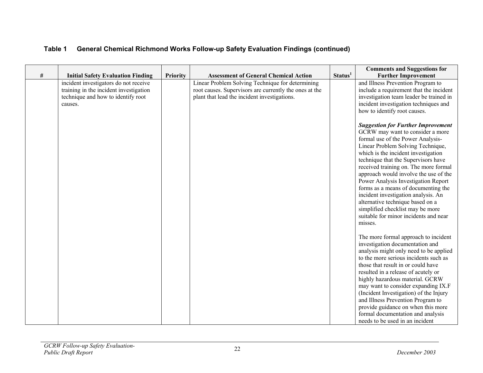|      |                                                                                                                                  |                 |                                                                                                                                                            |                     | <b>Comments and Suggestions for</b>                                                                                                                                                                                                                                                                                                                                                                                                                                                                                                                                                                                                                                                                                      |
|------|----------------------------------------------------------------------------------------------------------------------------------|-----------------|------------------------------------------------------------------------------------------------------------------------------------------------------------|---------------------|--------------------------------------------------------------------------------------------------------------------------------------------------------------------------------------------------------------------------------------------------------------------------------------------------------------------------------------------------------------------------------------------------------------------------------------------------------------------------------------------------------------------------------------------------------------------------------------------------------------------------------------------------------------------------------------------------------------------------|
| $\#$ | <b>Initial Safety Evaluation Finding</b>                                                                                         | <b>Priority</b> | <b>Assessment of General Chemical Action</b>                                                                                                               | Status <sup>1</sup> | <b>Further Improvement</b>                                                                                                                                                                                                                                                                                                                                                                                                                                                                                                                                                                                                                                                                                               |
|      | incident investigators do not receive<br>training in the incident investigation<br>technique and how to identify root<br>causes. |                 | Linear Problem Solving Technique for determining<br>root causes. Supervisors are currently the ones at the<br>plant that lead the incident investigations. |                     | and Illness Prevention Program to<br>include a requirement that the incident<br>investigation team leader be trained in<br>incident investigation techniques and<br>how to identify root causes.<br><b>Suggestion for Further Improvement</b><br>GCRW may want to consider a more<br>formal use of the Power Analysis-<br>Linear Problem Solving Technique,<br>which is the incident investigation<br>technique that the Supervisors have<br>received training on. The more formal<br>approach would involve the use of the<br>Power Analysis Investigation Report<br>forms as a means of documenting the<br>incident investigation analysis. An<br>alternative technique based on a<br>simplified checklist may be more |
|      |                                                                                                                                  |                 |                                                                                                                                                            |                     | suitable for minor incidents and near<br>misses.<br>The more formal approach to incident<br>investigation documentation and<br>analysis might only need to be applied<br>to the more serious incidents such as<br>those that result in or could have<br>resulted in a release of acutely or<br>highly hazardous material. GCRW<br>may want to consider expanding IX.F<br>(Incident Investigation) of the Injury<br>and Illness Prevention Program to<br>provide guidance on when this more<br>formal documentation and analysis<br>needs to be used in an incident                                                                                                                                                       |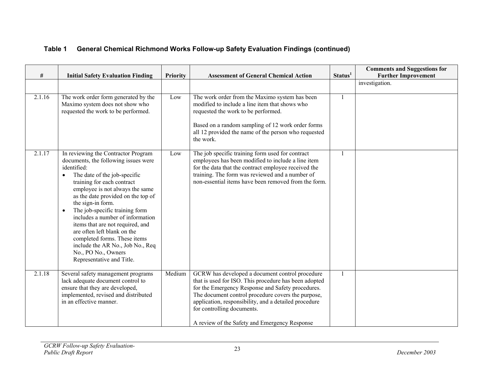| $\#$   | <b>Initial Safety Evaluation Finding</b>                                                                                                                                                                                                                                                                                                                                                                                                                                                                                             | <b>Priority</b> | <b>Assessment of General Chemical Action</b>                                                                                                                                                                                                                                                                                                                | Status <sup>1</sup> | <b>Comments and Suggestions for</b><br><b>Further Improvement</b> |
|--------|--------------------------------------------------------------------------------------------------------------------------------------------------------------------------------------------------------------------------------------------------------------------------------------------------------------------------------------------------------------------------------------------------------------------------------------------------------------------------------------------------------------------------------------|-----------------|-------------------------------------------------------------------------------------------------------------------------------------------------------------------------------------------------------------------------------------------------------------------------------------------------------------------------------------------------------------|---------------------|-------------------------------------------------------------------|
|        |                                                                                                                                                                                                                                                                                                                                                                                                                                                                                                                                      |                 |                                                                                                                                                                                                                                                                                                                                                             |                     | investigation.                                                    |
| 2.1.16 | The work order form generated by the<br>Maximo system does not show who<br>requested the work to be performed.                                                                                                                                                                                                                                                                                                                                                                                                                       | Low             | The work order from the Maximo system has been<br>modified to include a line item that shows who<br>requested the work to be performed.<br>Based on a random sampling of 12 work order forms<br>all 12 provided the name of the person who requested<br>the work.                                                                                           |                     |                                                                   |
| 2.1.17 | In reviewing the Contractor Program<br>documents, the following issues were<br>identified:<br>The date of the job-specific<br>training for each contract<br>employee is not always the same<br>as the date provided on the top of<br>the sign-in form.<br>The job-specific training form<br>$\bullet$<br>includes a number of information<br>items that are not required, and<br>are often left blank on the<br>completed forms. These items<br>include the AR No., Job No., Req<br>No., PO No., Owners<br>Representative and Title. | Low             | The job specific training form used for contract<br>employees has been modified to include a line item<br>for the data that the contract employee received the<br>training. The form was reviewed and a number of<br>non-essential items have been removed from the form.                                                                                   | -1                  |                                                                   |
| 2.1.18 | Several safety management programs<br>lack adequate document control to<br>ensure that they are developed,<br>implemented, revised and distributed<br>in an effective manner.                                                                                                                                                                                                                                                                                                                                                        | Medium          | GCRW has developed a document control procedure<br>that is used for ISO. This procedure has been adopted<br>for the Emergency Response and Safety procedures.<br>The document control procedure covers the purpose,<br>application, responsibility, and a detailed procedure<br>for controlling documents.<br>A review of the Safety and Emergency Response | $\mathbf{1}$        |                                                                   |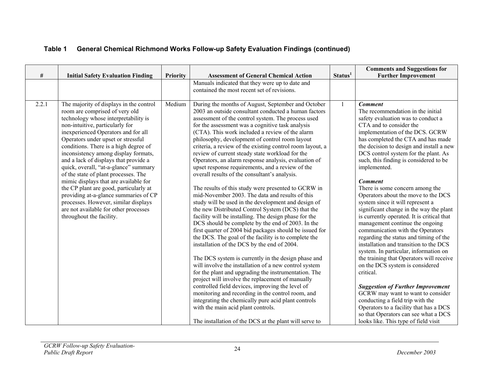|       |                                                                                                                                                                                                                                                                                                                                                                                                                                                                                                                                                                                                                                                                                       |          |                                                                                                                                                                                                                                                                                                                                                                                                                                                                                                                                                                                                                                                                                                                                                                                                                                                                                                                                                                                                                                                                                                         |                     | <b>Comments and Suggestions for</b>                                                                                                                                                                                                                                                                                                                                                                                                                                                                                                                                                                                                         |
|-------|---------------------------------------------------------------------------------------------------------------------------------------------------------------------------------------------------------------------------------------------------------------------------------------------------------------------------------------------------------------------------------------------------------------------------------------------------------------------------------------------------------------------------------------------------------------------------------------------------------------------------------------------------------------------------------------|----------|---------------------------------------------------------------------------------------------------------------------------------------------------------------------------------------------------------------------------------------------------------------------------------------------------------------------------------------------------------------------------------------------------------------------------------------------------------------------------------------------------------------------------------------------------------------------------------------------------------------------------------------------------------------------------------------------------------------------------------------------------------------------------------------------------------------------------------------------------------------------------------------------------------------------------------------------------------------------------------------------------------------------------------------------------------------------------------------------------------|---------------------|---------------------------------------------------------------------------------------------------------------------------------------------------------------------------------------------------------------------------------------------------------------------------------------------------------------------------------------------------------------------------------------------------------------------------------------------------------------------------------------------------------------------------------------------------------------------------------------------------------------------------------------------|
| $\#$  | <b>Initial Safety Evaluation Finding</b>                                                                                                                                                                                                                                                                                                                                                                                                                                                                                                                                                                                                                                              | Priority | <b>Assessment of General Chemical Action</b>                                                                                                                                                                                                                                                                                                                                                                                                                                                                                                                                                                                                                                                                                                                                                                                                                                                                                                                                                                                                                                                            | Status <sup>1</sup> | <b>Further Improvement</b>                                                                                                                                                                                                                                                                                                                                                                                                                                                                                                                                                                                                                  |
|       |                                                                                                                                                                                                                                                                                                                                                                                                                                                                                                                                                                                                                                                                                       |          |                                                                                                                                                                                                                                                                                                                                                                                                                                                                                                                                                                                                                                                                                                                                                                                                                                                                                                                                                                                                                                                                                                         |                     |                                                                                                                                                                                                                                                                                                                                                                                                                                                                                                                                                                                                                                             |
|       |                                                                                                                                                                                                                                                                                                                                                                                                                                                                                                                                                                                                                                                                                       |          |                                                                                                                                                                                                                                                                                                                                                                                                                                                                                                                                                                                                                                                                                                                                                                                                                                                                                                                                                                                                                                                                                                         |                     |                                                                                                                                                                                                                                                                                                                                                                                                                                                                                                                                                                                                                                             |
| 2.2.1 | The majority of displays in the control<br>room are comprised of very old<br>technology whose interpretability is<br>non-intuitive, particularly for<br>inexperienced Operators and for all<br>Operators under upset or stressful<br>conditions. There is a high degree of<br>inconsistency among display formats,<br>and a lack of displays that provide a<br>quick, overall, "at-a-glance" summary<br>of the state of plant processes. The<br>mimic displays that are available for<br>the CP plant are good, particularly at<br>providing at-a-glance summaries of CP<br>processes. However, similar displays<br>are not available for other processes<br>throughout the facility. | Medium   | Manuals indicated that they were up to date and<br>contained the most recent set of revisions.<br>During the months of August, September and October<br>2003 an outside consultant conducted a human factors<br>assessment of the control system. The process used<br>for the assessment was a cognitive task analysis<br>(CTA). This work included a review of the alarm<br>philosophy, development of control room layout<br>criteria, a review of the existing control room layout, a<br>review of current steady state workload for the<br>Operators, an alarm response analysis, evaluation of<br>upset response requirements, and a review of the<br>overall results of the consultant's analysis.<br>The results of this study were presented to GCRW in<br>mid-November 2003. The data and results of this<br>study will be used in the development and design of<br>the new Distributed Control System (DCS) that the<br>facility will be installing. The design phase for the<br>DCS should be complete by the end of 2003. In the<br>first quarter of 2004 bid packages should be issued for | $\mathbf{1}$        | <b>Comment</b><br>The recommendation in the initial<br>safety evaluation was to conduct a<br>CTA and to consider the<br>implementation of the DCS. GCRW<br>has completed the CTA and has made<br>the decision to design and install a new<br>DCS control system for the plant. As<br>such, this finding is considered to be<br>implemented.<br><b>Comment</b><br>There is some concern among the<br>Operators about the move to the DCS<br>system since it will represent a<br>significant change in the way the plant<br>is currently operated. It is critical that<br>management continue the ongoing<br>communication with the Operators |
|       |                                                                                                                                                                                                                                                                                                                                                                                                                                                                                                                                                                                                                                                                                       |          | the DCS. The goal of the facility is to complete the<br>installation of the DCS by the end of 2004.                                                                                                                                                                                                                                                                                                                                                                                                                                                                                                                                                                                                                                                                                                                                                                                                                                                                                                                                                                                                     |                     | regarding the status and timing of the<br>installation and transition to the DCS                                                                                                                                                                                                                                                                                                                                                                                                                                                                                                                                                            |
|       |                                                                                                                                                                                                                                                                                                                                                                                                                                                                                                                                                                                                                                                                                       |          | The DCS system is currently in the design phase and<br>will involve the installation of a new control system<br>for the plant and upgrading the instrumentation. The<br>project will involve the replacement of manually                                                                                                                                                                                                                                                                                                                                                                                                                                                                                                                                                                                                                                                                                                                                                                                                                                                                                |                     | system. In particular, information on<br>the training that Operators will receive<br>on the DCS system is considered<br>critical.                                                                                                                                                                                                                                                                                                                                                                                                                                                                                                           |
|       |                                                                                                                                                                                                                                                                                                                                                                                                                                                                                                                                                                                                                                                                                       |          | controlled field devices, improving the level of<br>monitoring and recording in the control room, and<br>integrating the chemically pure acid plant controls<br>with the main acid plant controls.<br>The installation of the DCS at the plant will serve to                                                                                                                                                                                                                                                                                                                                                                                                                                                                                                                                                                                                                                                                                                                                                                                                                                            |                     | <b>Suggestion of Further Improvement</b><br>GCRW may want to want to consider<br>conducting a field trip with the<br>Operators to a facility that has a DCS<br>so that Operators can see what a DCS<br>looks like. This type of field visit                                                                                                                                                                                                                                                                                                                                                                                                 |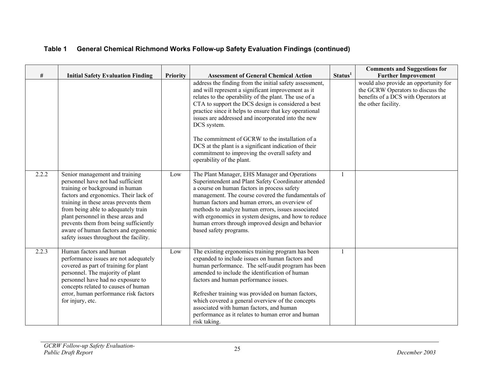| $\#$  | <b>Initial Safety Evaluation Finding</b>                                                                                                                                                                                                                                                                                                                                                         | <b>Priority</b> | <b>Assessment of General Chemical Action</b>                                                                                                                                                                                                                                                                                                                                                                                                                                                                                                           | Status <sup>1</sup> | <b>Comments and Suggestions for</b><br><b>Further Improvement</b>                                                                        |
|-------|--------------------------------------------------------------------------------------------------------------------------------------------------------------------------------------------------------------------------------------------------------------------------------------------------------------------------------------------------------------------------------------------------|-----------------|--------------------------------------------------------------------------------------------------------------------------------------------------------------------------------------------------------------------------------------------------------------------------------------------------------------------------------------------------------------------------------------------------------------------------------------------------------------------------------------------------------------------------------------------------------|---------------------|------------------------------------------------------------------------------------------------------------------------------------------|
|       |                                                                                                                                                                                                                                                                                                                                                                                                  |                 | address the finding from the initial safety assessment,<br>and will represent a significant improvement as it<br>relates to the operability of the plant. The use of a<br>CTA to support the DCS design is considered a best<br>practice since it helps to ensure that key operational<br>issues are addressed and incorporated into the new<br>DCS system.<br>The commitment of GCRW to the installation of a<br>DCS at the plant is a significant indication of their<br>commitment to improving the overall safety and<br>operability of the plant. |                     | would also provide an opportunity for<br>the GCRW Operators to discuss the<br>benefits of a DCS with Operators at<br>the other facility. |
| 2.2.2 | Senior management and training<br>personnel have not had sufficient<br>training or background in human<br>factors and ergonomics. Their lack of<br>training in these areas prevents them<br>from being able to adequately train<br>plant personnel in these areas and<br>prevents them from being sufficiently<br>aware of human factors and ergonomic<br>safety issues throughout the facility. | Low             | The Plant Manager, EHS Manager and Operations<br>Superintendent and Plant Safety Coordinator attended<br>a course on human factors in process safety<br>management. The course covered the fundamentals of<br>human factors and human errors, an overview of<br>methods to analyze human errors, issues associated<br>with ergonomics in system designs, and how to reduce<br>human errors through improved design and behavior<br>based safety programs.                                                                                              |                     |                                                                                                                                          |
| 2.2.3 | Human factors and human<br>performance issues are not adequately<br>covered as part of training for plant<br>personnel. The majority of plant<br>personnel have had no exposure to<br>concepts related to causes of human<br>error, human performance risk factors<br>for injury, etc.                                                                                                           | Low             | The existing ergonomics training program has been<br>expanded to include issues on human factors and<br>human performance. The self-audit program has been<br>amended to include the identification of human<br>factors and human performance issues.<br>Refresher training was provided on human factors,<br>which covered a general overview of the concepts<br>associated with human factors, and human<br>performance as it relates to human error and human<br>risk taking.                                                                       |                     |                                                                                                                                          |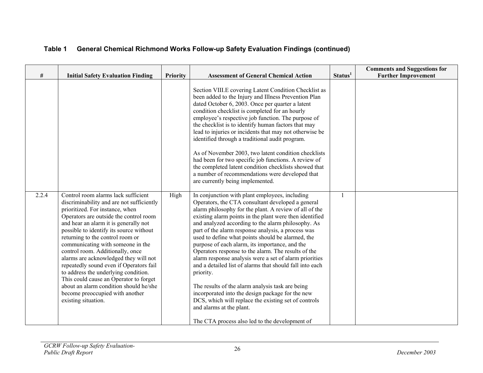| #     | <b>Initial Safety Evaluation Finding</b>                                                                                                                                                                                                                                                                                                                                                                                                                                                                                                                                                                                                 | Priority | <b>Assessment of General Chemical Action</b>                                                                                                                                                                                                                                                                                                                                                                                                                                                                                                                                                                                                                                                                                                                                                                                                                                        | Status <sup>1</sup> | <b>Comments and Suggestions for</b><br><b>Further Improvement</b> |
|-------|------------------------------------------------------------------------------------------------------------------------------------------------------------------------------------------------------------------------------------------------------------------------------------------------------------------------------------------------------------------------------------------------------------------------------------------------------------------------------------------------------------------------------------------------------------------------------------------------------------------------------------------|----------|-------------------------------------------------------------------------------------------------------------------------------------------------------------------------------------------------------------------------------------------------------------------------------------------------------------------------------------------------------------------------------------------------------------------------------------------------------------------------------------------------------------------------------------------------------------------------------------------------------------------------------------------------------------------------------------------------------------------------------------------------------------------------------------------------------------------------------------------------------------------------------------|---------------------|-------------------------------------------------------------------|
|       |                                                                                                                                                                                                                                                                                                                                                                                                                                                                                                                                                                                                                                          |          | Section VIII.E covering Latent Condition Checklist as<br>been added to the Injury and Illness Prevention Plan<br>dated October 6, 2003. Once per quarter a latent<br>condition checklist is completed for an hourly<br>employee's respective job function. The purpose of<br>the checklist is to identify human factors that may<br>lead to injuries or incidents that may not otherwise be<br>identified through a traditional audit program.<br>As of November 2003, two latent condition checklists<br>had been for two specific job functions. A review of<br>the completed latent condition checklists showed that<br>a number of recommendations were developed that<br>are currently being implemented.                                                                                                                                                                      |                     |                                                                   |
| 2.2.4 | Control room alarms lack sufficient<br>discriminability and are not sufficiently<br>prioritized. For instance, when<br>Operators are outside the control room<br>and hear an alarm it is generally not<br>possible to identify its source without<br>returning to the control room or<br>communicating with someone in the<br>control room. Additionally, once<br>alarms are acknowledged they will not<br>repeatedly sound even if Operators fail<br>to address the underlying condition.<br>This could cause an Operator to forget<br>about an alarm condition should he/she<br>become preoccupied with another<br>existing situation. | High     | In conjunction with plant employees, including<br>Operators, the CTA consultant developed a general<br>alarm philosophy for the plant. A review of all of the<br>existing alarm points in the plant were then identified<br>and analyzed according to the alarm philosophy. As<br>part of the alarm response analysis, a process was<br>used to define what points should be alarmed, the<br>purpose of each alarm, its importance, and the<br>Operators response to the alarm. The results of the<br>alarm response analysis were a set of alarm priorities<br>and a detailed list of alarms that should fall into each<br>priority.<br>The results of the alarm analysis task are being<br>incorporated into the design package for the new<br>DCS, which will replace the existing set of controls<br>and alarms at the plant.<br>The CTA process also led to the development of | $\mathbf{1}$        |                                                                   |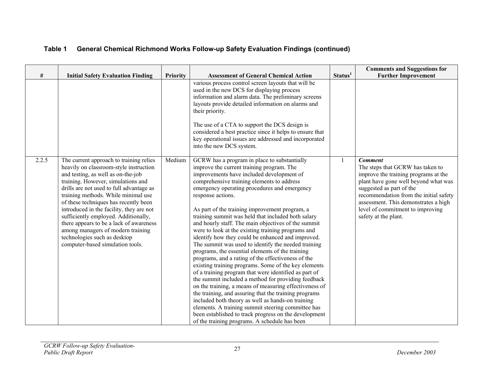|       |                                                                                                                                                                                                                                                                                                                                                                                                                                                                                                                                   |                 |                                                                                                                                                                                                                                                                                                                                                                                                                                                                                                                                                                                                                                                                                                                                                                                                                                                                                                                                                                                                                                                                                                                                                                                                                      |                     | <b>Comments and Suggestions for</b>                                                                                                                                                                                                                                                                          |
|-------|-----------------------------------------------------------------------------------------------------------------------------------------------------------------------------------------------------------------------------------------------------------------------------------------------------------------------------------------------------------------------------------------------------------------------------------------------------------------------------------------------------------------------------------|-----------------|----------------------------------------------------------------------------------------------------------------------------------------------------------------------------------------------------------------------------------------------------------------------------------------------------------------------------------------------------------------------------------------------------------------------------------------------------------------------------------------------------------------------------------------------------------------------------------------------------------------------------------------------------------------------------------------------------------------------------------------------------------------------------------------------------------------------------------------------------------------------------------------------------------------------------------------------------------------------------------------------------------------------------------------------------------------------------------------------------------------------------------------------------------------------------------------------------------------------|---------------------|--------------------------------------------------------------------------------------------------------------------------------------------------------------------------------------------------------------------------------------------------------------------------------------------------------------|
| #     | <b>Initial Safety Evaluation Finding</b>                                                                                                                                                                                                                                                                                                                                                                                                                                                                                          | <b>Priority</b> | <b>Assessment of General Chemical Action</b><br>various process control screen layouts that will be<br>used in the new DCS for displaying process<br>information and alarm data. The preliminary screens<br>layouts provide detailed information on alarms and<br>their priority.<br>The use of a CTA to support the DCS design is<br>considered a best practice since it helps to ensure that<br>key operational issues are addressed and incorporated<br>into the new DCS system.                                                                                                                                                                                                                                                                                                                                                                                                                                                                                                                                                                                                                                                                                                                                  | Status <sup>1</sup> | <b>Further Improvement</b>                                                                                                                                                                                                                                                                                   |
| 2.2.5 | The current approach to training relies<br>heavily on classroom-style instruction<br>and testing, as well as on-the-job<br>training. However, simulations and<br>drills are not used to full advantage as<br>training methods. While minimal use<br>of these techniques has recently been<br>introduced in the facility, they are not<br>sufficiently employed. Additionally,<br>there appears to be a lack of awareness<br>among managers of modern training<br>technologies such as desktop<br>computer-based simulation tools. | Medium          | GCRW has a program in place to substantially<br>improve the current training program. The<br>improvements have included development of<br>comprehensive training elements to address<br>emergency operating procedures and emergency<br>response actions.<br>As part of the training improvement program, a<br>training summit was held that included both salary<br>and hourly staff. The main objectives of the summit<br>were to look at the existing training programs and<br>identify how they could be enhanced and improved.<br>The summit was used to identify the needed training<br>programs, the essential elements of the training<br>programs, and a rating of the effectiveness of the<br>existing training programs. Some of the key elements<br>of a training program that were identified as part of<br>the summit included a method for providing feedback<br>on the training, a means of measuring effectiveness of<br>the training, and assuring that the training programs<br>included both theory as well as hands-on training<br>elements. A training summit steering committee has<br>been established to track progress on the development<br>of the training programs. A schedule has been | $\mathbf{1}$        | <b>Comment</b><br>The steps that GCRW has taken to<br>improve the training programs at the<br>plant have gone well beyond what was<br>suggested as part of the<br>recommendation from the initial safety<br>assessment. This demonstrates a high<br>level of commitment to improving<br>safety at the plant. |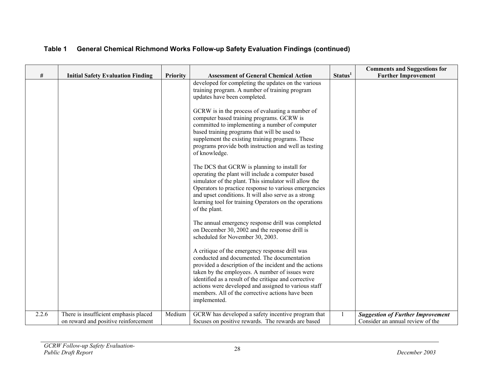| Table 1 General Chemical Richmond Works Follow-up Safety Evaluation Findings (continued) |  |
|------------------------------------------------------------------------------------------|--|
|                                                                                          |  |

|       |                                                                               |                 |                                                                                                                                                                                                                                                                                                                                                                                                                                                                                                                                                                             |                     | <b>Comments and Suggestions for</b>                                          |
|-------|-------------------------------------------------------------------------------|-----------------|-----------------------------------------------------------------------------------------------------------------------------------------------------------------------------------------------------------------------------------------------------------------------------------------------------------------------------------------------------------------------------------------------------------------------------------------------------------------------------------------------------------------------------------------------------------------------------|---------------------|------------------------------------------------------------------------------|
| #     | <b>Initial Safety Evaluation Finding</b>                                      | <b>Priority</b> | <b>Assessment of General Chemical Action</b>                                                                                                                                                                                                                                                                                                                                                                                                                                                                                                                                | Status <sup>1</sup> | <b>Further Improvement</b>                                                   |
|       |                                                                               |                 | developed for completing the updates on the various<br>training program. A number of training program<br>updates have been completed.<br>GCRW is in the process of evaluating a number of<br>computer based training programs. GCRW is<br>committed to implementing a number of computer<br>based training programs that will be used to<br>supplement the existing training programs. These<br>programs provide both instruction and well as testing<br>of knowledge.<br>The DCS that GCRW is planning to install for<br>operating the plant will include a computer based |                     |                                                                              |
|       |                                                                               |                 | simulator of the plant. This simulator will allow the<br>Operators to practice response to various emergencies<br>and upset conditions. It will also serve as a strong<br>learning tool for training Operators on the operations<br>of the plant.                                                                                                                                                                                                                                                                                                                           |                     |                                                                              |
|       |                                                                               |                 | The annual emergency response drill was completed<br>on December 30, 2002 and the response drill is<br>scheduled for November 30, 2003.                                                                                                                                                                                                                                                                                                                                                                                                                                     |                     |                                                                              |
|       |                                                                               |                 | A critique of the emergency response drill was<br>conducted and documented. The documentation<br>provided a description of the incident and the actions<br>taken by the employees. A number of issues were<br>identified as a result of the critique and corrective<br>actions were developed and assigned to various staff<br>members. All of the corrective actions have been<br>implemented.                                                                                                                                                                             |                     |                                                                              |
| 2.2.6 | There is insufficient emphasis placed<br>on reward and positive reinforcement | Medium          | GCRW has developed a safety incentive program that<br>focuses on positive rewards. The rewards are based                                                                                                                                                                                                                                                                                                                                                                                                                                                                    |                     | <b>Suggestion of Further Improvement</b><br>Consider an annual review of the |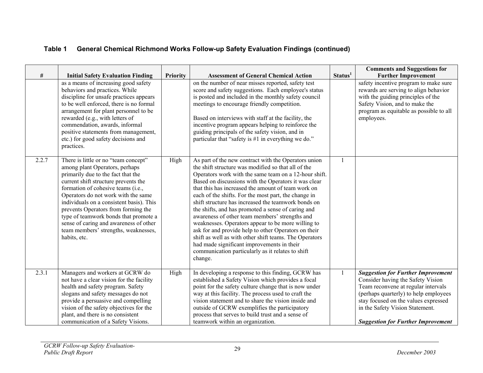| $\#$  | <b>Initial Safety Evaluation Finding</b>                                                                                                                                                                                                                                                                                                                                                                                                                        | <b>Priority</b> | <b>Assessment of General Chemical Action</b>                                                                                                                                                                                                                                                                                                                                                                                                                                                                                                                                                                                                                                                                                                                                                    | Status <sup>1</sup> | <b>Comments and Suggestions for</b><br><b>Further Improvement</b>                                                                                                                                                                                                                      |
|-------|-----------------------------------------------------------------------------------------------------------------------------------------------------------------------------------------------------------------------------------------------------------------------------------------------------------------------------------------------------------------------------------------------------------------------------------------------------------------|-----------------|-------------------------------------------------------------------------------------------------------------------------------------------------------------------------------------------------------------------------------------------------------------------------------------------------------------------------------------------------------------------------------------------------------------------------------------------------------------------------------------------------------------------------------------------------------------------------------------------------------------------------------------------------------------------------------------------------------------------------------------------------------------------------------------------------|---------------------|----------------------------------------------------------------------------------------------------------------------------------------------------------------------------------------------------------------------------------------------------------------------------------------|
|       | as a means of increasing good safety<br>behaviors and practices. While<br>discipline for unsafe practices appears<br>to be well enforced, there is no formal<br>arrangement for plant personnel to be<br>rewarded (e.g., with letters of<br>commendation, awards, informal<br>positive statements from management,<br>etc.) for good safety decisions and<br>practices.                                                                                         |                 | on the number of near misses reported, safety test<br>score and safety suggestions. Each employee's status<br>is posted and included in the monthly safety council<br>meetings to encourage friendly competition.<br>Based on interviews with staff at the facility, the<br>incentive program appears helping to reinforce the<br>guiding principals of the safety vision, and in<br>particular that "safety is #1 in everything we do."                                                                                                                                                                                                                                                                                                                                                        |                     | safety incentive program to make sure<br>rewards are serving to align behavior<br>with the guiding principles of the<br>Safety Vision, and to make the<br>program as equitable as possible to all<br>employees.                                                                        |
| 2.2.7 | There is little or no "team concept"<br>among plant Operators, perhaps<br>primarily due to the fact that the<br>current shift structure prevents the<br>formation of cohesive teams (i.e.,<br>Operators do not work with the same<br>individuals on a consistent basis). This<br>prevents Operators from forming the<br>type of teamwork bonds that promote a<br>sense of caring and awareness of other<br>team members' strengths, weaknesses,<br>habits, etc. | High            | As part of the new contract with the Operators union<br>the shift structure was modified so that all of the<br>Operators work with the same team on a 12-hour shift.<br>Based on discussions with the Operators it was clear<br>that this has increased the amount of team work on<br>each of the shifts. For the most part, the change in<br>shift structure has increased the teamwork bonds on<br>the shifts, and has promoted a sense of caring and<br>awareness of other team members' strengths and<br>weaknesses. Operators appear to be more willing to<br>ask for and provide help to other Operators on their<br>shift as well as with other shift teams. The Operators<br>had made significant improvements in their<br>communication particularly as it relates to shift<br>change. |                     |                                                                                                                                                                                                                                                                                        |
| 2.3.1 | Managers and workers at GCRW do<br>not have a clear vision for the facility<br>health and safety program. Safety<br>slogans and safety messages do not<br>provide a persuasive and compelling<br>vision of the safety objectives for the<br>plant, and there is no consistent<br>communication of a Safety Visions.                                                                                                                                             | High            | In developing a response to this finding, GCRW has<br>established a Safety Vision which provides a focal<br>point for the safety culture change that is now under<br>way at this facility. The process used to craft the<br>vision statement and to share the vision inside and<br>outside of GCRW exemplifies the participatory<br>process that serves to build trust and a sense of<br>teamwork within an organization.                                                                                                                                                                                                                                                                                                                                                                       | -1                  | <b>Suggestion for Further Improvement</b><br>Consider having the Safety Vision<br>Team reconvene at regular intervals<br>(perhaps quarterly) to help employees<br>stay focused on the values expressed<br>in the Safety Vision Statement.<br><b>Suggestion for Further Improvement</b> |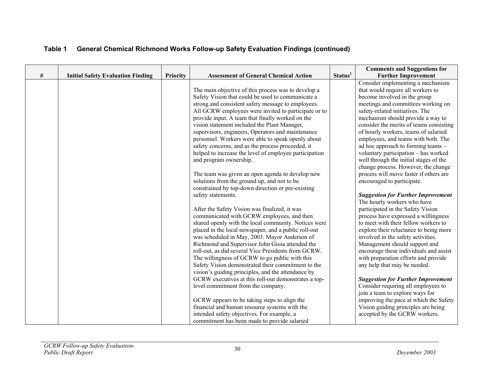|   |                                          |                 |                                                        |                     | <b>Comments and Suggestions for</b>                                      |
|---|------------------------------------------|-----------------|--------------------------------------------------------|---------------------|--------------------------------------------------------------------------|
| # | <b>Initial Safety Evaluation Finding</b> | <b>Priority</b> | <b>Assessment of General Chemical Action</b>           | Status <sup>1</sup> | <b>Further Improvement</b>                                               |
|   |                                          |                 |                                                        |                     | Consider implementing a mechanism                                        |
|   |                                          |                 | The main objective of this process was to develop a    |                     | that would require all workers to                                        |
|   |                                          |                 | Safety Vision that could be used to communicate a      |                     | become involved in the group                                             |
|   |                                          |                 | strong and consistent safety message to employees.     |                     | meetings and committees working on                                       |
|   |                                          |                 | All GCRW employees were invited to participate or to   |                     | safety-related initiatives. The                                          |
|   |                                          |                 | provide input. A team that finally worked on the       |                     | mechanism should provide a way to                                        |
|   |                                          |                 | vision statement included the Plant Manager,           |                     | consider the merits of teams consisting                                  |
|   |                                          |                 | supervisors, engineers, Operators and maintenance      |                     | of hourly workers, teams of salaried                                     |
|   |                                          |                 | personnel. Workers were able to speak openly about     |                     | employees, and teams with both. The                                      |
|   |                                          |                 | safety concerns, and as the process proceeded, it      |                     | ad hoc approach to forming teams -                                       |
|   |                                          |                 | helped to increase the level of employee participation |                     | voluntary participation - has worked                                     |
|   |                                          |                 | and program ownership.                                 |                     | well through the initial stages of the                                   |
|   |                                          |                 |                                                        |                     | change process. However, the change                                      |
|   |                                          |                 | The team was given an open agenda to develop new       |                     | process will move faster if others are                                   |
|   |                                          |                 | solutions from the ground up, and not to be            |                     | encouraged to participate.                                               |
|   |                                          |                 | constrained by top-down direction or pre-existing      |                     |                                                                          |
|   |                                          |                 | safety statements.                                     |                     | <b>Suggestion for Further Improvement</b><br>The hourly workers who have |
|   |                                          |                 | After the Safety Vision was finalized, it was          |                     | participated in the Safety Vision                                        |
|   |                                          |                 | communicated with GCRW employees, and then             |                     | process have expressed a willingness                                     |
|   |                                          |                 | shared openly with the local community. Notices were   |                     | to meet with their fellow workers to                                     |
|   |                                          |                 | placed in the local newspaper, and a public roll-out   |                     | explore their reluctance to being more                                   |
|   |                                          |                 | was scheduled in May, 2003. Mayor Anderson of          |                     | involved in the safety activities.                                       |
|   |                                          |                 | Richmond and Supervisor John Gioia attended the        |                     | Management should support and                                            |
|   |                                          |                 | roll-out, as did several Vice Presidents from GCRW.    |                     | encourage these individuals and assist                                   |
|   |                                          |                 | The willingness of GCRW to go public with this         |                     | with preparation efforts and provide                                     |
|   |                                          |                 | Safety Vision demonstrated their commitment to the     |                     | any help that may be needed.                                             |
|   |                                          |                 | vision's guiding principles, and the attendance by     |                     |                                                                          |
|   |                                          |                 | GCRW executives at this roll-out demonstrates a top-   |                     | <b>Suggestion for Further Improvement</b>                                |
|   |                                          |                 | level commitment from the company.                     |                     | Consider requiring all employees to                                      |
|   |                                          |                 |                                                        |                     | join a team to explore ways for                                          |
|   |                                          |                 | GCRW appears to be taking steps to align the           |                     | improving the pace at which the Safety                                   |
|   |                                          |                 | financial and human resource systems with the          |                     | Vision guiding principles are being                                      |
|   |                                          |                 | intended safety objectives. For example, a             |                     | accepted by the GCRW workers.                                            |
|   |                                          |                 | commitment has been made to provide salaried           |                     |                                                                          |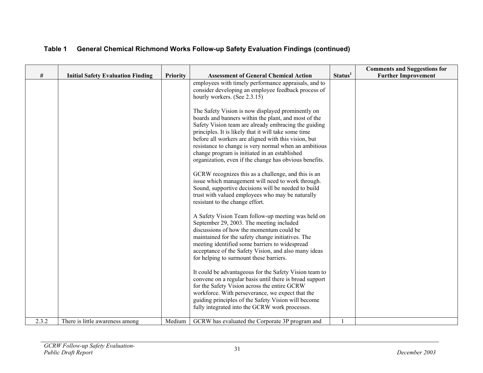| Table 1 General Chemical Richmond Works Follow-up Safety Evaluation Findings (continued) |
|------------------------------------------------------------------------------------------|
|------------------------------------------------------------------------------------------|

|       |                                          |                 |                                                                                      |                     | <b>Comments and Suggestions for</b> |
|-------|------------------------------------------|-----------------|--------------------------------------------------------------------------------------|---------------------|-------------------------------------|
| $\#$  | <b>Initial Safety Evaluation Finding</b> | <b>Priority</b> | <b>Assessment of General Chemical Action</b>                                         | Status <sup>1</sup> | <b>Further Improvement</b>          |
|       |                                          |                 | employees with timely performance appraisals, and to                                 |                     |                                     |
|       |                                          |                 | consider developing an employee feedback process of                                  |                     |                                     |
|       |                                          |                 | hourly workers. (See 2.3.15)                                                         |                     |                                     |
|       |                                          |                 | The Safety Vision is now displayed prominently on                                    |                     |                                     |
|       |                                          |                 | boards and banners within the plant, and most of the                                 |                     |                                     |
|       |                                          |                 | Safety Vision team are already embracing the guiding                                 |                     |                                     |
|       |                                          |                 | principles. It is likely that it will take some time                                 |                     |                                     |
|       |                                          |                 | before all workers are aligned with this vision, but                                 |                     |                                     |
|       |                                          |                 | resistance to change is very normal when an ambitious                                |                     |                                     |
|       |                                          |                 | change program is initiated in an established                                        |                     |                                     |
|       |                                          |                 | organization, even if the change has obvious benefits.                               |                     |                                     |
|       |                                          |                 |                                                                                      |                     |                                     |
|       |                                          |                 | GCRW recognizes this as a challenge, and this is an                                  |                     |                                     |
|       |                                          |                 | issue which management will need to work through.                                    |                     |                                     |
|       |                                          |                 | Sound, supportive decisions will be needed to build                                  |                     |                                     |
|       |                                          |                 | trust with valued employees who may be naturally                                     |                     |                                     |
|       |                                          |                 | resistant to the change effort.                                                      |                     |                                     |
|       |                                          |                 |                                                                                      |                     |                                     |
|       |                                          |                 | A Safety Vision Team follow-up meeting was held on                                   |                     |                                     |
|       |                                          |                 | September 29, 2003. The meeting included<br>discussions of how the momentum could be |                     |                                     |
|       |                                          |                 | maintained for the safety change initiatives. The                                    |                     |                                     |
|       |                                          |                 | meeting identified some barriers to widespread                                       |                     |                                     |
|       |                                          |                 | acceptance of the Safety Vision, and also many ideas                                 |                     |                                     |
|       |                                          |                 | for helping to surmount these barriers.                                              |                     |                                     |
|       |                                          |                 |                                                                                      |                     |                                     |
|       |                                          |                 | It could be advantageous for the Safety Vision team to                               |                     |                                     |
|       |                                          |                 | convene on a regular basis until there is broad support                              |                     |                                     |
|       |                                          |                 | for the Safety Vision across the entire GCRW                                         |                     |                                     |
|       |                                          |                 | workforce. With perseverance, we expect that the                                     |                     |                                     |
|       |                                          |                 | guiding principles of the Safety Vision will become                                  |                     |                                     |
|       |                                          |                 | fully integrated into the GCRW work processes.                                       |                     |                                     |
|       |                                          |                 |                                                                                      |                     |                                     |
| 2.3.2 | There is little awareness among          | Medium          | GCRW has evaluated the Corporate 3P program and                                      |                     |                                     |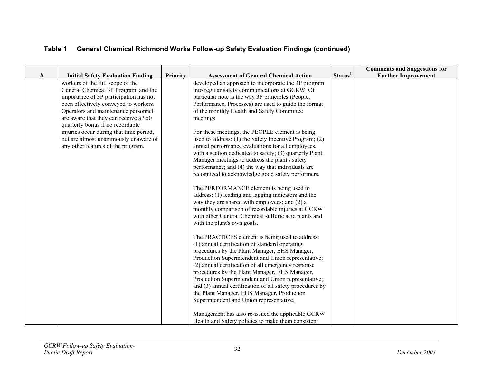|      |                                                                                                                                                                                                                                                                                                                                                                                                            |                 |                                                                                                                                                                                                                                                                                                                                                                                                                                                                                                                                                                                                                                                                                                                                                                                                                                                                                                                                                                                                                                                                                                                                                                                                                                                                                                                                                                                                                                                                                                                                                              |                     | <b>Comments and Suggestions for</b> |
|------|------------------------------------------------------------------------------------------------------------------------------------------------------------------------------------------------------------------------------------------------------------------------------------------------------------------------------------------------------------------------------------------------------------|-----------------|--------------------------------------------------------------------------------------------------------------------------------------------------------------------------------------------------------------------------------------------------------------------------------------------------------------------------------------------------------------------------------------------------------------------------------------------------------------------------------------------------------------------------------------------------------------------------------------------------------------------------------------------------------------------------------------------------------------------------------------------------------------------------------------------------------------------------------------------------------------------------------------------------------------------------------------------------------------------------------------------------------------------------------------------------------------------------------------------------------------------------------------------------------------------------------------------------------------------------------------------------------------------------------------------------------------------------------------------------------------------------------------------------------------------------------------------------------------------------------------------------------------------------------------------------------------|---------------------|-------------------------------------|
| $\#$ | <b>Initial Safety Evaluation Finding</b>                                                                                                                                                                                                                                                                                                                                                                   | <b>Priority</b> | <b>Assessment of General Chemical Action</b>                                                                                                                                                                                                                                                                                                                                                                                                                                                                                                                                                                                                                                                                                                                                                                                                                                                                                                                                                                                                                                                                                                                                                                                                                                                                                                                                                                                                                                                                                                                 | Status <sup>1</sup> | <b>Further Improvement</b>          |
|      | workers of the full scope of the<br>General Chemical 3P Program, and the<br>importance of 3P participation has not<br>been effectively conveyed to workers.<br>Operators and maintenance personnel<br>are aware that they can receive a \$50<br>quarterly bonus if no recordable<br>injuries occur during that time period,<br>but are almost unanimously unaware of<br>any other features of the program. |                 | developed an approach to incorporate the 3P program<br>into regular safety communications at GCRW. Of<br>particular note is the way 3P principles (People,<br>Performance, Processes) are used to guide the format<br>of the monthly Health and Safety Committee<br>meetings.<br>For these meetings, the PEOPLE element is being<br>used to address: (1) the Safety Incentive Program; (2)<br>annual performance evaluations for all employees,<br>with a section dedicated to safety; (3) quarterly Plant<br>Manager meetings to address the plant's safety<br>performance; and (4) the way that individuals are<br>recognized to acknowledge good safety performers.<br>The PERFORMANCE element is being used to<br>address: (1) leading and lagging indicators and the<br>way they are shared with employees; and (2) a<br>monthly comparison of recordable injuries at GCRW<br>with other General Chemical sulfuric acid plants and<br>with the plant's own goals.<br>The PRACTICES element is being used to address:<br>(1) annual certification of standard operating<br>procedures by the Plant Manager, EHS Manager,<br>Production Superintendent and Union representative;<br>(2) annual certification of all emergency response<br>procedures by the Plant Manager, EHS Manager,<br>Production Superintendent and Union representative;<br>and (3) annual certification of all safety procedures by<br>the Plant Manager, EHS Manager, Production<br>Superintendent and Union representative.<br>Management has also re-issued the applicable GCRW |                     |                                     |
|      |                                                                                                                                                                                                                                                                                                                                                                                                            |                 | Health and Safety policies to make them consistent                                                                                                                                                                                                                                                                                                                                                                                                                                                                                                                                                                                                                                                                                                                                                                                                                                                                                                                                                                                                                                                                                                                                                                                                                                                                                                                                                                                                                                                                                                           |                     |                                     |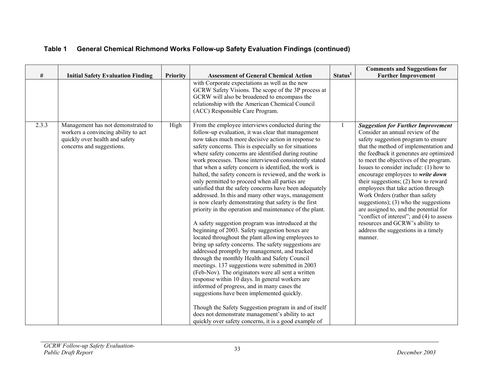|       |                                                                                                                                          |                 |                                                                                                                                                                                                                                                                                                                                                                                                                                                                                                                                                                                                                                                                                                                                                                                                                                                                                                                                                                                                                                                                                                                                                                                                                                                                                                                                                                                                                                                                                                          |                     | <b>Comments and Suggestions for</b>                                                                                                                                                                                                                                                                                                                                                                                                                                                                                                                                                                                                                                           |
|-------|------------------------------------------------------------------------------------------------------------------------------------------|-----------------|----------------------------------------------------------------------------------------------------------------------------------------------------------------------------------------------------------------------------------------------------------------------------------------------------------------------------------------------------------------------------------------------------------------------------------------------------------------------------------------------------------------------------------------------------------------------------------------------------------------------------------------------------------------------------------------------------------------------------------------------------------------------------------------------------------------------------------------------------------------------------------------------------------------------------------------------------------------------------------------------------------------------------------------------------------------------------------------------------------------------------------------------------------------------------------------------------------------------------------------------------------------------------------------------------------------------------------------------------------------------------------------------------------------------------------------------------------------------------------------------------------|---------------------|-------------------------------------------------------------------------------------------------------------------------------------------------------------------------------------------------------------------------------------------------------------------------------------------------------------------------------------------------------------------------------------------------------------------------------------------------------------------------------------------------------------------------------------------------------------------------------------------------------------------------------------------------------------------------------|
| $\#$  | <b>Initial Safety Evaluation Finding</b>                                                                                                 | <b>Priority</b> | <b>Assessment of General Chemical Action</b>                                                                                                                                                                                                                                                                                                                                                                                                                                                                                                                                                                                                                                                                                                                                                                                                                                                                                                                                                                                                                                                                                                                                                                                                                                                                                                                                                                                                                                                             | Status <sup>1</sup> | <b>Further Improvement</b>                                                                                                                                                                                                                                                                                                                                                                                                                                                                                                                                                                                                                                                    |
|       |                                                                                                                                          |                 | with Corporate expectations as well as the new<br>GCRW Safety Visions. The scope of the 3P process at<br>GCRW will also be broadened to encompass the<br>relationship with the American Chemical Council<br>(ACC) Responsible Care Program.                                                                                                                                                                                                                                                                                                                                                                                                                                                                                                                                                                                                                                                                                                                                                                                                                                                                                                                                                                                                                                                                                                                                                                                                                                                              |                     |                                                                                                                                                                                                                                                                                                                                                                                                                                                                                                                                                                                                                                                                               |
| 2.3.3 | Management has not demonstrated to<br>workers a convincing ability to act<br>quickly over health and safety<br>concerns and suggestions. | High            | From the employee interviews conducted during the<br>follow-up evaluation, it was clear that management<br>now takes much more decisive action in response to<br>safety concerns. This is especially so for situations<br>where safety concerns are identified during routine<br>work processes. Those interviewed consistently stated<br>that when a safety concern is identified, the work is<br>halted, the safety concern is reviewed, and the work is<br>only permitted to proceed when all parties are<br>satisfied that the safety concerns have been adequately<br>addressed. In this and many other ways, management<br>is now clearly demonstrating that safety is the first<br>priority in the operation and maintenance of the plant.<br>A safety suggestion program was introduced at the<br>beginning of 2003. Safety suggestion boxes are<br>located throughout the plant allowing employees to<br>bring up safety concerns. The safety suggestions are<br>addressed promptly by management, and tracked<br>through the monthly Health and Safety Council<br>meetings. 137 suggestions were submitted in 2003<br>(Feb-Nov). The originators were all sent a written<br>response within 10 days. In general workers are<br>informed of progress, and in many cases the<br>suggestions have been implemented quickly.<br>Though the Safety Suggestion program in and of itself<br>does not demonstrate management's ability to act<br>quickly over safety concerns, it is a good example of |                     | <b>Suggestion for Further Improvement</b><br>Consider an annual review of the<br>safety suggestion program to ensure<br>that the method of implementation and<br>the feedback it generates are optimized<br>to meet the objectives of the program.<br>Issues to consider include: $(1)$ how to<br>encourage employees to write down<br>their suggestions; $(2)$ how to reward<br>employees that take action through<br>Work Orders (rather than safety<br>suggestions); $(3)$ who the suggestions<br>are assigned to, and the potential for<br>"conflict of interest"; and (4) to assess<br>resources and GCRW's ability to<br>address the suggestions in a timely<br>manner. |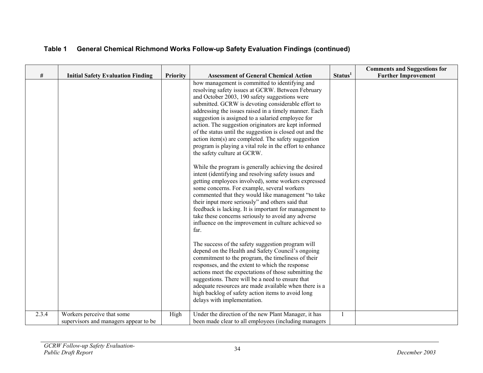|       |                                          |                 |                                                                                                                                                                                                                                                                                                                                                                                                                                                                                                                                                                                                                                                                                                                                                                                                                                                                                                                                                                                                                                                                                                                                                                                                                                                                                                                                                                                                                                                                                                                                                                                           |                     | <b>Comments and Suggestions for</b> |
|-------|------------------------------------------|-----------------|-------------------------------------------------------------------------------------------------------------------------------------------------------------------------------------------------------------------------------------------------------------------------------------------------------------------------------------------------------------------------------------------------------------------------------------------------------------------------------------------------------------------------------------------------------------------------------------------------------------------------------------------------------------------------------------------------------------------------------------------------------------------------------------------------------------------------------------------------------------------------------------------------------------------------------------------------------------------------------------------------------------------------------------------------------------------------------------------------------------------------------------------------------------------------------------------------------------------------------------------------------------------------------------------------------------------------------------------------------------------------------------------------------------------------------------------------------------------------------------------------------------------------------------------------------------------------------------------|---------------------|-------------------------------------|
| $\#$  | <b>Initial Safety Evaluation Finding</b> | <b>Priority</b> | <b>Assessment of General Chemical Action</b>                                                                                                                                                                                                                                                                                                                                                                                                                                                                                                                                                                                                                                                                                                                                                                                                                                                                                                                                                                                                                                                                                                                                                                                                                                                                                                                                                                                                                                                                                                                                              | Status <sup>1</sup> | <b>Further Improvement</b>          |
|       |                                          |                 | how management is committed to identifying and<br>resolving safety issues at GCRW. Between February<br>and October 2003, 190 safety suggestions were<br>submitted. GCRW is devoting considerable effort to<br>addressing the issues raised in a timely manner. Each<br>suggestion is assigned to a salaried employee for<br>action. The suggestion originators are kept informed<br>of the status until the suggestion is closed out and the<br>action item(s) are completed. The safety suggestion<br>program is playing a vital role in the effort to enhance<br>the safety culture at GCRW.<br>While the program is generally achieving the desired<br>intent (identifying and resolving safety issues and<br>getting employees involved), some workers expressed<br>some concerns. For example, several workers<br>commented that they would like management "to take<br>their input more seriously" and others said that<br>feedback is lacking. It is important for management to<br>take these concerns seriously to avoid any adverse<br>influence on the improvement in culture achieved so<br>far.<br>The success of the safety suggestion program will<br>depend on the Health and Safety Council's ongoing<br>commitment to the program, the timeliness of their<br>responses, and the extent to which the response<br>actions meet the expectations of those submitting the<br>suggestions. There will be a need to ensure that<br>adequate resources are made available when there is a<br>high backlog of safety action items to avoid long<br>delays with implementation. |                     |                                     |
| 2.3.4 | Workers perceive that some               | High            | Under the direction of the new Plant Manager, it has                                                                                                                                                                                                                                                                                                                                                                                                                                                                                                                                                                                                                                                                                                                                                                                                                                                                                                                                                                                                                                                                                                                                                                                                                                                                                                                                                                                                                                                                                                                                      | $\mathbf{1}$        |                                     |
|       | supervisors and managers appear to be    |                 | been made clear to all employees (including managers)                                                                                                                                                                                                                                                                                                                                                                                                                                                                                                                                                                                                                                                                                                                                                                                                                                                                                                                                                                                                                                                                                                                                                                                                                                                                                                                                                                                                                                                                                                                                     |                     |                                     |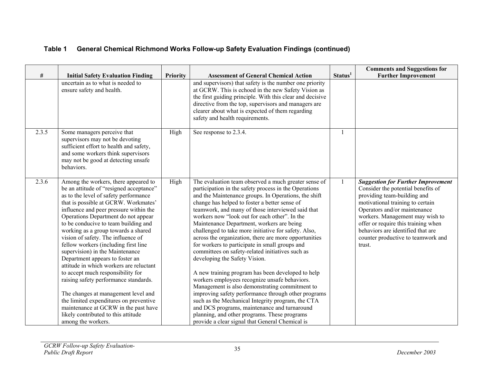| $\#$  | <b>Initial Safety Evaluation Finding</b>                                                                                                                                                                                                                                                                                                                                                                                                                                                                                                                                                                                                                                                                                                                                                            | <b>Priority</b> | <b>Assessment of General Chemical Action</b>                                                                                                                                                                                                                                                                                                                                                                                                                                                                                                                                                                                                                                                                                                                                                                                                                                                                                                                                                                                                             | Status <sup>1</sup> | <b>Comments and Suggestions for</b><br><b>Further Improvement</b>                                                                                                                                                                                                                                                                                 |
|-------|-----------------------------------------------------------------------------------------------------------------------------------------------------------------------------------------------------------------------------------------------------------------------------------------------------------------------------------------------------------------------------------------------------------------------------------------------------------------------------------------------------------------------------------------------------------------------------------------------------------------------------------------------------------------------------------------------------------------------------------------------------------------------------------------------------|-----------------|----------------------------------------------------------------------------------------------------------------------------------------------------------------------------------------------------------------------------------------------------------------------------------------------------------------------------------------------------------------------------------------------------------------------------------------------------------------------------------------------------------------------------------------------------------------------------------------------------------------------------------------------------------------------------------------------------------------------------------------------------------------------------------------------------------------------------------------------------------------------------------------------------------------------------------------------------------------------------------------------------------------------------------------------------------|---------------------|---------------------------------------------------------------------------------------------------------------------------------------------------------------------------------------------------------------------------------------------------------------------------------------------------------------------------------------------------|
|       | uncertain as to what is needed to<br>ensure safety and health.                                                                                                                                                                                                                                                                                                                                                                                                                                                                                                                                                                                                                                                                                                                                      |                 | and supervisors) that safety is the number one priority<br>at GCRW. This is echoed in the new Safety Vision as<br>the first guiding principle. With this clear and decisive<br>directive from the top, supervisors and managers are<br>clearer about what is expected of them regarding<br>safety and health requirements.                                                                                                                                                                                                                                                                                                                                                                                                                                                                                                                                                                                                                                                                                                                               |                     |                                                                                                                                                                                                                                                                                                                                                   |
| 2.3.5 | Some managers perceive that<br>supervisors may not be devoting<br>sufficient effort to health and safety,<br>and some workers think supervisors<br>may not be good at detecting unsafe<br>behaviors.                                                                                                                                                                                                                                                                                                                                                                                                                                                                                                                                                                                                | High            | See response to 2.3.4.                                                                                                                                                                                                                                                                                                                                                                                                                                                                                                                                                                                                                                                                                                                                                                                                                                                                                                                                                                                                                                   | $\mathbf{1}$        |                                                                                                                                                                                                                                                                                                                                                   |
| 2.3.6 | Among the workers, there appeared to<br>be an attitude of "resigned acceptance"<br>as to the level of safety performance<br>that is possible at GCRW. Workmates'<br>influence and peer pressure within the<br>Operations Department do not appear<br>to be conducive to team building and<br>working as a group towards a shared<br>vision of safety. The influence of<br>fellow workers (including first line<br>supervision) in the Maintenance<br>Department appears to foster an<br>attitude in which workers are reluctant<br>to accept much responsibility for<br>raising safety performance standards.<br>The changes at management level and<br>the limited expenditures on preventive<br>maintenance at GCRW in the past have<br>likely contributed to this attitude<br>among the workers. | High            | The evaluation team observed a much greater sense of<br>participation in the safety process in the Operations<br>and the Maintenance groups. In Operations, the shift<br>change has helped to foster a better sense of<br>teamwork, and many of those interviewed said that<br>workers now "look out for each other". In the<br>Maintenance Department, workers are being<br>challenged to take more initiative for safety. Also,<br>across the organization, there are more opportunities<br>for workers to participate in small groups and<br>committees on safety-related initiatives such as<br>developing the Safety Vision.<br>A new training program has been developed to help<br>workers employees recognize unsafe behaviors.<br>Management is also demonstrating commitment to<br>improving safety performance through other programs<br>such as the Mechanical Integrity program, the CTA<br>and DCS programs, maintenance and turnaround<br>planning, and other programs. These programs<br>provide a clear signal that General Chemical is | $\mathbf{1}$        | <b>Suggestion for Further Improvement</b><br>Consider the potential benefits of<br>providing team-building and<br>motivational training to certain<br>Operators and/or maintenance<br>workers. Management may wish to<br>offer or require this training when<br>behaviors are identified that are<br>counter productive to teamwork and<br>trust. |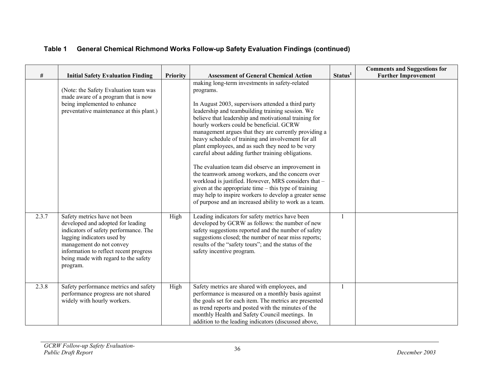| $\#$  | <b>Initial Safety Evaluation Finding</b>                                                                                                                                                                                                                           | <b>Priority</b> | <b>Assessment of General Chemical Action</b>                                                                                                                                                                                                                                                                                                                                                                                                                                                                                                                                                                                                                                                                                                                                                                                                         | Status <sup>1</sup> | <b>Comments and Suggestions for</b><br><b>Further Improvement</b> |
|-------|--------------------------------------------------------------------------------------------------------------------------------------------------------------------------------------------------------------------------------------------------------------------|-----------------|------------------------------------------------------------------------------------------------------------------------------------------------------------------------------------------------------------------------------------------------------------------------------------------------------------------------------------------------------------------------------------------------------------------------------------------------------------------------------------------------------------------------------------------------------------------------------------------------------------------------------------------------------------------------------------------------------------------------------------------------------------------------------------------------------------------------------------------------------|---------------------|-------------------------------------------------------------------|
|       | (Note: the Safety Evaluation team was<br>made aware of a program that is now<br>being implemented to enhance<br>preventative maintenance at this plant.)                                                                                                           |                 | making long-term investments in safety-related<br>programs.<br>In August 2003, supervisors attended a third party<br>leadership and teambuilding training session. We<br>believe that leadership and motivational training for<br>hourly workers could be beneficial. GCRW<br>management argues that they are currently providing a<br>heavy schedule of training and involvement for all<br>plant employees, and as such they need to be very<br>careful about adding further training obligations.<br>The evaluation team did observe an improvement in<br>the teamwork among workers, and the concern over<br>workload is justified. However, MRS considers that -<br>given at the appropriate time $-$ this type of training<br>may help to inspire workers to develop a greater sense<br>of purpose and an increased ability to work as a team. |                     |                                                                   |
| 2.3.7 | Safety metrics have not been<br>developed and adopted for leading<br>indicators of safety performance. The<br>lagging indicators used by<br>management do not convey<br>information to reflect recent progress<br>being made with regard to the safety<br>program. | High            | Leading indicators for safety metrics have been<br>developed by GCRW as follows: the number of new<br>safety suggestions reported and the number of safety<br>suggestions closed; the number of near miss reports;<br>results of the "safety tours"; and the status of the<br>safety incentive program.                                                                                                                                                                                                                                                                                                                                                                                                                                                                                                                                              | $\mathbf{1}$        |                                                                   |
| 2.3.8 | Safety performance metrics and safety<br>performance progress are not shared<br>widely with hourly workers.                                                                                                                                                        | High            | Safety metrics are shared with employees, and<br>performance is measured on a monthly basis against<br>the goals set for each item. The metrics are presented<br>as trend reports and posted with the minutes of the<br>monthly Health and Safety Council meetings. In<br>addition to the leading indicators (discussed above,                                                                                                                                                                                                                                                                                                                                                                                                                                                                                                                       | $\mathbf{1}$        |                                                                   |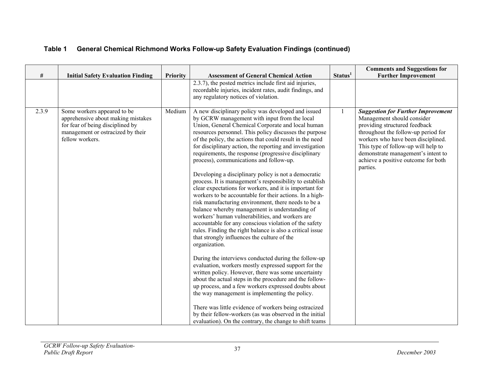|       |                                                                                                                                                               |                 |                                                                                                                                                                                                                                                                                                                                                                                                                                                                                                                                                                                                                                                                                                                                                                                                                                                                                                                                                                                                                                                                                                                                                                                                                                                                                                                                                                                                                                                                                                                                                                    |                     | <b>Comments and Suggestions for</b>                                                                                                                                                                                                                                                                                   |
|-------|---------------------------------------------------------------------------------------------------------------------------------------------------------------|-----------------|--------------------------------------------------------------------------------------------------------------------------------------------------------------------------------------------------------------------------------------------------------------------------------------------------------------------------------------------------------------------------------------------------------------------------------------------------------------------------------------------------------------------------------------------------------------------------------------------------------------------------------------------------------------------------------------------------------------------------------------------------------------------------------------------------------------------------------------------------------------------------------------------------------------------------------------------------------------------------------------------------------------------------------------------------------------------------------------------------------------------------------------------------------------------------------------------------------------------------------------------------------------------------------------------------------------------------------------------------------------------------------------------------------------------------------------------------------------------------------------------------------------------------------------------------------------------|---------------------|-----------------------------------------------------------------------------------------------------------------------------------------------------------------------------------------------------------------------------------------------------------------------------------------------------------------------|
| $\#$  | <b>Initial Safety Evaluation Finding</b>                                                                                                                      | <b>Priority</b> | <b>Assessment of General Chemical Action</b>                                                                                                                                                                                                                                                                                                                                                                                                                                                                                                                                                                                                                                                                                                                                                                                                                                                                                                                                                                                                                                                                                                                                                                                                                                                                                                                                                                                                                                                                                                                       | Status <sup>1</sup> | <b>Further Improvement</b>                                                                                                                                                                                                                                                                                            |
|       |                                                                                                                                                               |                 | 2.3.7), the posted metrics include first aid injuries,<br>recordable injuries, incident rates, audit findings, and<br>any regulatory notices of violation.                                                                                                                                                                                                                                                                                                                                                                                                                                                                                                                                                                                                                                                                                                                                                                                                                                                                                                                                                                                                                                                                                                                                                                                                                                                                                                                                                                                                         |                     |                                                                                                                                                                                                                                                                                                                       |
| 2.3.9 | Some workers appeared to be<br>apprehensive about making mistakes<br>for fear of being disciplined by<br>management or ostracized by their<br>fellow workers. | Medium          | A new disciplinary policy was developed and issued<br>by GCRW management with input from the local<br>Union, General Chemical Corporate and local human<br>resources personnel. This policy discusses the purpose<br>of the policy, the actions that could result in the need<br>for disciplinary action, the reporting and investigation<br>requirements, the response (progressive disciplinary<br>process), communications and follow-up.<br>Developing a disciplinary policy is not a democratic<br>process. It is management's responsibility to establish<br>clear expectations for workers, and it is important for<br>workers to be accountable for their actions. In a high-<br>risk manufacturing environment, there needs to be a<br>balance whereby management is understanding of<br>workers' human vulnerabilities, and workers are<br>accountable for any conscious violation of the safety<br>rules. Finding the right balance is also a critical issue<br>that strongly influences the culture of the<br>organization.<br>During the interviews conducted during the follow-up<br>evaluation, workers mostly expressed support for the<br>written policy. However, there was some uncertainty<br>about the actual steps in the procedure and the follow-<br>up process, and a few workers expressed doubts about<br>the way management is implementing the policy.<br>There was little evidence of workers being ostracized<br>by their fellow-workers (as was observed in the initial<br>evaluation). On the contrary, the change to shift teams | 1                   | <b>Suggestion for Further Improvement</b><br>Management should consider<br>providing structured feedback<br>throughout the follow-up period for<br>workers who have been disciplined.<br>This type of follow-up will help to<br>demonstrate management's intent to<br>achieve a positive outcome for both<br>parties. |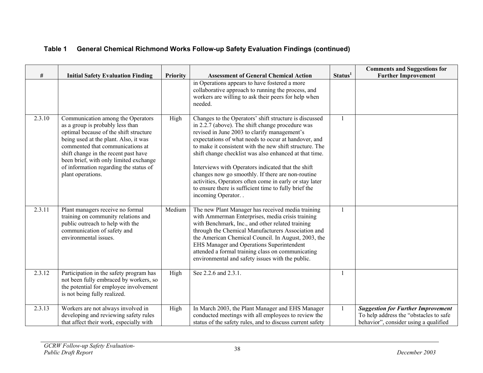| #      | <b>Initial Safety Evaluation Finding</b>                                                                                                                                                                                                                                                                                                      | <b>Priority</b> | <b>Assessment of General Chemical Action</b>                                                                                                                                                                                                                                                                                                                                                                                                                                                                                                                                                | Status <sup>1</sup> | <b>Comments and Suggestions for</b><br><b>Further Improvement</b>                                                            |
|--------|-----------------------------------------------------------------------------------------------------------------------------------------------------------------------------------------------------------------------------------------------------------------------------------------------------------------------------------------------|-----------------|---------------------------------------------------------------------------------------------------------------------------------------------------------------------------------------------------------------------------------------------------------------------------------------------------------------------------------------------------------------------------------------------------------------------------------------------------------------------------------------------------------------------------------------------------------------------------------------------|---------------------|------------------------------------------------------------------------------------------------------------------------------|
|        |                                                                                                                                                                                                                                                                                                                                               |                 | in Operations appears to have fostered a more<br>collaborative approach to running the process, and<br>workers are willing to ask their peers for help when<br>needed.                                                                                                                                                                                                                                                                                                                                                                                                                      |                     |                                                                                                                              |
| 2.3.10 | Communication among the Operators<br>as a group is probably less than<br>optimal because of the shift structure<br>being used at the plant. Also, it was<br>commented that communications at<br>shift change in the recent past have<br>been brief, with only limited exchange<br>of information regarding the status of<br>plant operations. | High            | Changes to the Operators' shift structure is discussed<br>in 2.2.7 (above). The shift change procedure was<br>revised in June 2003 to clarify management's<br>expectations of what needs to occur at handover, and<br>to make it consistent with the new shift structure. The<br>shift change checklist was also enhanced at that time.<br>Interviews with Operators indicated that the shift<br>changes now go smoothly. If there are non-routine<br>activities, Operators often come in early or stay later<br>to ensure there is sufficient time to fully brief the<br>incoming Operator | $\mathbf{1}$        |                                                                                                                              |
| 2.3.11 | Plant managers receive no formal<br>training on community relations and<br>public outreach to help with the<br>communication of safety and<br>environmental issues.                                                                                                                                                                           | Medium          | The new Plant Manager has received media training<br>with Ammerman Enterprises, media crisis training<br>with Benchmark, Inc., and other related training<br>through the Chemical Manufacturers Association and<br>the American Chemical Council. In August, 2003, the<br>EHS Manager and Operations Superintendent<br>attended a formal training class on communicating<br>environmental and safety issues with the public.                                                                                                                                                                | $\mathbf{1}$        |                                                                                                                              |
| 2.3.12 | Participation in the safety program has<br>not been fully embraced by workers, so<br>the potential for employee involvement<br>is not being fully realized.                                                                                                                                                                                   | High            | See 2.2.6 and 2.3.1.                                                                                                                                                                                                                                                                                                                                                                                                                                                                                                                                                                        |                     |                                                                                                                              |
| 2.3.13 | Workers are not always involved in<br>developing and reviewing safety rules<br>that affect their work, especially with                                                                                                                                                                                                                        | High            | In March 2003, the Plant Manager and EHS Manager<br>conducted meetings with all employees to review the<br>status of the safety rules, and to discuss current safety                                                                                                                                                                                                                                                                                                                                                                                                                        |                     | <b>Suggestion for Further Improvement</b><br>To help address the "obstacles to safe<br>behavior", consider using a qualified |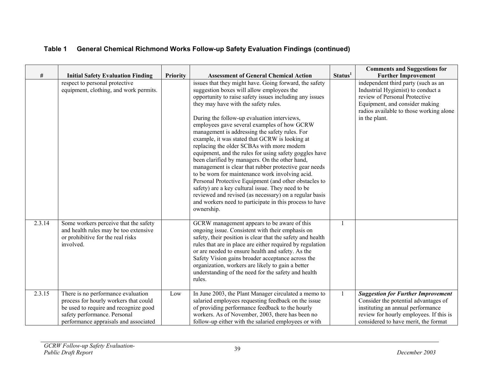| #      | <b>Initial Safety Evaluation Finding</b>                                                                                                                                                      | <b>Priority</b> | <b>Assessment of General Chemical Action</b>                                                                                                                                                                                                                                                                                                                                                                                                                                                                                                                                                                                                                                                                                                                                                                                                                                                                                    | Status <sup>1</sup> | <b>Comments and Suggestions for</b><br><b>Further Improvement</b>                                                                                                                                         |
|--------|-----------------------------------------------------------------------------------------------------------------------------------------------------------------------------------------------|-----------------|---------------------------------------------------------------------------------------------------------------------------------------------------------------------------------------------------------------------------------------------------------------------------------------------------------------------------------------------------------------------------------------------------------------------------------------------------------------------------------------------------------------------------------------------------------------------------------------------------------------------------------------------------------------------------------------------------------------------------------------------------------------------------------------------------------------------------------------------------------------------------------------------------------------------------------|---------------------|-----------------------------------------------------------------------------------------------------------------------------------------------------------------------------------------------------------|
|        | respect to personal protective<br>equipment, clothing, and work permits.                                                                                                                      |                 | issues that they might have. Going forward, the safety<br>suggestion boxes will allow employees the<br>opportunity to raise safety issues including any issues<br>they may have with the safety rules.<br>During the follow-up evaluation interviews,<br>employees gave several examples of how GCRW<br>management is addressing the safety rules. For<br>example, it was stated that GCRW is looking at<br>replacing the older SCBAs with more modern<br>equipment, and the rules for using safety goggles have<br>been clarified by managers. On the other hand,<br>management is clear that rubber protective gear needs<br>to be worn for maintenance work involving acid.<br>Personal Protective Equipment (and other obstacles to<br>safety) are a key cultural issue. They need to be<br>reviewed and revised (as necessary) on a regular basis<br>and workers need to participate in this process to have<br>ownership. |                     | independent third party (such as an<br>Industrial Hygienist) to conduct a<br>review of Personal Protective<br>Equipment, and consider making<br>radios available to those working alone<br>in the plant.  |
| 2.3.14 | Some workers perceive that the safety<br>and health rules may be too extensive<br>or prohibitive for the real risks<br>involved.                                                              |                 | GCRW management appears to be aware of this<br>ongoing issue. Consistent with their emphasis on<br>safety, their position is clear that the safety and health<br>rules that are in place are either required by regulation<br>or are needed to ensure health and safety. As the<br>Safety Vision gains broader acceptance across the<br>organization, workers are likely to gain a better<br>understanding of the need for the safety and health<br>rules.                                                                                                                                                                                                                                                                                                                                                                                                                                                                      |                     |                                                                                                                                                                                                           |
| 2.3.15 | There is no performance evaluation<br>process for hourly workers that could<br>be used to require and recognize good<br>safety performance. Personal<br>performance appraisals and associated | Low             | In June 2003, the Plant Manager circulated a memo to<br>salaried employees requesting feedback on the issue<br>of providing performance feedback to the hourly<br>workers. As of November, 2003, there has been no<br>follow-up either with the salaried employees or with                                                                                                                                                                                                                                                                                                                                                                                                                                                                                                                                                                                                                                                      |                     | <b>Suggestion for Further Improvement</b><br>Consider the potential advantages of<br>instituting an annual performance<br>review for hourly employees. If this is<br>considered to have merit, the format |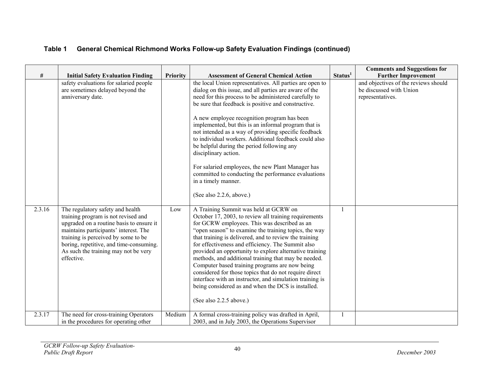|        |                                                                                                                                                                                                                                                                                                      |                 |                                                                                                                                                                                                                                                                                                                                                                                                                                                                                                                                                                                                                                                                                                    |                     | <b>Comments and Suggestions for</b>                                                 |
|--------|------------------------------------------------------------------------------------------------------------------------------------------------------------------------------------------------------------------------------------------------------------------------------------------------------|-----------------|----------------------------------------------------------------------------------------------------------------------------------------------------------------------------------------------------------------------------------------------------------------------------------------------------------------------------------------------------------------------------------------------------------------------------------------------------------------------------------------------------------------------------------------------------------------------------------------------------------------------------------------------------------------------------------------------------|---------------------|-------------------------------------------------------------------------------------|
| $\#$   | <b>Initial Safety Evaluation Finding</b>                                                                                                                                                                                                                                                             | <b>Priority</b> | <b>Assessment of General Chemical Action</b>                                                                                                                                                                                                                                                                                                                                                                                                                                                                                                                                                                                                                                                       | Status <sup>1</sup> | <b>Further Improvement</b>                                                          |
|        | safety evaluations for salaried people<br>are sometimes delayed beyond the<br>anniversary date.                                                                                                                                                                                                      |                 | the local Union representatives. All parties are open to<br>dialog on this issue, and all parties are aware of the<br>need for this process to be administered carefully to<br>be sure that feedback is positive and constructive.<br>A new employee recognition program has been<br>implemented, but this is an informal program that is<br>not intended as a way of providing specific feedback<br>to individual workers. Additional feedback could also<br>be helpful during the period following any<br>disciplinary action.<br>For salaried employees, the new Plant Manager has<br>committed to conducting the performance evaluations<br>in a timely manner.<br>(See also 2.2.6, above.)    |                     | and objectives of the reviews should<br>be discussed with Union<br>representatives. |
| 2.3.16 | The regulatory safety and health<br>training program is not revised and<br>upgraded on a routine basis to ensure it<br>maintains participants' interest. The<br>training is perceived by some to be<br>boring, repetitive, and time-consuming.<br>As such the training may not be very<br>effective. | Low             | A Training Summit was held at GCRW on<br>October 17, 2003, to review all training requirements<br>for GCRW employees. This was described as an<br>"open season" to examine the training topics, the way<br>that training is delivered, and to review the training<br>for effectiveness and efficiency. The Summit also<br>provided an opportunity to explore alternative training<br>methods, and additional training that may be needed.<br>Computer based training programs are now being<br>considered for those topics that do not require direct<br>interface with an instructor, and simulation training is<br>being considered as and when the DCS is installed.<br>(See also 2.2.5 above.) | 1                   |                                                                                     |
| 2.3.17 | The need for cross-training Operators<br>in the procedures for operating other                                                                                                                                                                                                                       | Medium          | A formal cross-training policy was drafted in April,<br>2003, and in July 2003, the Operations Supervisor                                                                                                                                                                                                                                                                                                                                                                                                                                                                                                                                                                                          | 1                   |                                                                                     |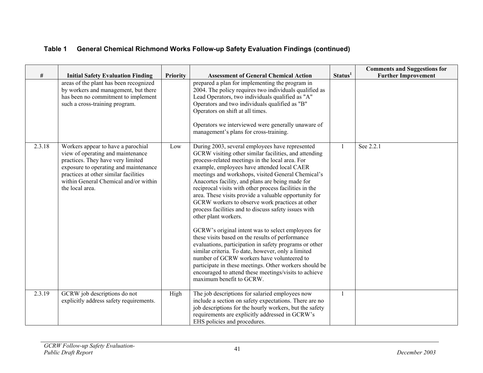|        |                                                                                                                                                                                                                                                            |          |                                                                                                                                                                                                                                                                                                                                                                                                                                                                                                                                                                                                                                                                                                                                                                                                                                                                                                                                                                                                   |                     | <b>Comments and Suggestions for</b> |
|--------|------------------------------------------------------------------------------------------------------------------------------------------------------------------------------------------------------------------------------------------------------------|----------|---------------------------------------------------------------------------------------------------------------------------------------------------------------------------------------------------------------------------------------------------------------------------------------------------------------------------------------------------------------------------------------------------------------------------------------------------------------------------------------------------------------------------------------------------------------------------------------------------------------------------------------------------------------------------------------------------------------------------------------------------------------------------------------------------------------------------------------------------------------------------------------------------------------------------------------------------------------------------------------------------|---------------------|-------------------------------------|
| $\#$   | <b>Initial Safety Evaluation Finding</b><br>areas of the plant has been recognized<br>by workers and management, but there<br>has been no commitment to implement<br>such a cross-training program.                                                        | Priority | <b>Assessment of General Chemical Action</b><br>prepared a plan for implementing the program in<br>2004. The policy requires two individuals qualified as<br>Lead Operators, two individuals qualified as "A"<br>Operators and two individuals qualified as "B"<br>Operators on shift at all times.<br>Operators we interviewed were generally unaware of<br>management's plans for cross-training.                                                                                                                                                                                                                                                                                                                                                                                                                                                                                                                                                                                               | Status <sup>1</sup> | <b>Further Improvement</b>          |
| 2.3.18 | Workers appear to have a parochial<br>view of operating and maintenance<br>practices. They have very limited<br>exposure to operating and maintenance<br>practices at other similar facilities<br>within General Chemical and/or within<br>the local area. | Low      | During 2003, several employees have represented<br>GCRW visiting other similar facilities, and attending<br>process-related meetings in the local area. For<br>example, employees have attended local CAER<br>meetings and workshops, visited General Chemical's<br>Anacortes facility, and plans are being made for<br>reciprocal visits with other process facilities in the<br>area. These visits provide a valuable opportunity for<br>GCRW workers to observe work practices at other<br>process facilities and to discuss safety issues with<br>other plant workers.<br>GCRW's original intent was to select employees for<br>these visits based on the results of performance<br>evaluations, participation in safety programs or other<br>similar criteria. To date, however, only a limited<br>number of GCRW workers have volunteered to<br>participate in these meetings. Other workers should be<br>encouraged to attend these meetings/visits to achieve<br>maximum benefit to GCRW. | $\mathbf{1}$        | See 2.2.1                           |
| 2.3.19 | GCRW job descriptions do not<br>explicitly address safety requirements.                                                                                                                                                                                    | High     | The job descriptions for salaried employees now<br>include a section on safety expectations. There are no<br>job descriptions for the hourly workers, but the safety<br>requirements are explicitly addressed in GCRW's<br>EHS policies and procedures.                                                                                                                                                                                                                                                                                                                                                                                                                                                                                                                                                                                                                                                                                                                                           | $\mathbf{1}$        |                                     |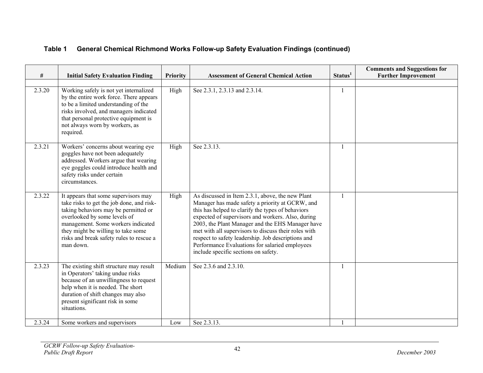| #      | <b>Initial Safety Evaluation Finding</b>                                                                                                                                                                                                                                                       | <b>Priority</b> | <b>Assessment of General Chemical Action</b>                                                                                                                                                                                                                                                                                                                                                                                                                              | Status <sup>1</sup> | <b>Comments and Suggestions for</b><br><b>Further Improvement</b> |
|--------|------------------------------------------------------------------------------------------------------------------------------------------------------------------------------------------------------------------------------------------------------------------------------------------------|-----------------|---------------------------------------------------------------------------------------------------------------------------------------------------------------------------------------------------------------------------------------------------------------------------------------------------------------------------------------------------------------------------------------------------------------------------------------------------------------------------|---------------------|-------------------------------------------------------------------|
| 2.3.20 | Working safely is not yet internalized<br>by the entire work force. There appears<br>to be a limited understanding of the<br>risks involved, and managers indicated<br>that personal protective equipment is<br>not always worn by workers, as<br>required.                                    | High            | See 2.3.1, 2.3.13 and 2.3.14.                                                                                                                                                                                                                                                                                                                                                                                                                                             | $\mathbf{1}$        |                                                                   |
| 2.3.21 | Workers' concerns about wearing eye<br>goggles have not been adequately<br>addressed. Workers argue that wearing<br>eye goggles could introduce health and<br>safety risks under certain<br>circumstances.                                                                                     | High            | See 2.3.13.                                                                                                                                                                                                                                                                                                                                                                                                                                                               |                     |                                                                   |
| 2.3.22 | It appears that some supervisors may<br>take risks to get the job done, and risk-<br>taking behaviors may be permitted or<br>overlooked by some levels of<br>management. Some workers indicated<br>they might be willing to take some<br>risks and break safety rules to rescue a<br>man down. | High            | As discussed in Item 2.3.1, above, the new Plant<br>Manager has made safety a priority at GCRW, and<br>this has helped to clarify the types of behaviors<br>expected of supervisors and workers. Also, during<br>2003, the Plant Manager and the EHS Manager have<br>met with all supervisors to discuss their roles with<br>respect to safety leadership. Job descriptions and<br>Performance Evaluations for salaried employees<br>include specific sections on safety. | $\mathbf{1}$        |                                                                   |
| 2.3.23 | The existing shift structure may result<br>in Operators' taking undue risks<br>because of an unwillingness to request<br>help when it is needed. The short<br>duration of shift changes may also<br>present significant risk in some<br>situations.                                            | Medium          | See 2.3.6 and 2.3.10.                                                                                                                                                                                                                                                                                                                                                                                                                                                     |                     |                                                                   |
| 2.3.24 | Some workers and supervisors                                                                                                                                                                                                                                                                   | Low             | See 2.3.13.                                                                                                                                                                                                                                                                                                                                                                                                                                                               |                     |                                                                   |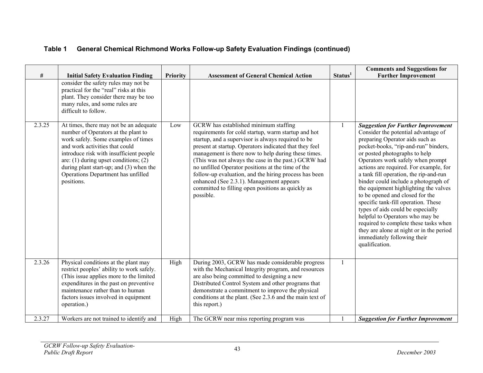|  |  |  |  |  | Table 1 General Chemical Richmond Works Follow-up Safety Evaluation Findings (continued) |
|--|--|--|--|--|------------------------------------------------------------------------------------------|
|--|--|--|--|--|------------------------------------------------------------------------------------------|

| $\#$   | <b>Initial Safety Evaluation Finding</b>                                                                                                                                                                                                                                                                                                        | <b>Priority</b> | <b>Assessment of General Chemical Action</b>                                                                                                                                                                                                                                                                                                                                                                                                                                                                                                            | Status <sup>1</sup> | <b>Comments and Suggestions for</b><br><b>Further Improvement</b>                                                                                                                                                                                                                                                                                                                                                                                                                                                                                                                                                                                                                              |
|--------|-------------------------------------------------------------------------------------------------------------------------------------------------------------------------------------------------------------------------------------------------------------------------------------------------------------------------------------------------|-----------------|---------------------------------------------------------------------------------------------------------------------------------------------------------------------------------------------------------------------------------------------------------------------------------------------------------------------------------------------------------------------------------------------------------------------------------------------------------------------------------------------------------------------------------------------------------|---------------------|------------------------------------------------------------------------------------------------------------------------------------------------------------------------------------------------------------------------------------------------------------------------------------------------------------------------------------------------------------------------------------------------------------------------------------------------------------------------------------------------------------------------------------------------------------------------------------------------------------------------------------------------------------------------------------------------|
|        | consider the safety rules may not be<br>practical for the "real" risks at this<br>plant. They consider there may be too<br>many rules, and some rules are<br>difficult to follow.                                                                                                                                                               |                 |                                                                                                                                                                                                                                                                                                                                                                                                                                                                                                                                                         |                     |                                                                                                                                                                                                                                                                                                                                                                                                                                                                                                                                                                                                                                                                                                |
| 2.3.25 | At times, there may not be an adequate<br>number of Operators at the plant to<br>work safely. Some examples of times<br>and work activities that could<br>introduce risk with insufficient people<br>are: $(1)$ during upset conditions; $(2)$<br>during plant start-up; and $(3)$ when the<br>Operations Department has unfilled<br>positions. | Low             | GCRW has established minimum staffing<br>requirements for cold startup, warm startup and hot<br>startup, and a supervisor is always required to be<br>present at startup. Operators indicated that they feel<br>management is there now to help during these times.<br>(This was not always the case in the past.) GCRW had<br>no unfilled Operator positions at the time of the<br>follow-up evaluation, and the hiring process has been<br>enhanced (See 2.3.1). Management appears<br>committed to filling open positions as quickly as<br>possible. | $\mathbf{1}$        | <b>Suggestion for Further Improvement</b><br>Consider the potential advantage of<br>preparing Operator aids such as<br>pocket-books, "rip-and-run" binders,<br>or posted photographs to help<br>Operators work safely when prompt<br>actions are required. For example, for<br>a tank fill operation, the rip-and-run<br>binder could include a photograph of<br>the equipment highlighting the valves<br>to be opened and closed for the<br>specific tank-fill operation. These<br>types of aids could be especially<br>helpful to Operators who may be<br>required to complete these tasks when<br>they are alone at night or in the period<br>immediately following their<br>qualification. |
| 2.3.26 | Physical conditions at the plant may<br>restrict peoples' ability to work safely.<br>(This issue applies more to the limited<br>expenditures in the past on preventive<br>maintenance rather than to human<br>factors issues involved in equipment<br>operation.)                                                                               | High            | During 2003, GCRW has made considerable progress<br>with the Mechanical Integrity program, and resources<br>are also being committed to designing a new<br>Distributed Control System and other programs that<br>demonstrate a commitment to improve the physical<br>conditions at the plant. (See 2.3.6 and the main text of<br>this report.)                                                                                                                                                                                                          | $\mathbf{1}$        |                                                                                                                                                                                                                                                                                                                                                                                                                                                                                                                                                                                                                                                                                                |
| 2.3.27 | Workers are not trained to identify and                                                                                                                                                                                                                                                                                                         | High            | The GCRW near miss reporting program was                                                                                                                                                                                                                                                                                                                                                                                                                                                                                                                |                     | <b>Suggestion for Further Improvement</b>                                                                                                                                                                                                                                                                                                                                                                                                                                                                                                                                                                                                                                                      |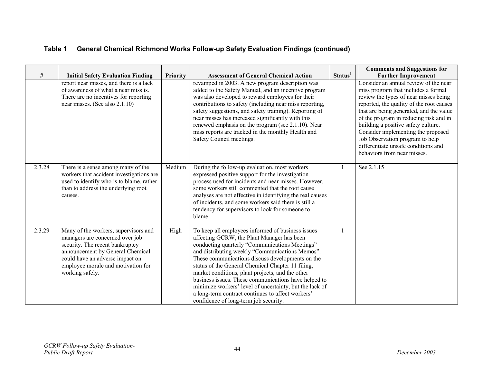| #      | <b>Initial Safety Evaluation Finding</b>                                                                                                                                                                                                   | <b>Priority</b> | <b>Assessment of General Chemical Action</b>                                                                                                                                                                                                                                                                                                                                                                                                                                                                                                                                       | Status <sup>1</sup> | <b>Comments and Suggestions for</b><br><b>Further Improvement</b>                                                                                                                                                                                                                                                                                                                                                                            |
|--------|--------------------------------------------------------------------------------------------------------------------------------------------------------------------------------------------------------------------------------------------|-----------------|------------------------------------------------------------------------------------------------------------------------------------------------------------------------------------------------------------------------------------------------------------------------------------------------------------------------------------------------------------------------------------------------------------------------------------------------------------------------------------------------------------------------------------------------------------------------------------|---------------------|----------------------------------------------------------------------------------------------------------------------------------------------------------------------------------------------------------------------------------------------------------------------------------------------------------------------------------------------------------------------------------------------------------------------------------------------|
|        | report near misses, and there is a lack<br>of awareness of what a near miss is.<br>There are no incentives for reporting<br>near misses. (See also 2.1.10)                                                                                 |                 | revamped in 2003. A new program description was<br>added to the Safety Manual, and an incentive program<br>was also developed to reward employees for their<br>contributions to safety (including near miss reporting,<br>safety suggestions, and safety training). Reporting of<br>near misses has increased significantly with this<br>renewed emphasis on the program (see 2.1.10). Near<br>miss reports are tracked in the monthly Health and<br>Safety Council meetings.                                                                                                      |                     | Consider an annual review of the near<br>miss program that includes a formal<br>review the types of near misses being<br>reported, the quality of the root causes<br>that are being generated, and the value<br>of the program in reducing risk and in<br>building a positive safety culture.<br>Consider implementing the proposed<br>Job Observation program to help<br>differentiate unsafe conditions and<br>behaviors from near misses. |
| 2.3.28 | There is a sense among many of the<br>workers that accident investigations are<br>used to identify who is to blame, rather<br>than to address the underlying root<br>causes.                                                               | Medium          | During the follow-up evaluation, most workers<br>expressed positive support for the investigation<br>process used for incidents and near misses. However,<br>some workers still commented that the root cause<br>analyses are not effective in identifying the real causes<br>of incidents, and some workers said there is still a<br>tendency for supervisors to look for someone to<br>blame.                                                                                                                                                                                    |                     | See 2.1.15                                                                                                                                                                                                                                                                                                                                                                                                                                   |
| 2.3.29 | Many of the workers, supervisors and<br>managers are concerned over job<br>security. The recent bankruptcy<br>announcement by General Chemical<br>could have an adverse impact on<br>employee morale and motivation for<br>working safely. | High            | To keep all employees informed of business issues<br>affecting GCRW, the Plant Manager has been<br>conducting quarterly "Communications Meetings"<br>and distributing weekly "Communications Memos".<br>These communications discuss developments on the<br>status of the General Chemical Chapter 11 filing,<br>market conditions, plant projects, and the other<br>business issues. These communications have helped to<br>minimize workers' level of uncertainty, but the lack of<br>a long-term contract continues to affect workers'<br>confidence of long-term job security. |                     |                                                                                                                                                                                                                                                                                                                                                                                                                                              |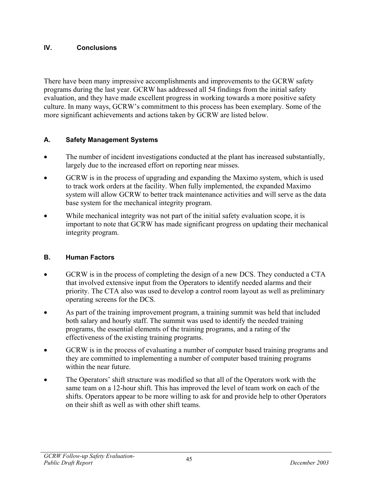### **IV. Conclusions**

There have been many impressive accomplishments and improvements to the GCRW safety programs during the last year. GCRW has addressed all 54 findings from the initial safety evaluation, and they have made excellent progress in working towards a more positive safety culture. In many ways, GCRW's commitment to this process has been exemplary. Some of the more significant achievements and actions taken by GCRW are listed below.

### **A. Safety Management Systems**

- The number of incident investigations conducted at the plant has increased substantially, largely due to the increased effort on reporting near misses.
- GCRW is in the process of upgrading and expanding the Maximo system, which is used to track work orders at the facility. When fully implemented, the expanded Maximo system will allow GCRW to better track maintenance activities and will serve as the data base system for the mechanical integrity program.
- While mechanical integrity was not part of the initial safety evaluation scope, it is important to note that GCRW has made significant progress on updating their mechanical integrity program.

### **B. Human Factors**

- GCRW is in the process of completing the design of a new DCS. They conducted a CTA that involved extensive input from the Operators to identify needed alarms and their priority. The CTA also was used to develop a control room layout as well as preliminary operating screens for the DCS.
- As part of the training improvement program, a training summit was held that included both salary and hourly staff. The summit was used to identify the needed training programs, the essential elements of the training programs, and a rating of the effectiveness of the existing training programs.
- GCRW is in the process of evaluating a number of computer based training programs and they are committed to implementing a number of computer based training programs within the near future.
- The Operators' shift structure was modified so that all of the Operators work with the same team on a 12-hour shift. This has improved the level of team work on each of the shifts. Operators appear to be more willing to ask for and provide help to other Operators on their shift as well as with other shift teams.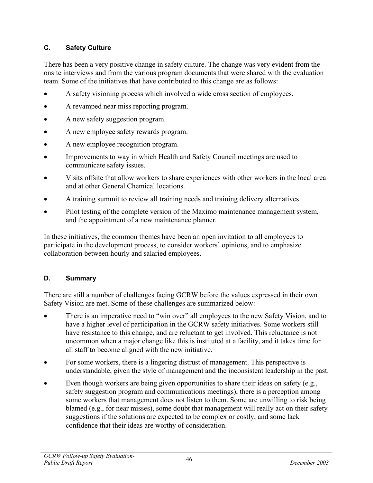## **C. Safety Culture**

There has been a very positive change in safety culture. The change was very evident from the onsite interviews and from the various program documents that were shared with the evaluation team. Some of the initiatives that have contributed to this change are as follows:

- A safety visioning process which involved a wide cross section of employees.
- A revamped near miss reporting program.
- A new safety suggestion program.
- A new employee safety rewards program.
- A new employee recognition program.
- Improvements to way in which Health and Safety Council meetings are used to communicate safety issues.
- Visits offsite that allow workers to share experiences with other workers in the local area and at other General Chemical locations.
- A training summit to review all training needs and training delivery alternatives.
- Pilot testing of the complete version of the Maximo maintenance management system, and the appointment of a new maintenance planner.

In these initiatives, the common themes have been an open invitation to all employees to participate in the development process, to consider workers' opinions, and to emphasize collaboration between hourly and salaried employees.

## **D. Summary**

There are still a number of challenges facing GCRW before the values expressed in their own Safety Vision are met. Some of these challenges are summarized below:

- There is an imperative need to "win over" all employees to the new Safety Vision, and to have a higher level of participation in the GCRW safety initiatives. Some workers still have resistance to this change, and are reluctant to get involved. This reluctance is not uncommon when a major change like this is instituted at a facility, and it takes time for all staff to become aligned with the new initiative.
- For some workers, there is a lingering distrust of management. This perspective is understandable, given the style of management and the inconsistent leadership in the past.
- Even though workers are being given opportunities to share their ideas on safety (e.g., safety suggestion program and communications meetings), there is a perception among some workers that management does not listen to them. Some are unwilling to risk being blamed (e.g., for near misses), some doubt that management will really act on their safety suggestions if the solutions are expected to be complex or costly, and some lack confidence that their ideas are worthy of consideration.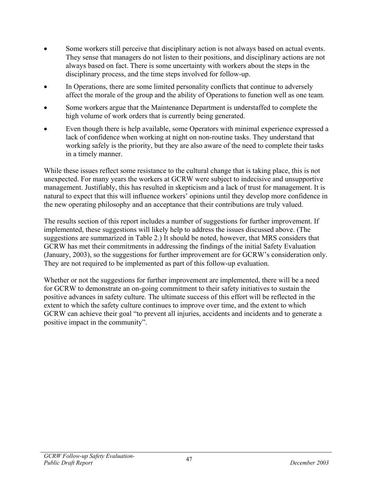- Some workers still perceive that disciplinary action is not always based on actual events. They sense that managers do not listen to their positions, and disciplinary actions are not always based on fact. There is some uncertainty with workers about the steps in the disciplinary process, and the time steps involved for follow-up.
- In Operations, there are some limited personality conflicts that continue to adversely affect the morale of the group and the ability of Operations to function well as one team.
- Some workers argue that the Maintenance Department is understaffed to complete the high volume of work orders that is currently being generated.
- Even though there is help available, some Operators with minimal experience expressed a lack of confidence when working at night on non-routine tasks. They understand that working safely is the priority, but they are also aware of the need to complete their tasks in a timely manner.

While these issues reflect some resistance to the cultural change that is taking place, this is not unexpected. For many years the workers at GCRW were subject to indecisive and unsupportive management. Justifiably, this has resulted in skepticism and a lack of trust for management. It is natural to expect that this will influence workers' opinions until they develop more confidence in the new operating philosophy and an acceptance that their contributions are truly valued.

The results section of this report includes a number of suggestions for further improvement. If implemented, these suggestions will likely help to address the issues discussed above. (The suggestions are summarized in Table 2.) It should be noted, however, that MRS considers that GCRW has met their commitments in addressing the findings of the initial Safety Evaluation (January, 2003), so the suggestions for further improvement are for GCRW's consideration only. They are not required to be implemented as part of this follow-up evaluation.

Whether or not the suggestions for further improvement are implemented, there will be a need for GCRW to demonstrate an on-going commitment to their safety initiatives to sustain the positive advances in safety culture. The ultimate success of this effort will be reflected in the extent to which the safety culture continues to improve over time, and the extent to which GCRW can achieve their goal "to prevent all injuries, accidents and incidents and to generate a positive impact in the community".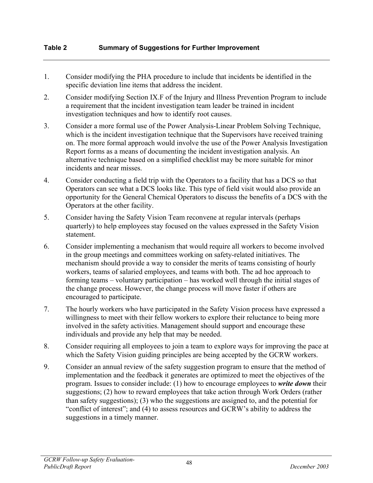- 1. Consider modifying the PHA procedure to include that incidents be identified in the specific deviation line items that address the incident.
- 2. Consider modifying Section IX.F of the Injury and Illness Prevention Program to include a requirement that the incident investigation team leader be trained in incident investigation techniques and how to identify root causes.
- 3. Consider a more formal use of the Power Analysis-Linear Problem Solving Technique, which is the incident investigation technique that the Supervisors have received training on. The more formal approach would involve the use of the Power Analysis Investigation Report forms as a means of documenting the incident investigation analysis. An alternative technique based on a simplified checklist may be more suitable for minor incidents and near misses.
- 4. Consider conducting a field trip with the Operators to a facility that has a DCS so that Operators can see what a DCS looks like. This type of field visit would also provide an opportunity for the General Chemical Operators to discuss the benefits of a DCS with the Operators at the other facility.
- 5. Consider having the Safety Vision Team reconvene at regular intervals (perhaps quarterly) to help employees stay focused on the values expressed in the Safety Vision statement.
- 6. Consider implementing a mechanism that would require all workers to become involved in the group meetings and committees working on safety-related initiatives. The mechanism should provide a way to consider the merits of teams consisting of hourly workers, teams of salaried employees, and teams with both. The ad hoc approach to forming teams – voluntary participation – has worked well through the initial stages of the change process. However, the change process will move faster if others are encouraged to participate.
- 7. The hourly workers who have participated in the Safety Vision process have expressed a willingness to meet with their fellow workers to explore their reluctance to being more involved in the safety activities. Management should support and encourage these individuals and provide any help that may be needed.
- 8. Consider requiring all employees to join a team to explore ways for improving the pace at which the Safety Vision guiding principles are being accepted by the GCRW workers.
- 9. Consider an annual review of the safety suggestion program to ensure that the method of implementation and the feedback it generates are optimized to meet the objectives of the program. Issues to consider include: (1) how to encourage employees to *write down* their suggestions; (2) how to reward employees that take action through Work Orders (rather than safety suggestions); (3) who the suggestions are assigned to, and the potential for "conflict of interest"; and (4) to assess resources and GCRW's ability to address the suggestions in a timely manner.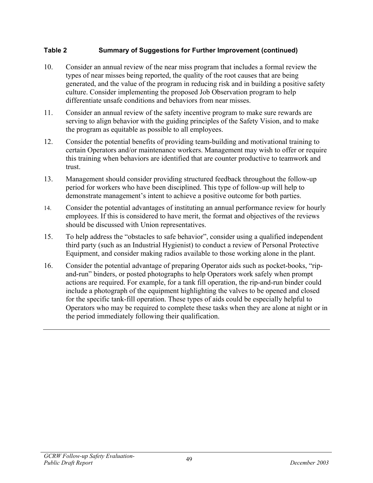### **Table 2 Summary of Suggestions for Further Improvement (continued)**

- 10. Consider an annual review of the near miss program that includes a formal review the types of near misses being reported, the quality of the root causes that are being generated, and the value of the program in reducing risk and in building a positive safety culture. Consider implementing the proposed Job Observation program to help differentiate unsafe conditions and behaviors from near misses.
- 11. Consider an annual review of the safety incentive program to make sure rewards are serving to align behavior with the guiding principles of the Safety Vision, and to make the program as equitable as possible to all employees.
- 12. Consider the potential benefits of providing team-building and motivational training to certain Operators and/or maintenance workers. Management may wish to offer or require this training when behaviors are identified that are counter productive to teamwork and trust.
- 13. Management should consider providing structured feedback throughout the follow-up period for workers who have been disciplined. This type of follow-up will help to demonstrate management's intent to achieve a positive outcome for both parties.
- 14. Consider the potential advantages of instituting an annual performance review for hourly employees. If this is considered to have merit, the format and objectives of the reviews should be discussed with Union representatives.
- 15. To help address the "obstacles to safe behavior", consider using a qualified independent third party (such as an Industrial Hygienist) to conduct a review of Personal Protective Equipment, and consider making radios available to those working alone in the plant.
- 16. Consider the potential advantage of preparing Operator aids such as pocket-books, "ripand-run" binders, or posted photographs to help Operators work safely when prompt actions are required. For example, for a tank fill operation, the rip-and-run binder could include a photograph of the equipment highlighting the valves to be opened and closed for the specific tank-fill operation. These types of aids could be especially helpful to Operators who may be required to complete these tasks when they are alone at night or in the period immediately following their qualification.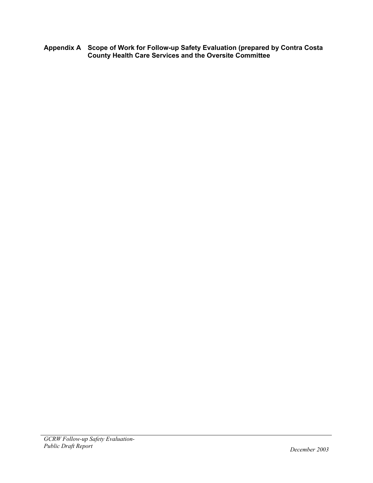**Appendix A Scope of Work for Follow-up Safety Evaluation (prepared by Contra Costa County Health Care Services and the Oversite Committee**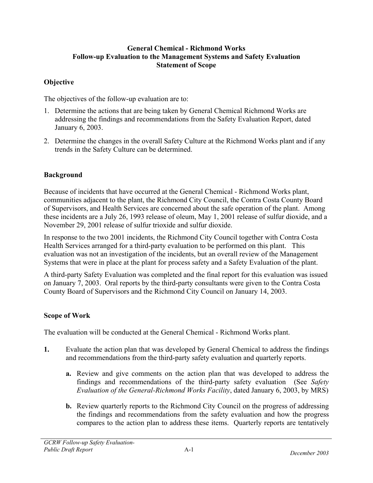#### **General Chemical - Richmond Works Follow-up Evaluation to the Management Systems and Safety Evaluation Statement of Scope**

# **Objective**

The objectives of the follow-up evaluation are to:

- 1. Determine the actions that are being taken by General Chemical Richmond Works are addressing the findings and recommendations from the Safety Evaluation Report, dated January 6, 2003.
- 2. Determine the changes in the overall Safety Culture at the Richmond Works plant and if any trends in the Safety Culture can be determined.

## **Background**

Because of incidents that have occurred at the General Chemical - Richmond Works plant, communities adjacent to the plant, the Richmond City Council, the Contra Costa County Board of Supervisors, and Health Services are concerned about the safe operation of the plant. Among these incidents are a July 26, 1993 release of oleum, May 1, 2001 release of sulfur dioxide, and a November 29, 2001 release of sulfur trioxide and sulfur dioxide.

In response to the two 2001 incidents, the Richmond City Council together with Contra Costa Health Services arranged for a third-party evaluation to be performed on this plant. This evaluation was not an investigation of the incidents, but an overall review of the Management Systems that were in place at the plant for process safety and a Safety Evaluation of the plant.

A third-party Safety Evaluation was completed and the final report for this evaluation was issued on January 7, 2003. Oral reports by the third-party consultants were given to the Contra Costa County Board of Supervisors and the Richmond City Council on January 14, 2003.

## **Scope of Work**

The evaluation will be conducted at the General Chemical - Richmond Works plant.

- **1.** Evaluate the action plan that was developed by General Chemical to address the findings and recommendations from the third-party safety evaluation and quarterly reports.
	- **a.** Review and give comments on the action plan that was developed to address the findings and recommendations of the third-party safety evaluation (See *Safety Evaluation of the General-Richmond Works Facility*, dated January 6, 2003, by MRS)
	- **b.** Review quarterly reports to the Richmond City Council on the progress of addressing the findings and recommendations from the safety evaluation and how the progress compares to the action plan to address these items. Quarterly reports are tentatively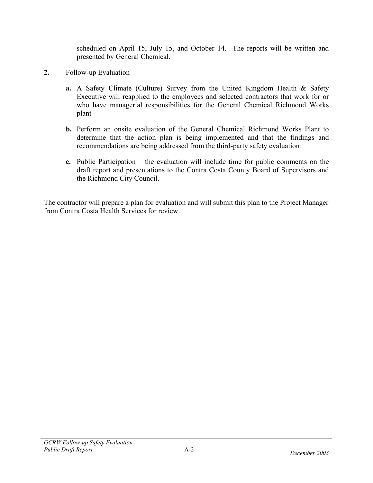scheduled on April 15, July 15, and October 14. The reports will be written and presented by General Chemical.

- **2.** Follow-up Evaluation
	- **a.** A Safety Climate (Culture) Survey from the United Kingdom Health & Safety Executive will reapplied to the employees and selected contractors that work for or who have managerial responsibilities for the General Chemical Richmond Works plant
	- **b.** Perform an onsite evaluation of the General Chemical Richmond Works Plant to determine that the action plan is being implemented and that the findings and recommendations are being addressed from the third-party safety evaluation
	- **c.** Public Participation the evaluation will include time for public comments on the draft report and presentations to the Contra Costa County Board of Supervisors and the Richmond City Council.

The contractor will prepare a plan for evaluation and will submit this plan to the Project Manager from Contra Costa Health Services for review.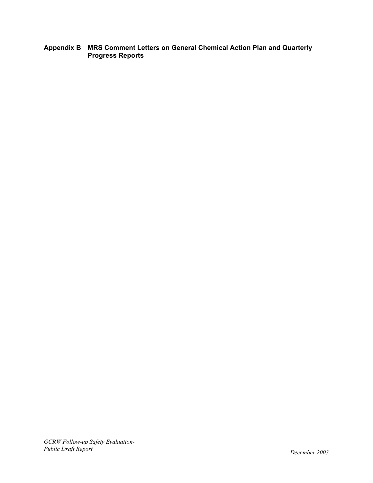#### **Appendix B MRS Comment Letters on General Chemical Action Plan and Quarterly Progress Reports**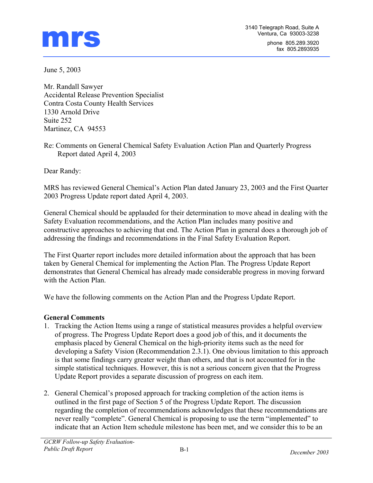

June 5, 2003

Mr. Randall Sawyer Accidental Release Prevention Specialist Contra Costa County Health Services 1330 Arnold Drive Suite 252 Martinez, CA 94553

Re: Comments on General Chemical Safety Evaluation Action Plan and Quarterly Progress Report dated April 4, 2003

Dear Randy:

MRS has reviewed General Chemical's Action Plan dated January 23, 2003 and the First Quarter 2003 Progress Update report dated April 4, 2003.

General Chemical should be applauded for their determination to move ahead in dealing with the Safety Evaluation recommendations, and the Action Plan includes many positive and constructive approaches to achieving that end. The Action Plan in general does a thorough job of addressing the findings and recommendations in the Final Safety Evaluation Report.

The First Quarter report includes more detailed information about the approach that has been taken by General Chemical for implementing the Action Plan. The Progress Update Report demonstrates that General Chemical has already made considerable progress in moving forward with the Action Plan.

We have the following comments on the Action Plan and the Progress Update Report.

#### **General Comments**

- 1. Tracking the Action Items using a range of statistical measures provides a helpful overview of progress. The Progress Update Report does a good job of this, and it documents the emphasis placed by General Chemical on the high-priority items such as the need for developing a Safety Vision (Recommendation 2.3.1). One obvious limitation to this approach is that some findings carry greater weight than others, and that is not accounted for in the simple statistical techniques. However, this is not a serious concern given that the Progress Update Report provides a separate discussion of progress on each item.
- 2. General Chemical's proposed approach for tracking completion of the action items is outlined in the first page of Section 5 of the Progress Update Report. The discussion regarding the completion of recommendations acknowledges that these recommendations are never really "complete". General Chemical is proposing to use the term "implemented" to indicate that an Action Item schedule milestone has been met, and we consider this to be an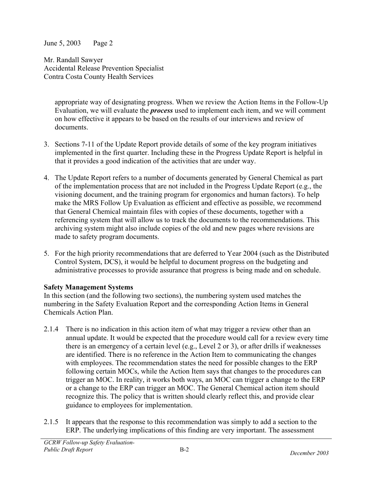June 5, 2003 Page 2

Mr. Randall Sawyer Accidental Release Prevention Specialist Contra Costa County Health Services

appropriate way of designating progress. When we review the Action Items in the Follow-Up Evaluation, we will evaluate the *process* used to implement each item, and we will comment on how effective it appears to be based on the results of our interviews and review of documents.

- 3. Sections 7-11 of the Update Report provide details of some of the key program initiatives implemented in the first quarter. Including these in the Progress Update Report is helpful in that it provides a good indication of the activities that are under way.
- 4. The Update Report refers to a number of documents generated by General Chemical as part of the implementation process that are not included in the Progress Update Report (e.g., the visioning document, and the training program for ergonomics and human factors). To help make the MRS Follow Up Evaluation as efficient and effective as possible, we recommend that General Chemical maintain files with copies of these documents, together with a referencing system that will allow us to track the documents to the recommendations. This archiving system might also include copies of the old and new pages where revisions are made to safety program documents.
- 5. For the high priority recommendations that are deferred to Year 2004 (such as the Distributed Control System, DCS), it would be helpful to document progress on the budgeting and administrative processes to provide assurance that progress is being made and on schedule.

### **Safety Management Systems**

In this section (and the following two sections), the numbering system used matches the numbering in the Safety Evaluation Report and the corresponding Action Items in General Chemicals Action Plan.

- 2.1.4 There is no indication in this action item of what may trigger a review other than an annual update. It would be expected that the procedure would call for a review every time there is an emergency of a certain level (e.g., Level 2 or 3), or after drills if weaknesses are identified. There is no reference in the Action Item to communicating the changes with employees. The recommendation states the need for possible changes to the ERP following certain MOCs, while the Action Item says that changes to the procedures can trigger an MOC. In reality, it works both ways, an MOC can trigger a change to the ERP or a change to the ERP can trigger an MOC. The General Chemical action item should recognize this. The policy that is written should clearly reflect this, and provide clear guidance to employees for implementation.
- 2.1.5 It appears that the response to this recommendation was simply to add a section to the ERP. The underlying implications of this finding are very important. The assessment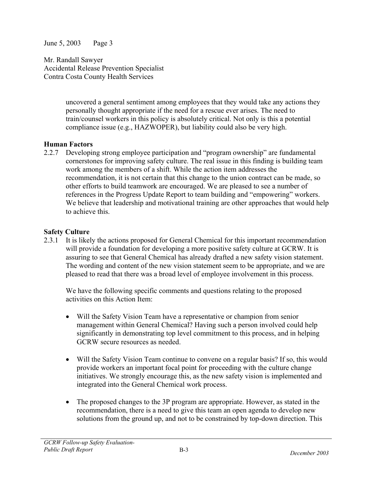June 5, 2003 Page 3

Mr. Randall Sawyer Accidental Release Prevention Specialist Contra Costa County Health Services

> uncovered a general sentiment among employees that they would take any actions they personally thought appropriate if the need for a rescue ever arises. The need to train/counsel workers in this policy is absolutely critical. Not only is this a potential compliance issue (e.g., HAZWOPER), but liability could also be very high.

### **Human Factors**

2.2.7 Developing strong employee participation and "program ownership" are fundamental cornerstones for improving safety culture. The real issue in this finding is building team work among the members of a shift. While the action item addresses the recommendation, it is not certain that this change to the union contract can be made, so other efforts to build teamwork are encouraged. We are pleased to see a number of references in the Progress Update Report to team building and "empowering" workers. We believe that leadership and motivational training are other approaches that would help to achieve this.

#### **Safety Culture**

2.3.1 It is likely the actions proposed for General Chemical for this important recommendation will provide a foundation for developing a more positive safety culture at GCRW. It is assuring to see that General Chemical has already drafted a new safety vision statement. The wording and content of the new vision statement seem to be appropriate, and we are pleased to read that there was a broad level of employee involvement in this process.

We have the following specific comments and questions relating to the proposed activities on this Action Item:

- Will the Safety Vision Team have a representative or champion from senior management within General Chemical? Having such a person involved could help significantly in demonstrating top level commitment to this process, and in helping GCRW secure resources as needed.
- Will the Safety Vision Team continue to convene on a regular basis? If so, this would provide workers an important focal point for proceeding with the culture change initiatives. We strongly encourage this, as the new safety vision is implemented and integrated into the General Chemical work process.
- The proposed changes to the 3P program are appropriate. However, as stated in the recommendation, there is a need to give this team an open agenda to develop new solutions from the ground up, and not to be constrained by top-down direction. This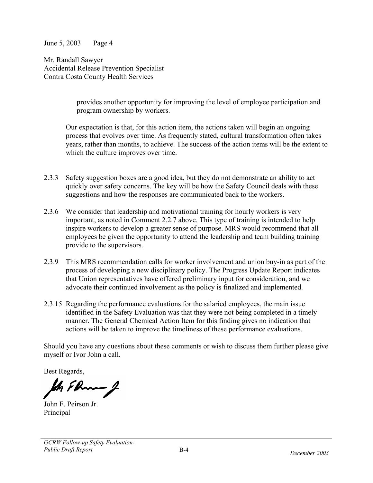June 5, 2003 Page 4

Mr. Randall Sawyer Accidental Release Prevention Specialist Contra Costa County Health Services

> provides another opportunity for improving the level of employee participation and program ownership by workers.

Our expectation is that, for this action item, the actions taken will begin an ongoing process that evolves over time. As frequently stated, cultural transformation often takes years, rather than months, to achieve. The success of the action items will be the extent to which the culture improves over time.

- 2.3.3 Safety suggestion boxes are a good idea, but they do not demonstrate an ability to act quickly over safety concerns. The key will be how the Safety Council deals with these suggestions and how the responses are communicated back to the workers.
- 2.3.6 We consider that leadership and motivational training for hourly workers is very important, as noted in Comment 2.2.7 above. This type of training is intended to help inspire workers to develop a greater sense of purpose. MRS would recommend that all employees be given the opportunity to attend the leadership and team building training provide to the supervisors.
- 2.3.9 This MRS recommendation calls for worker involvement and union buy-in as part of the process of developing a new disciplinary policy. The Progress Update Report indicates that Union representatives have offered preliminary input for consideration, and we advocate their continued involvement as the policy is finalized and implemented.
- 2.3.15 Regarding the performance evaluations for the salaried employees, the main issue identified in the Safety Evaluation was that they were not being completed in a timely manner. The General Chemical Action Item for this finding gives no indication that actions will be taken to improve the timeliness of these performance evaluations.

Should you have any questions about these comments or wish to discuss them further please give myself or Ivor John a call.

Best Regards,

 $-\cancel{1}$ 

John F. Peirson Jr. Principal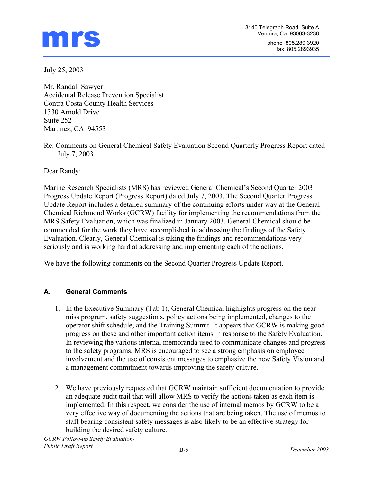

July 25, 2003

Mr. Randall Sawyer Accidental Release Prevention Specialist Contra Costa County Health Services 1330 Arnold Drive Suite 252 Martinez, CA 94553

Re: Comments on General Chemical Safety Evaluation Second Quarterly Progress Report dated July 7, 2003

Dear Randy:

Marine Research Specialists (MRS) has reviewed General Chemical's Second Quarter 2003 Progress Update Report (Progress Report) dated July 7, 2003. The Second Quarter Progress Update Report includes a detailed summary of the continuing efforts under way at the General Chemical Richmond Works (GCRW) facility for implementing the recommendations from the MRS Safety Evaluation, which was finalized in January 2003. General Chemical should be commended for the work they have accomplished in addressing the findings of the Safety Evaluation. Clearly, General Chemical is taking the findings and recommendations very seriously and is working hard at addressing and implementing each of the actions.

We have the following comments on the Second Quarter Progress Update Report.

#### **A. General Comments**

- 1. In the Executive Summary (Tab 1), General Chemical highlights progress on the near miss program, safety suggestions, policy actions being implemented, changes to the operator shift schedule, and the Training Summit. It appears that GCRW is making good progress on these and other important action items in response to the Safety Evaluation. In reviewing the various internal memoranda used to communicate changes and progress to the safety programs, MRS is encouraged to see a strong emphasis on employee involvement and the use of consistent messages to emphasize the new Safety Vision and a management commitment towards improving the safety culture.
- 2. We have previously requested that GCRW maintain sufficient documentation to provide an adequate audit trail that will allow MRS to verify the actions taken as each item is implemented. In this respect, we consider the use of internal memos by GCRW to be a very effective way of documenting the actions that are being taken. The use of memos to staff bearing consistent safety messages is also likely to be an effective strategy for building the desired safety culture.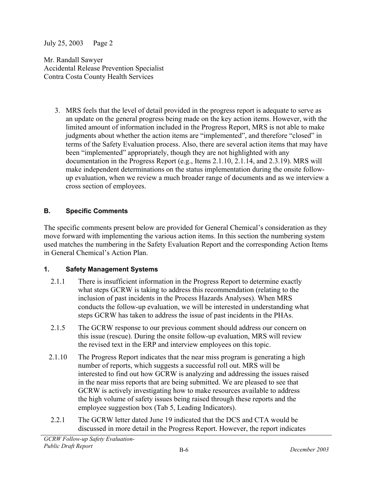July 25, 2003 Page 2

Mr. Randall Sawyer Accidental Release Prevention Specialist Contra Costa County Health Services

3. MRS feels that the level of detail provided in the progress report is adequate to serve as an update on the general progress being made on the key action items. However, with the limited amount of information included in the Progress Report, MRS is not able to make judgments about whether the action items are "implemented", and therefore "closed" in terms of the Safety Evaluation process. Also, there are several action items that may have been "implemented" appropriately, though they are not highlighted with any documentation in the Progress Report (e.g., Items 2.1.10, 2.1.14, and 2.3.19). MRS will make independent determinations on the status implementation during the onsite followup evaluation, when we review a much broader range of documents and as we interview a cross section of employees.

### **B. Specific Comments**

The specific comments present below are provided for General Chemical's consideration as they move forward with implementing the various action items. In this section the numbering system used matches the numbering in the Safety Evaluation Report and the corresponding Action Items in General Chemical's Action Plan.

### **1. Safety Management Systems**

- 2.1.1 There is insufficient information in the Progress Report to determine exactly what steps GCRW is taking to address this recommendation (relating to the inclusion of past incidents in the Process Hazards Analyses). When MRS conducts the follow-up evaluation, we will be interested in understanding what steps GCRW has taken to address the issue of past incidents in the PHAs.
- 2.1.5 The GCRW response to our previous comment should address our concern on this issue (rescue). During the onsite follow-up evaluation, MRS will review the revised text in the ERP and interview employees on this topic.
- 2.1.10 The Progress Report indicates that the near miss program is generating a high number of reports, which suggests a successful roll out. MRS will be interested to find out how GCRW is analyzing and addressing the issues raised in the near miss reports that are being submitted. We are pleased to see that GCRW is actively investigating how to make resources available to address the high volume of safety issues being raised through these reports and the employee suggestion box (Tab 5, Leading Indicators).
- 2.2.1 The GCRW letter dated June 19 indicated that the DCS and CTA would be discussed in more detail in the Progress Report. However, the report indicates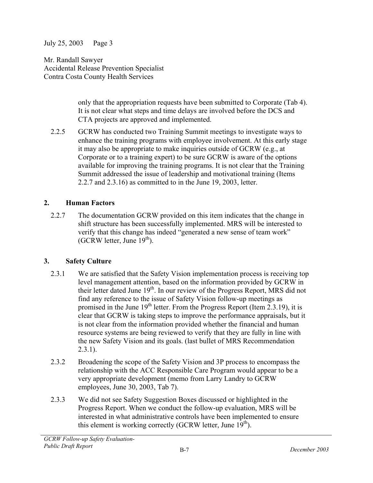July 25, 2003 Page 3

Mr. Randall Sawyer Accidental Release Prevention Specialist Contra Costa County Health Services

> only that the appropriation requests have been submitted to Corporate (Tab 4). It is not clear what steps and time delays are involved before the DCS and CTA projects are approved and implemented.

2.2.5 GCRW has conducted two Training Summit meetings to investigate ways to enhance the training programs with employee involvement. At this early stage it may also be appropriate to make inquiries outside of GCRW (e.g., at Corporate or to a training expert) to be sure GCRW is aware of the options available for improving the training programs. It is not clear that the Training Summit addressed the issue of leadership and motivational training (Items 2.2.7 and 2.3.16) as committed to in the June 19, 2003, letter.

## **2. Human Factors**

2.2.7 The documentation GCRW provided on this item indicates that the change in shift structure has been successfully implemented. MRS will be interested to verify that this change has indeed "generated a new sense of team work" (GCRW letter, June  $19<sup>th</sup>$ ).

## **3. Safety Culture**

- 2.3.1 We are satisfied that the Safety Vision implementation process is receiving top level management attention, based on the information provided by GCRW in their letter dated June 19<sup>th</sup>. In our review of the Progress Report, MRS did not find any reference to the issue of Safety Vision follow-up meetings as promised in the June  $19<sup>th</sup>$  letter. From the Progress Report (Item 2.3.19), it is clear that GCRW is taking steps to improve the performance appraisals, but it is not clear from the information provided whether the financial and human resource systems are being reviewed to verify that they are fully in line with the new Safety Vision and its goals. (last bullet of MRS Recommendation  $2.3.1$ ).
- 2.3.2 Broadening the scope of the Safety Vision and 3P process to encompass the relationship with the ACC Responsible Care Program would appear to be a very appropriate development (memo from Larry Landry to GCRW employees, June 30, 2003, Tab 7).
- 2.3.3 We did not see Safety Suggestion Boxes discussed or highlighted in the Progress Report. When we conduct the follow-up evaluation, MRS will be interested in what administrative controls have been implemented to ensure this element is working correctly (GCRW letter, June  $19<sup>th</sup>$ ).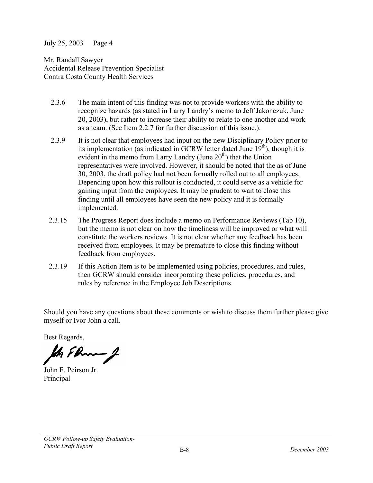July 25, 2003 Page 4

Mr. Randall Sawyer Accidental Release Prevention Specialist Contra Costa County Health Services

- 2.3.6 The main intent of this finding was not to provide workers with the ability to recognize hazards (as stated in Larry Landry's memo to Jeff Jakonczuk, June 20, 2003), but rather to increase their ability to relate to one another and work as a team. (See Item 2.2.7 for further discussion of this issue.).
- 2.3.9 It is not clear that employees had input on the new Disciplinary Policy prior to its implementation (as indicated in GCRW letter dated June  $19<sup>th</sup>$ ), though it is evident in the memo from Larry Landry (June  $20<sup>th</sup>$ ) that the Union representatives were involved. However, it should be noted that the as of June 30, 2003, the draft policy had not been formally rolled out to all employees. Depending upon how this rollout is conducted, it could serve as a vehicle for gaining input from the employees. It may be prudent to wait to close this finding until all employees have seen the new policy and it is formally implemented.
- 2.3.15 The Progress Report does include a memo on Performance Reviews (Tab 10), but the memo is not clear on how the timeliness will be improved or what will constitute the workers reviews. It is not clear whether any feedback has been received from employees. It may be premature to close this finding without feedback from employees.
- 2.3.19 If this Action Item is to be implemented using policies, procedures, and rules, then GCRW should consider incorporating these policies, procedures, and rules by reference in the Employee Job Descriptions.

Should you have any questions about these comments or wish to discuss them further please give myself or Ivor John a call.

Best Regards,

the Flume of

John F. Peirson Jr. Principal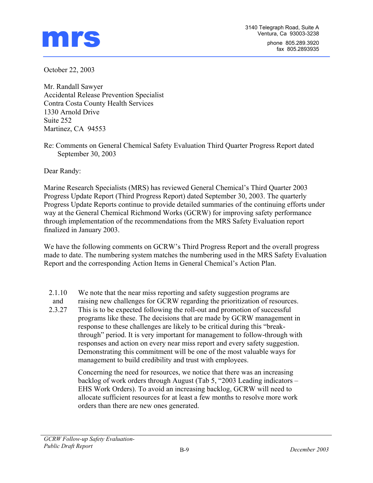

October 22, 2003

Mr. Randall Sawyer Accidental Release Prevention Specialist Contra Costa County Health Services 1330 Arnold Drive Suite 252 Martinez, CA 94553

Re: Comments on General Chemical Safety Evaluation Third Quarter Progress Report dated September 30, 2003

Dear Randy:

Marine Research Specialists (MRS) has reviewed General Chemical's Third Quarter 2003 Progress Update Report (Third Progress Report) dated September 30, 2003. The quarterly Progress Update Reports continue to provide detailed summaries of the continuing efforts under way at the General Chemical Richmond Works (GCRW) for improving safety performance through implementation of the recommendations from the MRS Safety Evaluation report finalized in January 2003.

We have the following comments on GCRW's Third Progress Report and the overall progress made to date. The numbering system matches the numbering used in the MRS Safety Evaluation Report and the corresponding Action Items in General Chemical's Action Plan.

- 2.1.10 We note that the near miss reporting and safety suggestion programs are
- and raising new challenges for GCRW regarding the prioritization of resources.
- 2.3.27 This is to be expected following the roll-out and promotion of successful programs like these. The decisions that are made by GCRW management in response to these challenges are likely to be critical during this "breakthrough" period. It is very important for management to follow-through with responses and action on every near miss report and every safety suggestion. Demonstrating this commitment will be one of the most valuable ways for management to build credibility and trust with employees.

Concerning the need for resources, we notice that there was an increasing backlog of work orders through August (Tab 5, "2003 Leading indicators – EHS Work Orders). To avoid an increasing backlog, GCRW will need to allocate sufficient resources for at least a few months to resolve more work orders than there are new ones generated.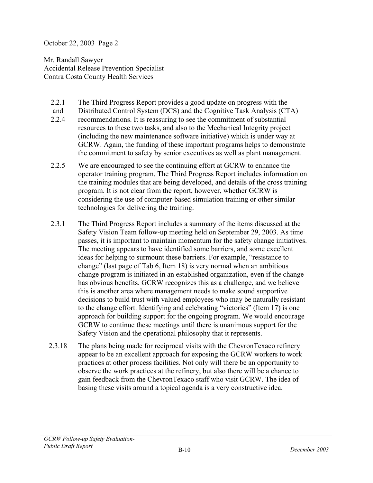October 22, 2003 Page 2

Mr. Randall Sawyer Accidental Release Prevention Specialist Contra Costa County Health Services

- 2.2.1 The Third Progress Report provides a good update on progress with the
- and Distributed Control System (DCS) and the Cognitive Task Analysis (CTA)
- 2.2.4 recommendations. It is reassuring to see the commitment of substantial resources to these two tasks, and also to the Mechanical Integrity project (including the new maintenance software initiative) which is under way at GCRW. Again, the funding of these important programs helps to demonstrate the commitment to safety by senior executives as well as plant management.
- 2.2.5 We are encouraged to see the continuing effort at GCRW to enhance the operator training program. The Third Progress Report includes information on the training modules that are being developed, and details of the cross training program. It is not clear from the report, however, whether GCRW is considering the use of computer-based simulation training or other similar technologies for delivering the training.
- 2.3.1 The Third Progress Report includes a summary of the items discussed at the Safety Vision Team follow-up meeting held on September 29, 2003. As time passes, it is important to maintain momentum for the safety change initiatives. The meeting appears to have identified some barriers, and some excellent ideas for helping to surmount these barriers. For example, "resistance to change" (last page of Tab 6, Item 18) is very normal when an ambitious change program is initiated in an established organization, even if the change has obvious benefits. GCRW recognizes this as a challenge, and we believe this is another area where management needs to make sound supportive decisions to build trust with valued employees who may be naturally resistant to the change effort. Identifying and celebrating "victories" (Item 17) is one approach for building support for the ongoing program. We would encourage GCRW to continue these meetings until there is unanimous support for the Safety Vision and the operational philosophy that it represents.
- 2.3.18 The plans being made for reciprocal visits with the ChevronTexaco refinery appear to be an excellent approach for exposing the GCRW workers to work practices at other process facilities. Not only will there be an opportunity to observe the work practices at the refinery, but also there will be a chance to gain feedback from the ChevronTexaco staff who visit GCRW. The idea of basing these visits around a topical agenda is a very constructive idea.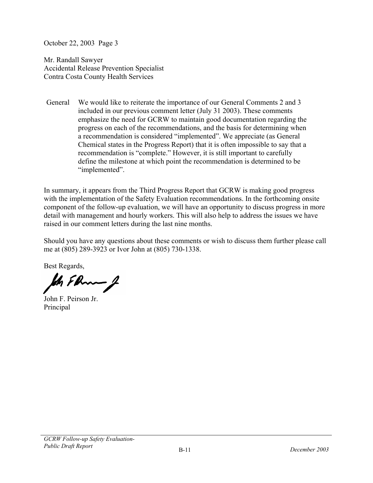October 22, 2003 Page 3

Mr. Randall Sawyer Accidental Release Prevention Specialist Contra Costa County Health Services

General We would like to reiterate the importance of our General Comments 2 and 3 included in our previous comment letter (July 31 2003). These comments emphasize the need for GCRW to maintain good documentation regarding the progress on each of the recommendations, and the basis for determining when a recommendation is considered "implemented". We appreciate (as General Chemical states in the Progress Report) that it is often impossible to say that a recommendation is "complete." However, it is still important to carefully define the milestone at which point the recommendation is determined to be "implemented".

In summary, it appears from the Third Progress Report that GCRW is making good progress with the implementation of the Safety Evaluation recommendations. In the forthcoming onsite component of the follow-up evaluation, we will have an opportunity to discuss progress in more detail with management and hourly workers. This will also help to address the issues we have raised in our comment letters during the last nine months.

Should you have any questions about these comments or wish to discuss them further please call me at (805) 289-3923 or Ivor John at (805) 730-1338.

Best Regards,

In FRum of

John F. Peirson Jr. Principal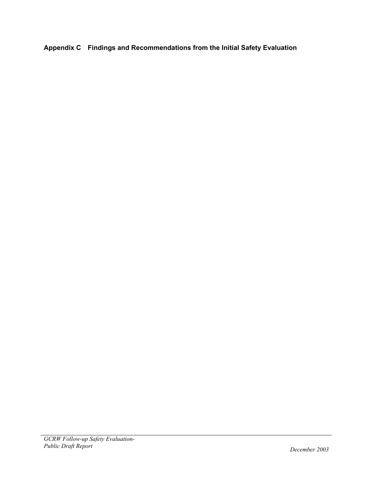**Appendix C Findings and Recommendations from the Initial Safety Evaluation**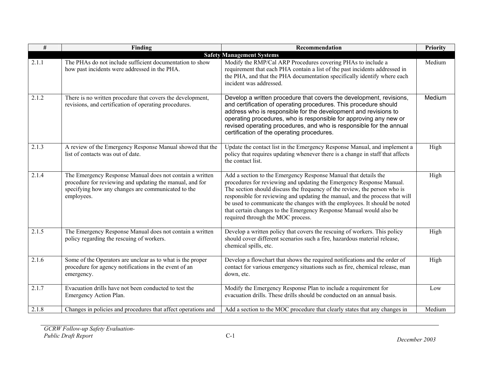| #     | Finding                                                                                                                                                                                  | Recommendation                                                                                                                                                                                                                                                                                                                                                                                                                                                                                | Priority |
|-------|------------------------------------------------------------------------------------------------------------------------------------------------------------------------------------------|-----------------------------------------------------------------------------------------------------------------------------------------------------------------------------------------------------------------------------------------------------------------------------------------------------------------------------------------------------------------------------------------------------------------------------------------------------------------------------------------------|----------|
|       |                                                                                                                                                                                          | <b>Safety Management Systems</b>                                                                                                                                                                                                                                                                                                                                                                                                                                                              |          |
| 2.1.1 | The PHAs do not include sufficient documentation to show<br>how past incidents were addressed in the PHA.                                                                                | Modify the RMP/Cal ARP Procedures covering PHAs to include a<br>requirement that each PHA contain a list of the past incidents addressed in<br>the PHA, and that the PHA documentation specifically identify where each<br>incident was addressed.                                                                                                                                                                                                                                            | Medium   |
| 2.1.2 | There is no written procedure that covers the development,<br>revisions, and certification of operating procedures.                                                                      | Develop a written procedure that covers the development, revisions,<br>and certification of operating procedures. This procedure should<br>address who is responsible for the development and revisions to<br>operating procedures, who is responsible for approving any new or<br>revised operating procedures, and who is responsible for the annual<br>certification of the operating procedures.                                                                                          | Medium   |
| 2.1.3 | A review of the Emergency Response Manual showed that the<br>list of contacts was out of date.                                                                                           | Update the contact list in the Emergency Response Manual, and implement a<br>policy that requires updating whenever there is a change in staff that affects<br>the contact list.                                                                                                                                                                                                                                                                                                              | High     |
| 2.1.4 | The Emergency Response Manual does not contain a written<br>procedure for reviewing and updating the manual, and for<br>specifying how any changes are communicated to the<br>employees. | Add a section to the Emergency Response Manual that details the<br>procedures for reviewing and updating the Emergency Response Manual.<br>The section should discuss the frequency of the review, the person who is<br>responsible for reviewing and updating the manual, and the process that will<br>be used to communicate the changes with the employees. It should be noted<br>that certain changes to the Emergency Response Manual would also be<br>required through the MOC process. | High     |
| 2.1.5 | The Emergency Response Manual does not contain a written<br>policy regarding the rescuing of workers.                                                                                    | Develop a written policy that covers the rescuing of workers. This policy<br>should cover different scenarios such a fire, hazardous material release,<br>chemical spills, etc.                                                                                                                                                                                                                                                                                                               | High     |
| 2.1.6 | Some of the Operators are unclear as to what is the proper<br>procedure for agency notifications in the event of an<br>emergency.                                                        | Develop a flowchart that shows the required notifications and the order of<br>contact for various emergency situations such as fire, chemical release, man<br>down, etc.                                                                                                                                                                                                                                                                                                                      | High     |
| 2.1.7 | Evacuation drills have not been conducted to test the<br>Emergency Action Plan.                                                                                                          | Modify the Emergency Response Plan to include a requirement for<br>evacuation drills. These drills should be conducted on an annual basis.                                                                                                                                                                                                                                                                                                                                                    | Low      |
| 2.1.8 | Changes in policies and procedures that affect operations and                                                                                                                            | Add a section to the MOC procedure that clearly states that any changes in                                                                                                                                                                                                                                                                                                                                                                                                                    | Medium   |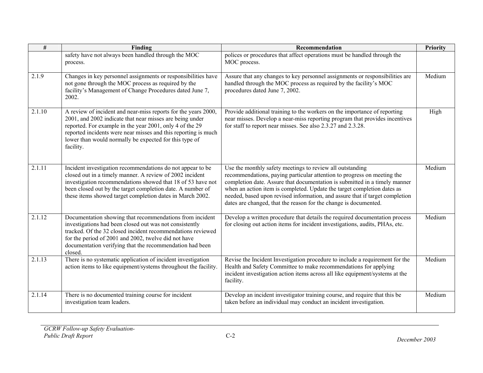| #      | Finding                                                                                                                                                                                                                                                                                                                         | Recommendation                                                                                                                                                                                                                                                                                                                                                                                                                                    | <b>Priority</b> |
|--------|---------------------------------------------------------------------------------------------------------------------------------------------------------------------------------------------------------------------------------------------------------------------------------------------------------------------------------|---------------------------------------------------------------------------------------------------------------------------------------------------------------------------------------------------------------------------------------------------------------------------------------------------------------------------------------------------------------------------------------------------------------------------------------------------|-----------------|
|        | safety have not always been handled through the MOC<br>process.                                                                                                                                                                                                                                                                 | polices or procedures that affect operations must be handled through the<br>MOC process.                                                                                                                                                                                                                                                                                                                                                          |                 |
| 2.1.9  | Changes in key personnel assignments or responsibilities have<br>not gone through the MOC process as required by the<br>facility's Management of Change Procedures dated June 7,<br>2002.                                                                                                                                       | Assure that any changes to key personnel assignments or responsibilities are<br>handled through the MOC process as required by the facility's MOC<br>procedures dated June 7, 2002.                                                                                                                                                                                                                                                               | Medium          |
| 2.1.10 | A review of incident and near-miss reports for the years 2000,<br>2001, and 2002 indicate that near misses are being under<br>reported. For example in the year 2001, only 4 of the 29<br>reported incidents were near misses and this reporting is much<br>lower than would normally be expected for this type of<br>facility. | Provide additional training to the workers on the importance of reporting<br>near misses. Develop a near-miss reporting program that provides incentives<br>for staff to report near misses. See also 2.3.27 and 2.3.28.                                                                                                                                                                                                                          | High            |
| 2.1.11 | Incident investigation recommendations do not appear to be<br>closed out in a timely manner. A review of 2002 incident<br>investigation recommendations showed that 18 of 53 have not<br>been closed out by the target completion date. A number of<br>these items showed target completion dates in March 2002.                | Use the monthly safety meetings to review all outstanding<br>recommendations, paying particular attention to progress on meeting the<br>completion date. Assure that documentation is submitted in a timely manner<br>when an action item is completed. Update the target completion dates as<br>needed, based upon revised information, and assure that if target completion<br>dates are changed, that the reason for the change is documented. | Medium          |
| 2.1.12 | Documentation showing that recommendations from incident<br>investigations had been closed out was not consistently<br>tracked. Of the 32 closed incident recommendations reviewed<br>for the period of 2001 and 2002, twelve did not have<br>documentation verifying that the recommendation had been<br>closed.               | Develop a written procedure that details the required documentation process<br>for closing out action items for incident investigations, audits, PHAs, etc.                                                                                                                                                                                                                                                                                       | Medium          |
| 2.1.13 | There is no systematic application of incident investigation<br>action items to like equipment/systems throughout the facility.                                                                                                                                                                                                 | Revise the Incident Investigation procedure to include a requirement for the<br>Health and Safety Committee to make recommendations for applying<br>incident investigation action items across all like equipment/systems at the<br>facility.                                                                                                                                                                                                     | Medium          |
| 2.1.14 | There is no documented training course for incident<br>investigation team leaders.                                                                                                                                                                                                                                              | Develop an incident investigator training course, and require that this be<br>taken before an individual may conduct an incident investigation.                                                                                                                                                                                                                                                                                                   | Medium          |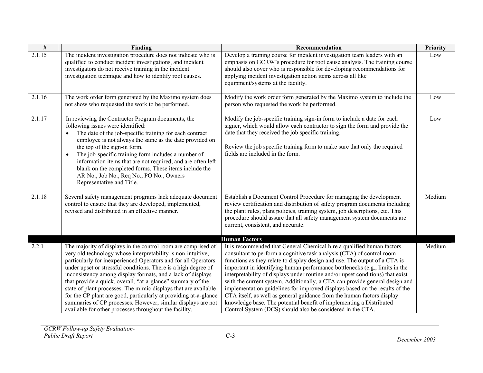| $\frac{1}{2}$ | Finding                                                                                                                                                                                                                                                                                                                                                                                                                                                                                                                                                                                                                                                          | Recommendation                                                                                                                                                                                                                                                                                                                                                                                                                                                                                                                                                                                                                                                                                                                                                              | Priority |
|---------------|------------------------------------------------------------------------------------------------------------------------------------------------------------------------------------------------------------------------------------------------------------------------------------------------------------------------------------------------------------------------------------------------------------------------------------------------------------------------------------------------------------------------------------------------------------------------------------------------------------------------------------------------------------------|-----------------------------------------------------------------------------------------------------------------------------------------------------------------------------------------------------------------------------------------------------------------------------------------------------------------------------------------------------------------------------------------------------------------------------------------------------------------------------------------------------------------------------------------------------------------------------------------------------------------------------------------------------------------------------------------------------------------------------------------------------------------------------|----------|
| 2.1.15        | The incident investigation procedure does not indicate who is<br>qualified to conduct incident investigations, and incident<br>investigators do not receive training in the incident<br>investigation technique and how to identify root causes.                                                                                                                                                                                                                                                                                                                                                                                                                 | Develop a training course for incident investigation team leaders with an<br>emphasis on GCRW's procedure for root cause analysis. The training course<br>should also cover who is responsible for developing recommendations for<br>applying incident investigation action items across all like<br>equipment/systems at the facility.                                                                                                                                                                                                                                                                                                                                                                                                                                     | Low      |
| 2.1.16        | The work order form generated by the Maximo system does<br>not show who requested the work to be performed.                                                                                                                                                                                                                                                                                                                                                                                                                                                                                                                                                      | Modify the work order form generated by the Maximo system to include the<br>person who requested the work be performed.                                                                                                                                                                                                                                                                                                                                                                                                                                                                                                                                                                                                                                                     | Low      |
| 2.1.17        | In reviewing the Contractor Program documents, the<br>following issues were identified:<br>The date of the job-specific training for each contract<br>employee is not always the same as the date provided on<br>the top of the sign-in form.<br>The job-specific training form includes a number of<br>$\bullet$<br>information items that are not required, and are often left<br>blank on the completed forms. These items include the<br>AR No., Job No., Req No., PO No., Owners<br>Representative and Title.                                                                                                                                               | Modify the job-specific training sign-in form to include a date for each<br>signer, which would allow each contractor to sign the form and provide the<br>date that they received the job specific training.<br>Review the job specific training form to make sure that only the required<br>fields are included in the form.                                                                                                                                                                                                                                                                                                                                                                                                                                               | Low      |
| 2.1.18        | Several safety management programs lack adequate document<br>control to ensure that they are developed, implemented,<br>revised and distributed in an effective manner.                                                                                                                                                                                                                                                                                                                                                                                                                                                                                          | Establish a Document Control Procedure for managing the development<br>review certification and distribution of safety program documents including<br>the plant rules, plant policies, training system, job descriptions, etc. This<br>procedure should assure that all safety management system documents are<br>current, consistent, and accurate.                                                                                                                                                                                                                                                                                                                                                                                                                        | Medium   |
|               |                                                                                                                                                                                                                                                                                                                                                                                                                                                                                                                                                                                                                                                                  | <b>Human Factors</b>                                                                                                                                                                                                                                                                                                                                                                                                                                                                                                                                                                                                                                                                                                                                                        |          |
| 2.2.1         | The majority of displays in the control room are comprised of<br>very old technology whose interpretability is non-intuitive,<br>particularly for inexperienced Operators and for all Operators<br>under upset or stressful conditions. There is a high degree of<br>inconsistency among display formats, and a lack of displays<br>that provide a quick, overall, "at-a-glance" summary of the<br>state of plant processes. The mimic displays that are available<br>for the CP plant are good, particularly at providing at-a-glance<br>summaries of CP processes. However, similar displays are not<br>available for other processes throughout the facility. | It is recommended that General Chemical hire a qualified human factors<br>consultant to perform a cognitive task analysis (CTA) of control room<br>functions as they relate to display design and use. The output of a CTA is<br>important in identifying human performance bottlenecks (e.g., limits in the<br>interpretability of displays under routine and/or upset conditions) that exist<br>with the current system. Additionally, a CTA can provide general design and<br>implementation guidelines for improved displays based on the results of the<br>CTA itself, as well as general guidance from the human factors display<br>knowledge base. The potential benefit of implementing a Distributed<br>Control System (DCS) should also be considered in the CTA. | Medium   |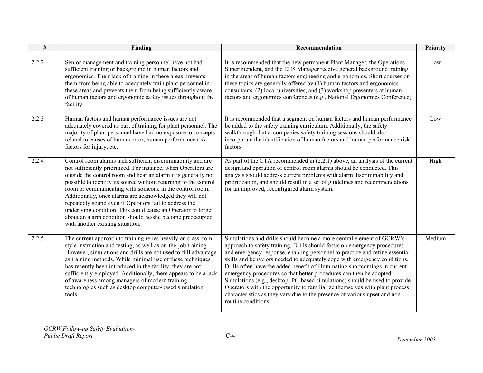| #     | Finding                                                                                                                                                                                                                                                                                                                                                                                                                                                                                                                                                                                                                | Recommendation                                                                                                                                                                                                                                                                                                                                                                                                                                                                                                                                                                                                                                                                                                                         | Priority |
|-------|------------------------------------------------------------------------------------------------------------------------------------------------------------------------------------------------------------------------------------------------------------------------------------------------------------------------------------------------------------------------------------------------------------------------------------------------------------------------------------------------------------------------------------------------------------------------------------------------------------------------|----------------------------------------------------------------------------------------------------------------------------------------------------------------------------------------------------------------------------------------------------------------------------------------------------------------------------------------------------------------------------------------------------------------------------------------------------------------------------------------------------------------------------------------------------------------------------------------------------------------------------------------------------------------------------------------------------------------------------------------|----------|
| 2.2.2 | Senior management and training personnel have not had<br>sufficient training or background in human factors and<br>ergonomics. Their lack of training in these areas prevents<br>them from being able to adequately train plant personnel in<br>these areas and prevents them from being sufficiently aware<br>of human factors and ergonomic safety issues throughout the<br>facility.                                                                                                                                                                                                                                | It is recommended that the new permanent Plant Manager, the Operations<br>Superintendent, and the EHS Manager receive general background training<br>in the areas of human factors engineering and ergonomics. Short courses on<br>these topics are generally offered by (1) human factors and ergonomics<br>consultants, (2) local universities, and (3) workshop presenters at human<br>factors and ergonomics conferences (e.g., National Ergonomics Conference).                                                                                                                                                                                                                                                                   | Low      |
| 2.2.3 | Human factors and human performance issues are not<br>adequately covered as part of training for plant personnel. The<br>majority of plant personnel have had no exposure to concepts<br>related to causes of human error, human performance risk<br>factors for injury, etc.                                                                                                                                                                                                                                                                                                                                          | It is recommended that a segment on human factors and human performance<br>be added to the safety training curriculum. Additionally, the safety<br>walkthrough that accompanies safety training sessions should also<br>incorporate the identification of human factors and human performance risk<br>factors.                                                                                                                                                                                                                                                                                                                                                                                                                         | Low      |
| 2.2.4 | Control room alarms lack sufficient discriminability and are<br>not sufficiently prioritized. For instance, when Operators are<br>outside the control room and hear an alarm it is generally not<br>possible to identify its source without returning to the control<br>room or communicating with someone in the control room.<br>Additionally, once alarms are acknowledged they will not<br>repeatedly sound even if Operators fail to address the<br>underlying condition. This could cause an Operator to forget<br>about an alarm condition should he/she become preoccupied<br>with another existing situation. | As part of the CTA recommended in $(2.2.1)$ above, an analysis of the current<br>design and operation of control room alarms should be conducted. This<br>analysis should address current problems with alarm discriminability and<br>prioritization, and should result in a set of guidelines and recommendations<br>for an improved, reconfigured alarm system.                                                                                                                                                                                                                                                                                                                                                                      | High     |
| 2.2.5 | The current approach to training relies heavily on classroom-<br>style instruction and testing, as well as on-the-job training.<br>However, simulations and drills are not used to full advantage<br>as training methods. While minimal use of these techniques<br>has recently been introduced in the facility, they are not<br>sufficiently employed. Additionally, there appears to be a lack<br>of awareness among managers of modern training<br>technologies such as desktop computer-based simulation<br>tools.                                                                                                 | Simulations and drills should become a more central element of GCRW's<br>approach to safety training. Drills should focus on emergency procedures<br>and emergency response, enabling personnel to practice and refine essential<br>skills and behaviors needed to adequately cope with emergency conditions.<br>Drills often have the added benefit of illuminating shortcomings in current<br>emergency procedures so that better procedures can then be adopted.<br>Simulations (e.g., desktop, PC-based simulations) should be used to provide<br>Operators with the opportunity to familiarize themselves with plant process<br>characteristics as they vary due to the presence of various upset and non-<br>routine conditions. | Medium   |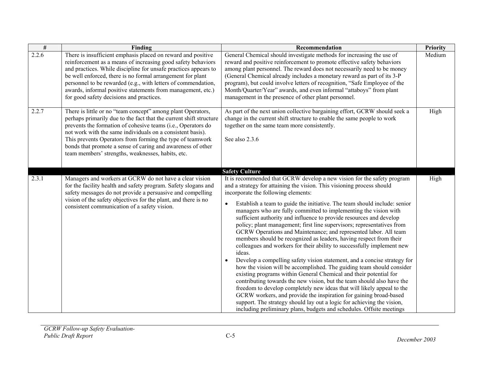| #     | Finding                                                                                                                                                                                                                                                                                                                                                                                                                                          | Recommendation                                                                                                                                                                                                                                                                                                                                                                                                                                                                                                                                                                                                                                                                                                                                                                                                                                                                                                                                                                                                                                                                                                                                                                                                                                                                                                                                                      | <b>Priority</b> |
|-------|--------------------------------------------------------------------------------------------------------------------------------------------------------------------------------------------------------------------------------------------------------------------------------------------------------------------------------------------------------------------------------------------------------------------------------------------------|---------------------------------------------------------------------------------------------------------------------------------------------------------------------------------------------------------------------------------------------------------------------------------------------------------------------------------------------------------------------------------------------------------------------------------------------------------------------------------------------------------------------------------------------------------------------------------------------------------------------------------------------------------------------------------------------------------------------------------------------------------------------------------------------------------------------------------------------------------------------------------------------------------------------------------------------------------------------------------------------------------------------------------------------------------------------------------------------------------------------------------------------------------------------------------------------------------------------------------------------------------------------------------------------------------------------------------------------------------------------|-----------------|
| 2.2.6 | There is insufficient emphasis placed on reward and positive<br>reinforcement as a means of increasing good safety behaviors<br>and practices. While discipline for unsafe practices appears to<br>be well enforced, there is no formal arrangement for plant<br>personnel to be rewarded (e.g., with letters of commendation,<br>awards, informal positive statements from management, etc.)<br>for good safety decisions and practices.        | General Chemical should investigate methods for increasing the use of<br>reward and positive reinforcement to promote effective safety behaviors<br>among plant personnel. The reward does not necessarily need to be money<br>(General Chemical already includes a monetary reward as part of its 3-P<br>program), but could involve letters of recognition, "Safe Employee of the<br>Month/Quarter/Year" awards, and even informal "attaboys" from plant<br>management in the presence of other plant personnel.                                                                                                                                                                                                                                                                                                                                                                                                                                                                                                                                                                                                                                                                                                                                                                                                                                                  | Medium          |
| 2.2.7 | There is little or no "team concept" among plant Operators,<br>perhaps primarily due to the fact that the current shift structure<br>prevents the formation of cohesive teams (i.e., Operators do<br>not work with the same individuals on a consistent basis).<br>This prevents Operators from forming the type of teamwork<br>bonds that promote a sense of caring and awareness of other<br>team members' strengths, weaknesses, habits, etc. | As part of the next union collective bargaining effort, GCRW should seek a<br>change in the current shift structure to enable the same people to work<br>together on the same team more consistently.<br>See also 2.3.6                                                                                                                                                                                                                                                                                                                                                                                                                                                                                                                                                                                                                                                                                                                                                                                                                                                                                                                                                                                                                                                                                                                                             | High            |
| 2.3.1 | Managers and workers at GCRW do not have a clear vision<br>for the facility health and safety program. Safety slogans and<br>safety messages do not provide a persuasive and compelling<br>vision of the safety objectives for the plant, and there is no<br>consistent communication of a safety vision.                                                                                                                                        | <b>Safety Culture</b><br>It is recommended that GCRW develop a new vision for the safety program<br>and a strategy for attaining the vision. This visioning process should<br>incorporate the following elements:<br>Establish a team to guide the initiative. The team should include: senior<br>$\bullet$<br>managers who are fully committed to implementing the vision with<br>sufficient authority and influence to provide resources and develop<br>policy; plant management; first line supervisors; representatives from<br>GCRW Operations and Maintenance; and represented labor. All team<br>members should be recognized as leaders, having respect from their<br>colleagues and workers for their ability to successfully implement new<br>ideas.<br>Develop a compelling safety vision statement, and a concise strategy for<br>how the vision will be accomplished. The guiding team should consider<br>existing programs within General Chemical and their potential for<br>contributing towards the new vision, but the team should also have the<br>freedom to develop completely new ideas that will likely appeal to the<br>GCRW workers, and provide the inspiration for gaining broad-based<br>support. The strategy should lay out a logic for achieving the vision,<br>including preliminary plans, budgets and schedules. Offsite meetings | High            |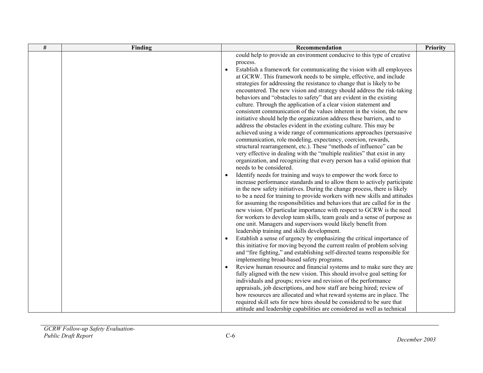| $\#$ | Finding | Recommendation                                                                                                                                                                                                                                                                                                                                                                                                                                                                                                                                                                                                                                                                                                                                                                                                                                                                                                                                                                                                                                                                                                                                                                                                                                                                                                                                                                                                                                                                                                                                                                                                                                                                                                                                                                                                                                                                                                                                                                                                                                                                                                                                                                                                                                                                                                                                                                                                                                                                                                                                                                                                                                                                                    | Priority |
|------|---------|---------------------------------------------------------------------------------------------------------------------------------------------------------------------------------------------------------------------------------------------------------------------------------------------------------------------------------------------------------------------------------------------------------------------------------------------------------------------------------------------------------------------------------------------------------------------------------------------------------------------------------------------------------------------------------------------------------------------------------------------------------------------------------------------------------------------------------------------------------------------------------------------------------------------------------------------------------------------------------------------------------------------------------------------------------------------------------------------------------------------------------------------------------------------------------------------------------------------------------------------------------------------------------------------------------------------------------------------------------------------------------------------------------------------------------------------------------------------------------------------------------------------------------------------------------------------------------------------------------------------------------------------------------------------------------------------------------------------------------------------------------------------------------------------------------------------------------------------------------------------------------------------------------------------------------------------------------------------------------------------------------------------------------------------------------------------------------------------------------------------------------------------------------------------------------------------------------------------------------------------------------------------------------------------------------------------------------------------------------------------------------------------------------------------------------------------------------------------------------------------------------------------------------------------------------------------------------------------------------------------------------------------------------------------------------------------------|----------|
|      |         | could help to provide an environment conducive to this type of creative<br>process.<br>Establish a framework for communicating the vision with all employees<br>$\bullet$<br>at GCRW. This framework needs to be simple, effective, and include<br>strategies for addressing the resistance to change that is likely to be<br>encountered. The new vision and strategy should address the risk-taking<br>behaviors and "obstacles to safety" that are evident in the existing<br>culture. Through the application of a clear vision statement and<br>consistent communication of the values inherent in the vision, the new<br>initiative should help the organization address these barriers, and to<br>address the obstacles evident in the existing culture. This may be<br>achieved using a wide range of communications approaches (persuasive<br>communication, role modeling, expectancy, coercion, rewards,<br>structural rearrangement, etc.). These "methods of influence" can be<br>very effective in dealing with the "multiple realities" that exist in any<br>organization, and recognizing that every person has a valid opinion that<br>needs to be considered.<br>Identify needs for training and ways to empower the work force to<br>$\bullet$<br>increase performance standards and to allow them to actively participate<br>in the new safety initiatives. During the change process, there is likely<br>to be a need for training to provide workers with new skills and attitudes<br>for assuming the responsibilities and behaviors that are called for in the<br>new vision. Of particular importance with respect to GCRW is the need<br>for workers to develop team skills, team goals and a sense of purpose as<br>one unit. Managers and supervisors would likely benefit from<br>leadership training and skills development.<br>Establish a sense of urgency by emphasizing the critical importance of<br>$\bullet$<br>this initiative for moving beyond the current realm of problem solving<br>and "fire fighting," and establishing self-directed teams responsible for<br>implementing broad-based safety programs.<br>Review human resource and financial systems and to make sure they are<br>$\bullet$<br>fully aligned with the new vision. This should involve goal setting for<br>individuals and groups; review and revision of the performance<br>appraisals, job descriptions, and how staff are being hired; review of<br>how resources are allocated and what reward systems are in place. The<br>required skill sets for new hires should be considered to be sure that<br>attitude and leadership capabilities are considered as well as technical |          |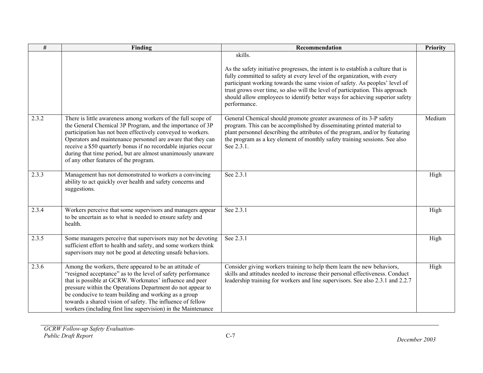| $\overline{\#}$ | Finding                                                                                                                                                                                                                                                                                                                                                                                                                               | Recommendation                                                                                                                                                                                                                                                                                                                                                                                                                           | <b>Priority</b> |
|-----------------|---------------------------------------------------------------------------------------------------------------------------------------------------------------------------------------------------------------------------------------------------------------------------------------------------------------------------------------------------------------------------------------------------------------------------------------|------------------------------------------------------------------------------------------------------------------------------------------------------------------------------------------------------------------------------------------------------------------------------------------------------------------------------------------------------------------------------------------------------------------------------------------|-----------------|
|                 |                                                                                                                                                                                                                                                                                                                                                                                                                                       | skills.<br>As the safety initiative progresses, the intent is to establish a culture that is<br>fully committed to safety at every level of the organization, with every<br>participant working towards the same vision of safety. As peoples' level of<br>trust grows over time, so also will the level of participation. This approach<br>should allow employees to identify better ways for achieving superior safety<br>performance. |                 |
| 2.3.2           | There is little awareness among workers of the full scope of<br>the General Chemical 3P Program, and the importance of 3P<br>participation has not been effectively conveyed to workers.<br>Operators and maintenance personnel are aware that they can<br>receive a \$50 quarterly bonus if no recordable injuries occur<br>during that time period, but are almost unanimously unaware<br>of any other features of the program.     | General Chemical should promote greater awareness of its 3-P safety<br>program. This can be accomplished by disseminating printed material to<br>plant personnel describing the attributes of the program, and/or by featuring<br>the program as a key element of monthly safety training sessions. See also<br>See 2.3.1.                                                                                                               | Medium          |
| 2.3.3           | Management has not demonstrated to workers a convincing<br>ability to act quickly over health and safety concerns and<br>suggestions.                                                                                                                                                                                                                                                                                                 | See 2.3.1                                                                                                                                                                                                                                                                                                                                                                                                                                | High            |
| 2.3.4           | Workers perceive that some supervisors and managers appear<br>to be uncertain as to what is needed to ensure safety and<br>health.                                                                                                                                                                                                                                                                                                    | See 2.3.1                                                                                                                                                                                                                                                                                                                                                                                                                                | High            |
| 2.3.5           | Some managers perceive that supervisors may not be devoting<br>sufficient effort to health and safety, and some workers think<br>supervisors may not be good at detecting unsafe behaviors.                                                                                                                                                                                                                                           | See 2.3.1                                                                                                                                                                                                                                                                                                                                                                                                                                | High            |
| 2.3.6           | Among the workers, there appeared to be an attitude of<br>"resigned acceptance" as to the level of safety performance<br>that is possible at GCRW. Workmates' influence and peer<br>pressure within the Operations Department do not appear to<br>be conducive to team building and working as a group<br>towards a shared vision of safety. The influence of fellow<br>workers (including first line supervision) in the Maintenance | Consider giving workers training to help them learn the new behaviors,<br>skills and attitudes needed to increase their personal effectiveness. Conduct<br>leadership training for workers and line supervisors. See also 2.3.1 and 2.2.7                                                                                                                                                                                                | High            |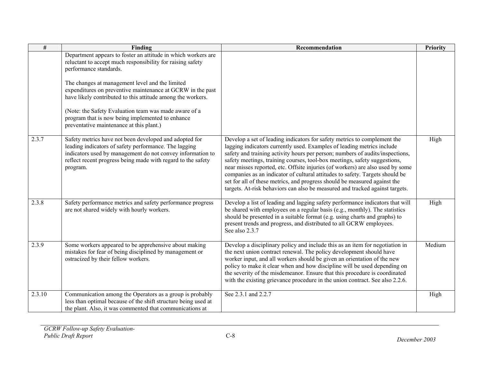| $\#$   | Finding                                                                                                                                                                                                                                                   | Recommendation                                                                                                                                                                                                                                                                                                                                                                                                                                                                                                                                                                                                                                  | Priority |
|--------|-----------------------------------------------------------------------------------------------------------------------------------------------------------------------------------------------------------------------------------------------------------|-------------------------------------------------------------------------------------------------------------------------------------------------------------------------------------------------------------------------------------------------------------------------------------------------------------------------------------------------------------------------------------------------------------------------------------------------------------------------------------------------------------------------------------------------------------------------------------------------------------------------------------------------|----------|
|        | Department appears to foster an attitude in which workers are<br>reluctant to accept much responsibility for raising safety<br>performance standards.                                                                                                     |                                                                                                                                                                                                                                                                                                                                                                                                                                                                                                                                                                                                                                                 |          |
|        | The changes at management level and the limited<br>expenditures on preventive maintenance at GCRW in the past<br>have likely contributed to this attitude among the workers.                                                                              |                                                                                                                                                                                                                                                                                                                                                                                                                                                                                                                                                                                                                                                 |          |
|        | (Note: the Safety Evaluation team was made aware of a<br>program that is now being implemented to enhance<br>preventative maintenance at this plant.)                                                                                                     |                                                                                                                                                                                                                                                                                                                                                                                                                                                                                                                                                                                                                                                 |          |
| 2.3.7  | Safety metrics have not been developed and adopted for<br>leading indicators of safety performance. The lagging<br>indicators used by management do not convey information to<br>reflect recent progress being made with regard to the safety<br>program. | Develop a set of leading indicators for safety metrics to complement the<br>lagging indicators currently used. Examples of leading metrics include<br>safety and training activity hours per person; numbers of audits/inspections,<br>safety meetings, training courses, tool-box meetings, safety suggestions,<br>near misses reported, etc. Offsite injuries (of workers) are also used by some<br>companies as an indicator of cultural attitudes to safety. Targets should be<br>set for all of these metrics, and progress should be measured against the<br>targets. At-risk behaviors can also be measured and tracked against targets. | High     |
| 2.3.8  | Safety performance metrics and safety performance progress<br>are not shared widely with hourly workers.                                                                                                                                                  | Develop a list of leading and lagging safety performance indicators that will<br>be shared with employees on a regular basis (e.g., monthly). The statistics<br>should be presented in a suitable format (e.g. using charts and graphs) to<br>present trends and progress, and distributed to all GCRW employees.<br>See also 2.3.7                                                                                                                                                                                                                                                                                                             | High     |
| 2.3.9  | Some workers appeared to be apprehensive about making<br>mistakes for fear of being disciplined by management or<br>ostracized by their fellow workers.                                                                                                   | Develop a disciplinary policy and include this as an item for negotiation in<br>the next union contract renewal. The policy development should have<br>worker input, and all workers should be given an orientation of the new<br>policy to make it clear when and how discipline will be used depending on<br>the severity of the misdemeanor. Ensure that this procedure is coordinated<br>with the existing grievance procedure in the union contract. See also 2.2.6.                                                                                                                                                                       | Medium   |
| 2.3.10 | Communication among the Operators as a group is probably<br>less than optimal because of the shift structure being used at<br>the plant. Also, it was commented that communications at                                                                    | See 2.3.1 and 2.2.7                                                                                                                                                                                                                                                                                                                                                                                                                                                                                                                                                                                                                             | High     |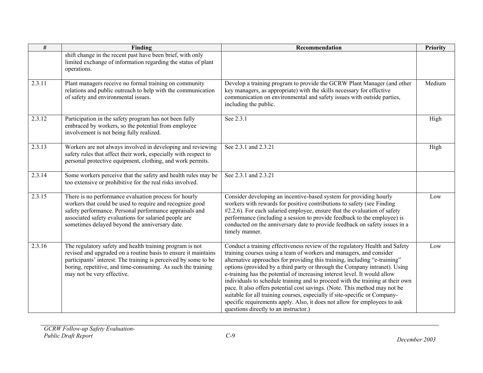| #      | Finding                                                                                                                                                                                                                                                                                     | Recommendation                                                                                                                                                                                                                                                                                                                                                                                                                                                                                                                                                                                                                                                                                                                                                  | Priority |
|--------|---------------------------------------------------------------------------------------------------------------------------------------------------------------------------------------------------------------------------------------------------------------------------------------------|-----------------------------------------------------------------------------------------------------------------------------------------------------------------------------------------------------------------------------------------------------------------------------------------------------------------------------------------------------------------------------------------------------------------------------------------------------------------------------------------------------------------------------------------------------------------------------------------------------------------------------------------------------------------------------------------------------------------------------------------------------------------|----------|
|        | shift change in the recent past have been brief, with only<br>limited exchange of information regarding the status of plant<br>operations.                                                                                                                                                  |                                                                                                                                                                                                                                                                                                                                                                                                                                                                                                                                                                                                                                                                                                                                                                 |          |
| 2.3.11 | Plant managers receive no formal training on community<br>relations and public outreach to help with the communication<br>of safety and environmental issues.                                                                                                                               | Develop a training program to provide the GCRW Plant Manager (and other<br>key managers, as appropriate) with the skills necessary for effective<br>communication on environmental and safety issues with outside parties,<br>including the public.                                                                                                                                                                                                                                                                                                                                                                                                                                                                                                             | Medium   |
| 2.3.12 | Participation in the safety program has not been fully<br>embraced by workers, so the potential from employee<br>involvement is not being fully realized.                                                                                                                                   | See 2.3.1                                                                                                                                                                                                                                                                                                                                                                                                                                                                                                                                                                                                                                                                                                                                                       | High     |
| 2.3.13 | Workers are not always involved in developing and reviewing<br>safety rules that affect their work, especially with respect to<br>personal protective equipment, clothing, and work permits.                                                                                                | See 2.3.1 and 2.3.21                                                                                                                                                                                                                                                                                                                                                                                                                                                                                                                                                                                                                                                                                                                                            | High     |
| 2.3.14 | Some workers perceive that the safety and health rules may be<br>too extensive or prohibitive for the real risks involved.                                                                                                                                                                  | See 2.3.1 and 2.3.21                                                                                                                                                                                                                                                                                                                                                                                                                                                                                                                                                                                                                                                                                                                                            |          |
| 2.3.15 | There is no performance evaluation process for hourly<br>workers that could be used to require and recognize good<br>safety performance. Personal performance appraisals and<br>associated safety evaluations for salaried people are<br>sometimes delayed beyond the anniversary date.     | Consider developing an incentive-based system for providing hourly<br>workers with rewards for positive contributions to safety (see Finding<br>#2.2.6). For each salaried employee, ensure that the evaluation of safety<br>performance (including a session to provide feedback to the employee) is<br>conducted on the anniversary date to provide feedback on safety issues in a<br>timely manner.                                                                                                                                                                                                                                                                                                                                                          | Low      |
| 2.3.16 | The regulatory safety and health training program is not<br>revised and upgraded on a routine basis to ensure it maintains<br>participants' interest. The training is perceived by some to be<br>boring, repetitive, and time-consuming. As such the training<br>may not be very effective. | Conduct a training effectiveness review of the regulatory Health and Safety<br>training courses using a team of workers and managers, and consider<br>alternative approaches for providing this training, including "e-training"<br>options (provided by a third party or through the Company intranet). Using<br>e-training has the potential of increasing interest level. It would allow<br>individuals to schedule training and to proceed with the training at their own<br>pace. It also offers potential cost savings. (Note. This method may not be<br>suitable for all training courses, especially if site-specific or Company-<br>specific requirements apply. Also, it does not allow for employees to ask<br>questions directly to an instructor.) | Low      |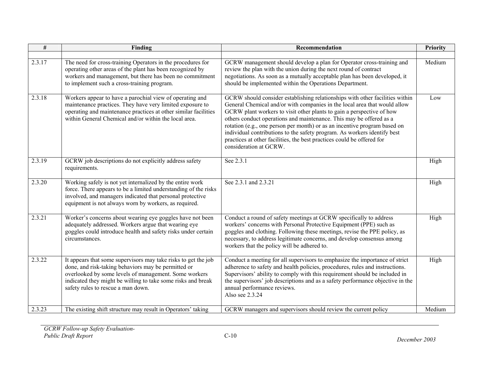| #      | Finding                                                                                                                                                                                                                                                                              | Recommendation                                                                                                                                                                                                                                                                                                                                                                                                                                                                                                                                                         | <b>Priority</b> |
|--------|--------------------------------------------------------------------------------------------------------------------------------------------------------------------------------------------------------------------------------------------------------------------------------------|------------------------------------------------------------------------------------------------------------------------------------------------------------------------------------------------------------------------------------------------------------------------------------------------------------------------------------------------------------------------------------------------------------------------------------------------------------------------------------------------------------------------------------------------------------------------|-----------------|
|        |                                                                                                                                                                                                                                                                                      |                                                                                                                                                                                                                                                                                                                                                                                                                                                                                                                                                                        |                 |
| 2.3.17 | The need for cross-training Operators in the procedures for<br>operating other areas of the plant has been recognized by<br>workers and management, but there has been no commitment<br>to implement such a cross-training program.                                                  | GCRW management should develop a plan for Operator cross-training and<br>review the plan with the union during the next round of contract<br>negotiations. As soon as a mutually acceptable plan has been developed, it<br>should be implemented within the Operations Department.                                                                                                                                                                                                                                                                                     | Medium          |
| 2.3.18 | Workers appear to have a parochial view of operating and<br>maintenance practices. They have very limited exposure to<br>operating and maintenance practices at other similar facilities<br>within General Chemical and/or within the local area.                                    | GCRW should consider establishing relationships with other facilities within<br>General Chemical and/or with companies in the local area that would allow<br>GCRW plant workers to visit other plants to gain a perspective of how<br>others conduct operations and maintenance. This may be offered as a<br>rotation (e.g., one person per month) or as an incentive program based on<br>individual contributions to the safety program. As workers identify best<br>practices at other facilities, the best practices could be offered for<br>consideration at GCRW. | Low             |
| 2.3.19 | GCRW job descriptions do not explicitly address safety<br>requirements.                                                                                                                                                                                                              | See 2.3.1                                                                                                                                                                                                                                                                                                                                                                                                                                                                                                                                                              | High            |
| 2.3.20 | Working safely is not yet internalized by the entire work<br>force. There appears to be a limited understanding of the risks<br>involved, and managers indicated that personal protective<br>equipment is not always worn by workers, as required.                                   | See 2.3.1 and 2.3.21                                                                                                                                                                                                                                                                                                                                                                                                                                                                                                                                                   | High            |
| 2.3.21 | Worker's concerns about wearing eye goggles have not been<br>adequately addressed. Workers argue that wearing eye<br>goggles could introduce health and safety risks under certain<br>circumstances.                                                                                 | Conduct a round of safety meetings at GCRW specifically to address<br>workers' concerns with Personal Protective Equipment (PPE) such as<br>goggles and clothing. Following these meetings, revise the PPE policy, as<br>necessary, to address legitimate concerns, and develop consensus among<br>workers that the policy will be adhered to.                                                                                                                                                                                                                         | High            |
| 2.3.22 | It appears that some supervisors may take risks to get the job<br>done, and risk-taking behaviors may be permitted or<br>overlooked by some levels of management. Some workers<br>indicated they might be willing to take some risks and break<br>safety rules to rescue a man down. | Conduct a meeting for all supervisors to emphasize the importance of strict<br>adherence to safety and health policies, procedures, rules and instructions.<br>Supervisors' ability to comply with this requirement should be included in<br>the supervisors' job descriptions and as a safety performance objective in the<br>annual performance reviews.<br>Also see $2.3.24$                                                                                                                                                                                        | High            |
| 2.3.23 | The existing shift structure may result in Operators' taking                                                                                                                                                                                                                         | GCRW managers and supervisors should review the current policy                                                                                                                                                                                                                                                                                                                                                                                                                                                                                                         | Medium          |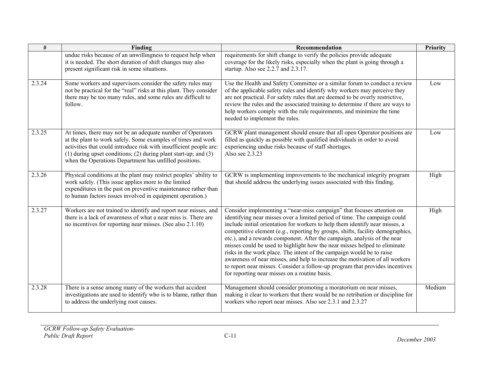| #      | Finding                                                                                                                                                                                                                                                                                                                             | Recommendation                                                                                                                                                                                                                                                                                                                                                                                                                                                                                                                                                                                                                                                                                                                                                           | Priority |
|--------|-------------------------------------------------------------------------------------------------------------------------------------------------------------------------------------------------------------------------------------------------------------------------------------------------------------------------------------|--------------------------------------------------------------------------------------------------------------------------------------------------------------------------------------------------------------------------------------------------------------------------------------------------------------------------------------------------------------------------------------------------------------------------------------------------------------------------------------------------------------------------------------------------------------------------------------------------------------------------------------------------------------------------------------------------------------------------------------------------------------------------|----------|
|        | undue risks because of an unwillingness to request help when<br>it is needed. The short duration of shift changes may also<br>present significant risk in some situations.                                                                                                                                                          | requirements for shift change to verify the policies provide adequate<br>coverage for the likely risks, especially when the plant is going through a<br>startup. Also see 2.2.7 and 2.3.17.                                                                                                                                                                                                                                                                                                                                                                                                                                                                                                                                                                              |          |
| 2.3.24 | Some workers and supervisors consider the safety rules may<br>not be practical for the "real" risks at this plant. They consider<br>there may be too many rules, and some rules are difficult to<br>follow.                                                                                                                         | Use the Health and Safety Committee or a similar forum to conduct a review<br>of the applicable safety rules and identify why workers may perceive they<br>are not practical. For safety rules that are deemed to be overly restrictive,<br>review the rules and the associated training to determine if there are ways to<br>help workers comply with the rule requirements, and minimize the time<br>needed to implement the rules.                                                                                                                                                                                                                                                                                                                                    | Low      |
| 2.3.25 | At times, there may not be an adequate number of Operators<br>at the plant to work safely. Some examples of times and work<br>activities that could introduce risk with insufficient people are:<br>$(1)$ during upset conditions; $(2)$ during plant start-up; and $(3)$<br>when the Operations Department has unfilled positions. | GCRW plant management should ensure that all open Operator positions are<br>filled as quickly as possible with qualified individuals in order to avoid<br>experiencing undue risks because of staff shortages.<br>Also see 2.3.23                                                                                                                                                                                                                                                                                                                                                                                                                                                                                                                                        | Low      |
| 2.3.26 | Physical conditions at the plant may restrict peoples' ability to<br>work safely. (This issue applies more to the limited<br>expenditures in the past on preventive maintenance rather than<br>to human factors issues involved in equipment operation.)                                                                            | GCRW is implementing improvements to the mechanical integrity program<br>that should address the underlying issues associated with this finding.                                                                                                                                                                                                                                                                                                                                                                                                                                                                                                                                                                                                                         | High     |
| 2.3.27 | Workers are not trained to identify and report near misses, and<br>there is a lack of awareness of what a near miss is. There are<br>no incentives for reporting near misses. (See also 2.1.10)                                                                                                                                     | Consider implementing a "near-miss campaign" that focuses attention on<br>identifying near misses over a limited period of time. The campaign could<br>include initial orientation for workers to help them identify near misses, a<br>competitive element (e.g., reporting by groups, shifts, facility demographics,<br>etc.), and a rewards component. After the campaign, analysis of the near<br>misses could be used to highlight how the near misses helped to eliminate<br>risks in the work place. The intent of the campaign would be to raise<br>awareness of near misses, and help to increase the motivation of all workers<br>to report near misses. Consider a follow-up program that provides incentives<br>for reporting near misses on a routine basis. | High     |
| 2.3.28 | There is a sense among many of the workers that accident<br>investigations are used to identify who is to blame, rather than<br>to address the underlying root causes.                                                                                                                                                              | Management should consider promoting a moratorium on near misses,<br>making it clear to workers that there would be no retribution or discipline for<br>workers who report near misses. Also see 2.3.1 and 2.3.27                                                                                                                                                                                                                                                                                                                                                                                                                                                                                                                                                        | Medium   |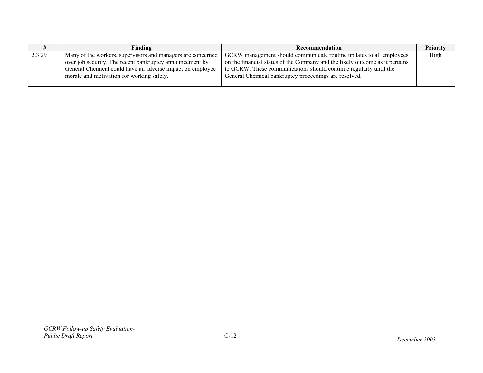|        | Finding                                                     | Recommendation                                                               | <b>Priority</b> |
|--------|-------------------------------------------------------------|------------------------------------------------------------------------------|-----------------|
| 2.3.29 | Many of the workers, supervisors and managers are concerned | GCRW management should communicate routine updates to all employees          | High            |
|        | over job security. The recent bankruptcy announcement by    | on the financial status of the Company and the likely outcome as it pertains |                 |
|        | General Chemical could have an adverse impact on employee   | to GCRW. These communications should continue regularly until the            |                 |
|        | morale and motivation for working safely.                   | General Chemical bankruptcy proceedings are resolved.                        |                 |
|        |                                                             |                                                                              |                 |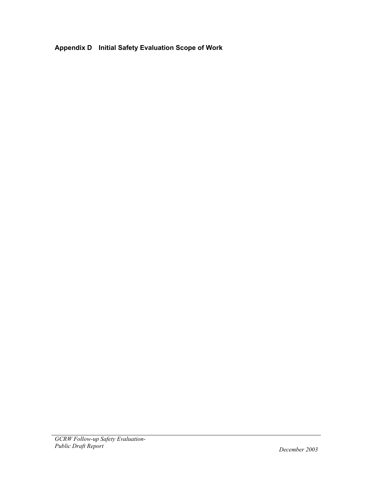**Appendix D Initial Safety Evaluation Scope of Work**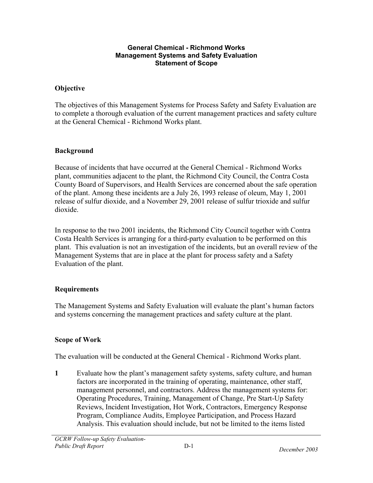#### **General Chemical - Richmond Works Management Systems and Safety Evaluation Statement of Scope**

## **Objective**

The objectives of this Management Systems for Process Safety and Safety Evaluation are to complete a thorough evaluation of the current management practices and safety culture at the General Chemical - Richmond Works plant.

### **Background**

Because of incidents that have occurred at the General Chemical - Richmond Works plant, communities adjacent to the plant, the Richmond City Council, the Contra Costa County Board of Supervisors, and Health Services are concerned about the safe operation of the plant. Among these incidents are a July 26, 1993 release of oleum, May 1, 2001 release of sulfur dioxide, and a November 29, 2001 release of sulfur trioxide and sulfur dioxide.

In response to the two 2001 incidents, the Richmond City Council together with Contra Costa Health Services is arranging for a third-party evaluation to be performed on this plant. This evaluation is not an investigation of the incidents, but an overall review of the Management Systems that are in place at the plant for process safety and a Safety Evaluation of the plant.

# **Requirements**

The Management Systems and Safety Evaluation will evaluate the plant's human factors and systems concerning the management practices and safety culture at the plant.

# **Scope of Work**

The evaluation will be conducted at the General Chemical - Richmond Works plant.

**1** Evaluate how the plant's management safety systems, safety culture, and human factors are incorporated in the training of operating, maintenance, other staff, management personnel, and contractors. Address the management systems for: Operating Procedures, Training, Management of Change, Pre Start-Up Safety Reviews, Incident Investigation, Hot Work, Contractors, Emergency Response Program, Compliance Audits, Employee Participation, and Process Hazard Analysis. This evaluation should include, but not be limited to the items listed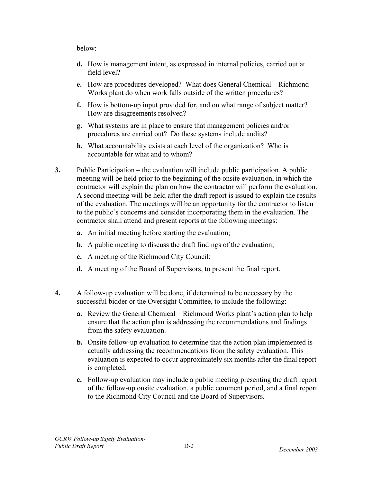below:

- **d.** How is management intent, as expressed in internal policies, carried out at field level?
- **e.** How are procedures developed? What does General Chemical Richmond Works plant do when work falls outside of the written procedures?
- **f.** How is bottom-up input provided for, and on what range of subject matter? How are disagreements resolved?
- **g.** What systems are in place to ensure that management policies and/or procedures are carried out? Do these systems include audits?
- **h.** What accountability exists at each level of the organization? Who is accountable for what and to whom?
- **3.** Public Participation the evaluation will include public participation. A public meeting will be held prior to the beginning of the onsite evaluation, in which the contractor will explain the plan on how the contractor will perform the evaluation. A second meeting will be held after the draft report is issued to explain the results of the evaluation. The meetings will be an opportunity for the contractor to listen to the public's concerns and consider incorporating them in the evaluation. The contractor shall attend and present reports at the following meetings:
	- **a.** An initial meeting before starting the evaluation;
	- **b.** A public meeting to discuss the draft findings of the evaluation;
	- **c.** A meeting of the Richmond City Council;
	- **d.** A meeting of the Board of Supervisors, to present the final report.
- **4.** A follow-up evaluation will be done, if determined to be necessary by the successful bidder or the Oversight Committee, to include the following:
	- **a.** Review the General Chemical Richmond Works plant's action plan to help ensure that the action plan is addressing the recommendations and findings from the safety evaluation.
	- **b.** Onsite follow-up evaluation to determine that the action plan implemented is actually addressing the recommendations from the safety evaluation. This evaluation is expected to occur approximately six months after the final report is completed.
	- **c.** Follow-up evaluation may include a public meeting presenting the draft report of the follow-up onsite evaluation, a public comment period, and a final report to the Richmond City Council and the Board of Supervisors.